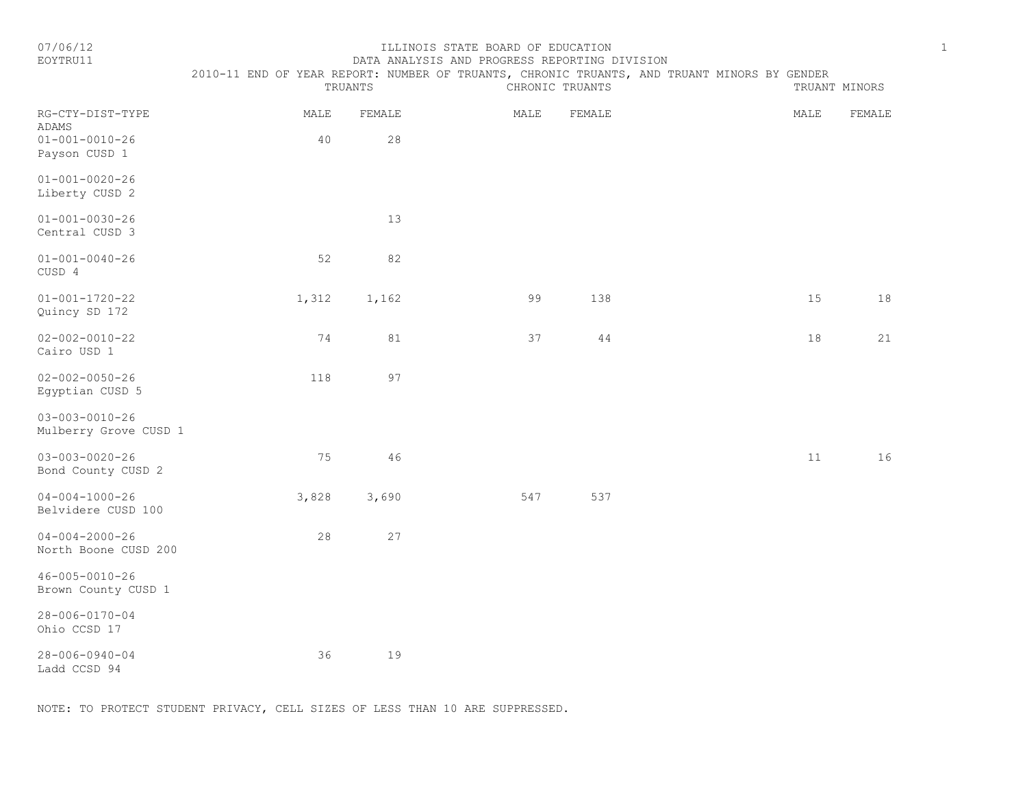#### 07/06/12 ILLINOIS STATE BOARD OF EDUCATION 1 DATA ANALYSIS AND PROGRESS REPORTING DIVISION

|                                                                      | 2010-11 END OF YEAR REPORT: NUMBER OF TRUANTS, CHRONIC TRUANTS, AND TRUANT MINORS BY GENDER<br>TRUANTS |              | CHRONIC TRUANTS |        | TRUANT MINORS |        |
|----------------------------------------------------------------------|--------------------------------------------------------------------------------------------------------|--------------|-----------------|--------|---------------|--------|
| RG-CTY-DIST-TYPE<br>ADAMS<br>$01 - 001 - 0010 - 26$<br>Payson CUSD 1 | MALE<br>40                                                                                             | FEMALE<br>28 | MALE            | FEMALE | MALE          | FEMALE |
| $01 - 001 - 0020 - 26$<br>Liberty CUSD 2                             |                                                                                                        |              |                 |        |               |        |
| $01 - 001 - 0030 - 26$<br>Central CUSD 3                             |                                                                                                        | 13           |                 |        |               |        |
| $01 - 001 - 0040 - 26$<br>CUSD 4                                     | 52                                                                                                     | 82           |                 |        |               |        |
| $01 - 001 - 1720 - 22$<br>Quincy SD 172                              | 1,312                                                                                                  | 1,162        | 99              | 138    | 15            | 18     |
| $02 - 002 - 0010 - 22$<br>Cairo USD 1                                | 74                                                                                                     | 81           | 37              | 44     | 18            | 21     |
| $02 - 002 - 0050 - 26$<br>Egyptian CUSD 5                            | 118                                                                                                    | 97           |                 |        |               |        |
| $03 - 003 - 0010 - 26$<br>Mulberry Grove CUSD 1                      |                                                                                                        |              |                 |        |               |        |
| $03 - 003 - 0020 - 26$<br>Bond County CUSD 2                         | 75                                                                                                     | 46           |                 |        | 11            | 16     |
| $04 - 004 - 1000 - 26$<br>Belvidere CUSD 100                         | 3,828                                                                                                  | 3,690        | 547             | 537    |               |        |
| $04 - 004 - 2000 - 26$<br>North Boone CUSD 200                       | 28                                                                                                     | 27           |                 |        |               |        |
| 46-005-0010-26<br>Brown County CUSD 1                                |                                                                                                        |              |                 |        |               |        |
| 28-006-0170-04<br>Ohio CCSD 17                                       |                                                                                                        |              |                 |        |               |        |
| $28 - 006 - 0940 - 04$                                               | 36                                                                                                     | 19           |                 |        |               |        |

Ladd CCSD 94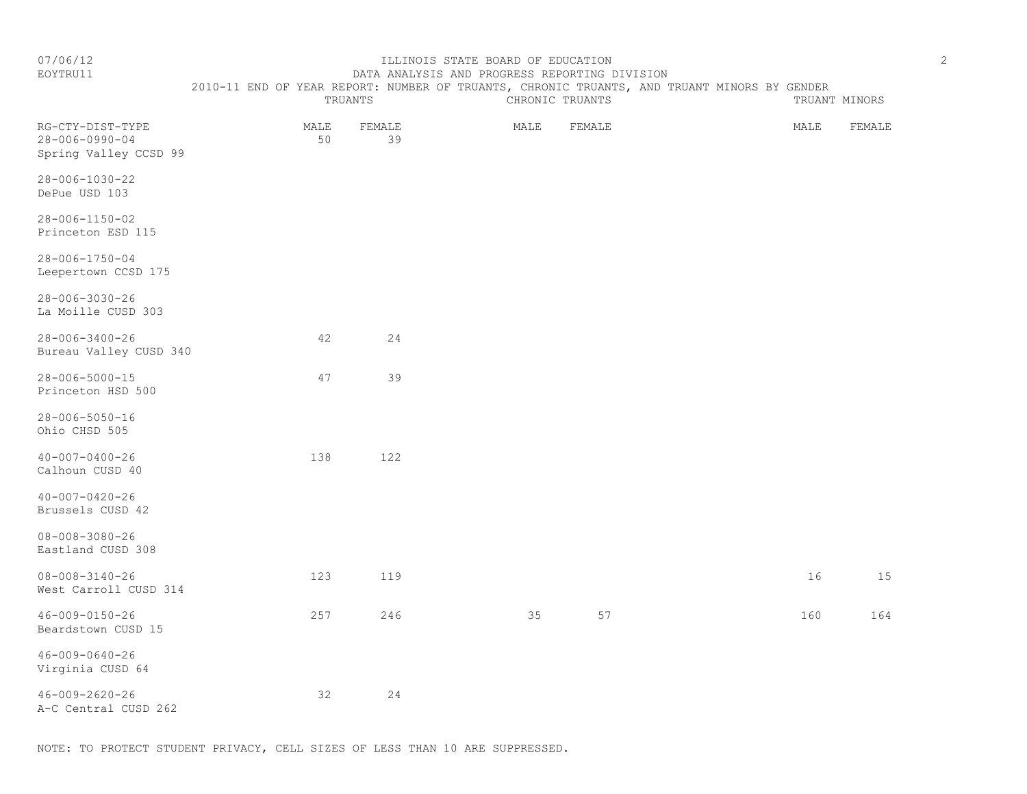EOYTRU11 DATA ANALYSIS AND PROGRESS REPORTING DIVISION

# 2010-11 END OF YEAR REPORT: NUMBER OF TRUANTS, CHRONIC TRUANTS, AND TRUANT MINORS BY GENDER<br>CHRONIC TRUINERS CHRONIC TRUANTS

|                                                                     |            | TRUANTS      | CHRONIC TRUANTS | TRUANT MINORS |  |      |        |
|---------------------------------------------------------------------|------------|--------------|-----------------|---------------|--|------|--------|
| RG-CTY-DIST-TYPE<br>$28 - 006 - 0990 - 04$<br>Spring Valley CCSD 99 | MALE<br>50 | FEMALE<br>39 | MALE            | FEMALE        |  | MALE | FEMALE |
| $28 - 006 - 1030 - 22$<br>DePue USD 103                             |            |              |                 |               |  |      |        |
| 28-006-1150-02<br>Princeton ESD 115                                 |            |              |                 |               |  |      |        |
| $28 - 006 - 1750 - 04$<br>Leepertown CCSD 175                       |            |              |                 |               |  |      |        |
| $28 - 006 - 3030 - 26$<br>La Moille CUSD 303                        |            |              |                 |               |  |      |        |
| $28 - 006 - 3400 - 26$<br>Bureau Valley CUSD 340                    | 42         | 24           |                 |               |  |      |        |
| $28 - 006 - 5000 - 15$<br>Princeton HSD 500                         | 47         | 39           |                 |               |  |      |        |
| $28 - 006 - 5050 - 16$<br>Ohio CHSD 505                             |            |              |                 |               |  |      |        |
| $40 - 007 - 0400 - 26$<br>Calhoun CUSD 40                           | 138        | 122          |                 |               |  |      |        |
| $40 - 007 - 0420 - 26$<br>Brussels CUSD 42                          |            |              |                 |               |  |      |        |
| $08 - 008 - 3080 - 26$<br>Eastland CUSD 308                         |            |              |                 |               |  |      |        |
| $08 - 008 - 3140 - 26$<br>West Carroll CUSD 314                     | 123        | 119          |                 |               |  | 16   | 15     |
| 46-009-0150-26<br>Beardstown CUSD 15                                | 257        | 246          | 35              | 57            |  | 160  | 164    |
| $46 - 009 - 0640 - 26$<br>Virginia CUSD 64                          |            |              |                 |               |  |      |        |
| $46 - 009 - 2620 - 26$<br>A-C Central CUSD 262                      | 32         | 24           |                 |               |  |      |        |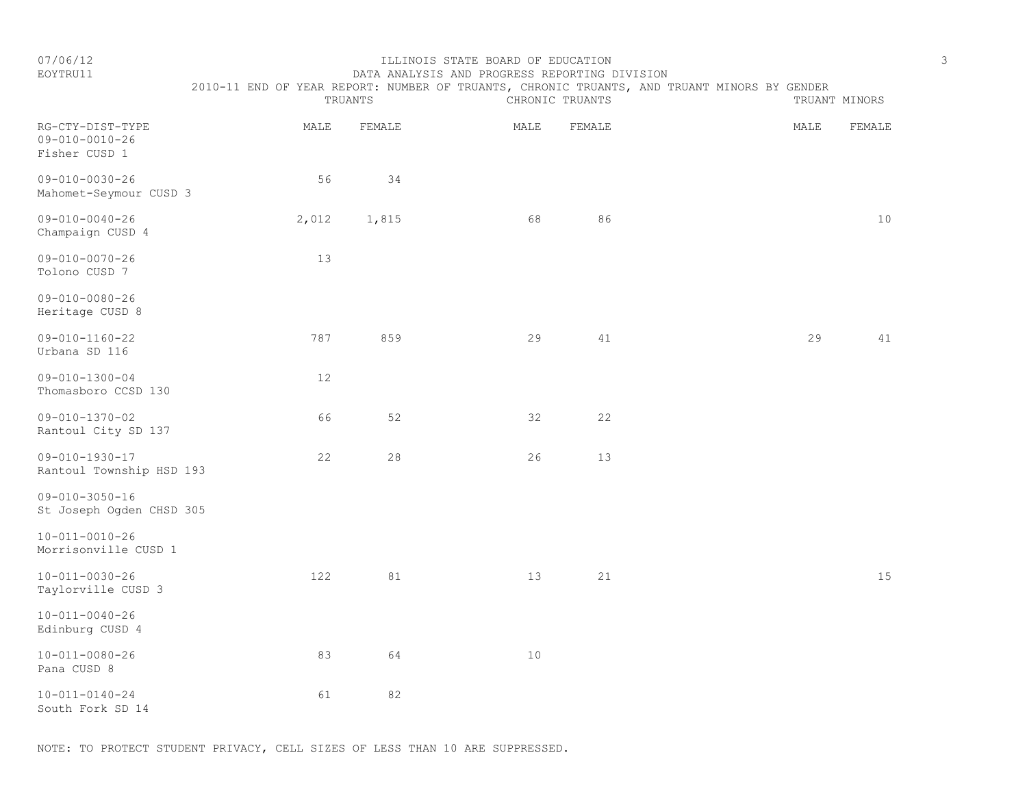| 07/06/12<br>EOYTRU11                                        | TRUANTS | DATA ANALYSIS AND PROGRESS REPORTING DIVISION<br>2010-11 END OF YEAR REPORT: NUMBER OF TRUANTS, CHRONIC TRUANTS, AND TRUANT MINORS BY GENDER<br>TRUANT MINORS | 3    |        |      |        |
|-------------------------------------------------------------|---------|---------------------------------------------------------------------------------------------------------------------------------------------------------------|------|--------|------|--------|
| RG-CTY-DIST-TYPE<br>$09 - 010 - 0010 - 26$<br>Fisher CUSD 1 | MALE    | FEMALE                                                                                                                                                        | MALE | FEMALE | MALE | FEMALE |
| $09 - 010 - 0030 - 26$<br>Mahomet-Seymour CUSD 3            | 56      | 34                                                                                                                                                            |      |        |      |        |
| $09 - 010 - 0040 - 26$<br>Champaign CUSD 4                  | 2,012   | 1,815                                                                                                                                                         | 68   | 86     |      | 10     |
| $09 - 010 - 0070 - 26$<br>Tolono CUSD 7                     | 13      |                                                                                                                                                               |      |        |      |        |
| $09 - 010 - 0080 - 26$<br>Heritage CUSD 8                   |         |                                                                                                                                                               |      |        |      |        |
| $09 - 010 - 1160 - 22$<br>Urbana SD 116                     | 787     | 859                                                                                                                                                           | 29   | 41     | 29   | 41     |
| $09 - 010 - 1300 - 04$<br>Thomasboro CCSD 130               | 12      |                                                                                                                                                               |      |        |      |        |
| $09 - 010 - 1370 - 02$<br>Rantoul City SD 137               | 66      | 52                                                                                                                                                            | 32   | 22     |      |        |
| $09 - 010 - 1930 - 17$<br>Rantoul Township HSD 193          | 22      | 28                                                                                                                                                            | 26   | 13     |      |        |
| $09 - 010 - 3050 - 16$<br>St Joseph Ogden CHSD 305          |         |                                                                                                                                                               |      |        |      |        |
| $10 - 011 - 0010 - 26$<br>Morrisonville CUSD 1              |         |                                                                                                                                                               |      |        |      |        |
| $10 - 011 - 0030 - 26$<br>Taylorville CUSD 3                | 122     | 81                                                                                                                                                            | 13   | 21     |      | 15     |
| $10 - 011 - 0040 - 26$<br>Edinburg CUSD 4                   |         |                                                                                                                                                               |      |        |      |        |
| $10 - 011 - 0080 - 26$                                      | 83      | 64                                                                                                                                                            | 10   |        |      |        |

10-011-0140-24 61 82 South Fork SD 14

Pana CUSD 8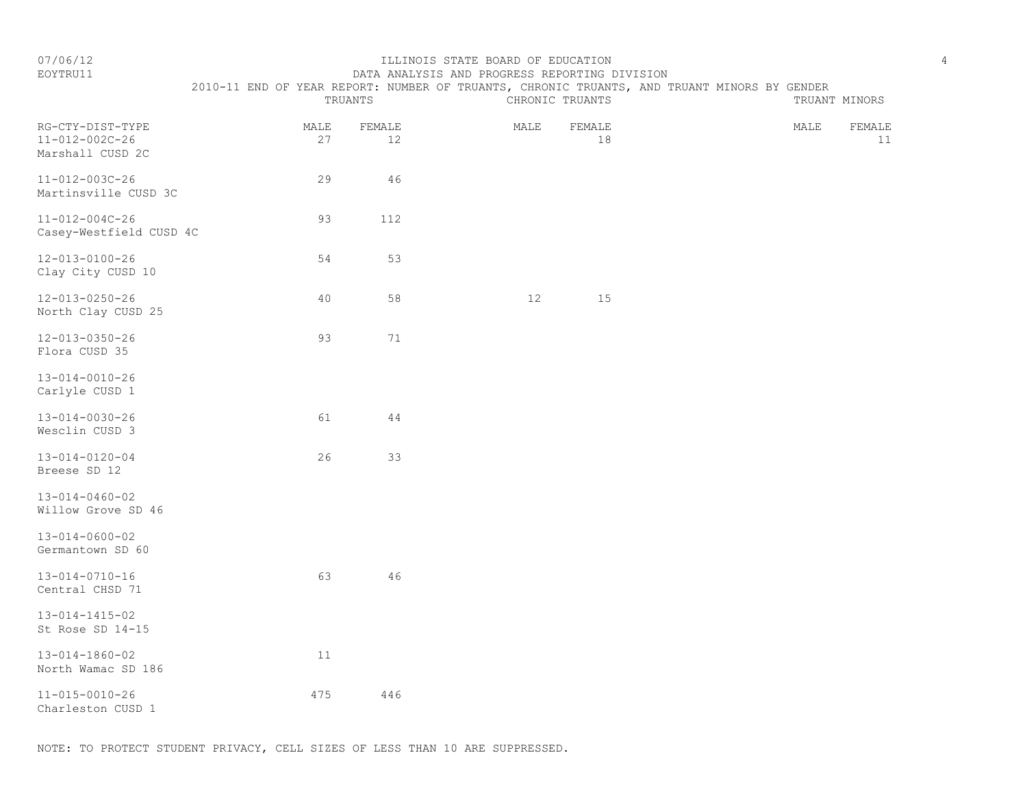#### EOYTRU11 DATA ANALYSIS AND PROGRESS REPORTING DIVISION 2010-11 END OF YEAR REPORT: NUMBER OF TRUANTS, CHRONIC TRUANTS, AND TRUANT MINORS BY GENDER

|                                                        | TRUANTS    |              | CHRONIC TRUANTS |              | TRUANT MINORS |              |  |  |
|--------------------------------------------------------|------------|--------------|-----------------|--------------|---------------|--------------|--|--|
| RG-CTY-DIST-TYPE<br>11-012-002C-26<br>Marshall CUSD 2C | MALE<br>27 | FEMALE<br>12 | MALE            | FEMALE<br>18 | MALE          | FEMALE<br>11 |  |  |
| 11-012-003C-26<br>Martinsville CUSD 3C                 | 29         | 46           |                 |              |               |              |  |  |
| $11 - 012 - 004C - 26$<br>Casey-Westfield CUSD 4C      | 93         | 112          |                 |              |               |              |  |  |
| 12-013-0100-26<br>Clay City CUSD 10                    | 54         | 53           |                 |              |               |              |  |  |
| 12-013-0250-26<br>North Clay CUSD 25                   | 40         | 58           | 12              | 15           |               |              |  |  |
| $12 - 013 - 0350 - 26$<br>Flora CUSD 35                | 93         | 71           |                 |              |               |              |  |  |
| $13 - 014 - 0010 - 26$<br>Carlyle CUSD 1               |            |              |                 |              |               |              |  |  |
| $13 - 014 - 0030 - 26$<br>Wesclin CUSD 3               | 61         | $4\,4$       |                 |              |               |              |  |  |
| $13 - 014 - 0120 - 04$<br>Breese SD 12                 | 26         | 33           |                 |              |               |              |  |  |
| $13 - 014 - 0460 - 02$<br>Willow Grove SD 46           |            |              |                 |              |               |              |  |  |
| $13 - 014 - 0600 - 02$<br>Germantown SD 60             |            |              |                 |              |               |              |  |  |
| $13 - 014 - 0710 - 16$<br>Central CHSD 71              | 63         | 46           |                 |              |               |              |  |  |
| $13 - 014 - 1415 - 02$<br>St Rose SD 14-15             |            |              |                 |              |               |              |  |  |
| $13 - 014 - 1860 - 02$<br>North Wamac SD 186           | $11$       |              |                 |              |               |              |  |  |
| $11 - 015 - 0010 - 26$<br>Charleston CUSD 1            | 475        | 446          |                 |              |               |              |  |  |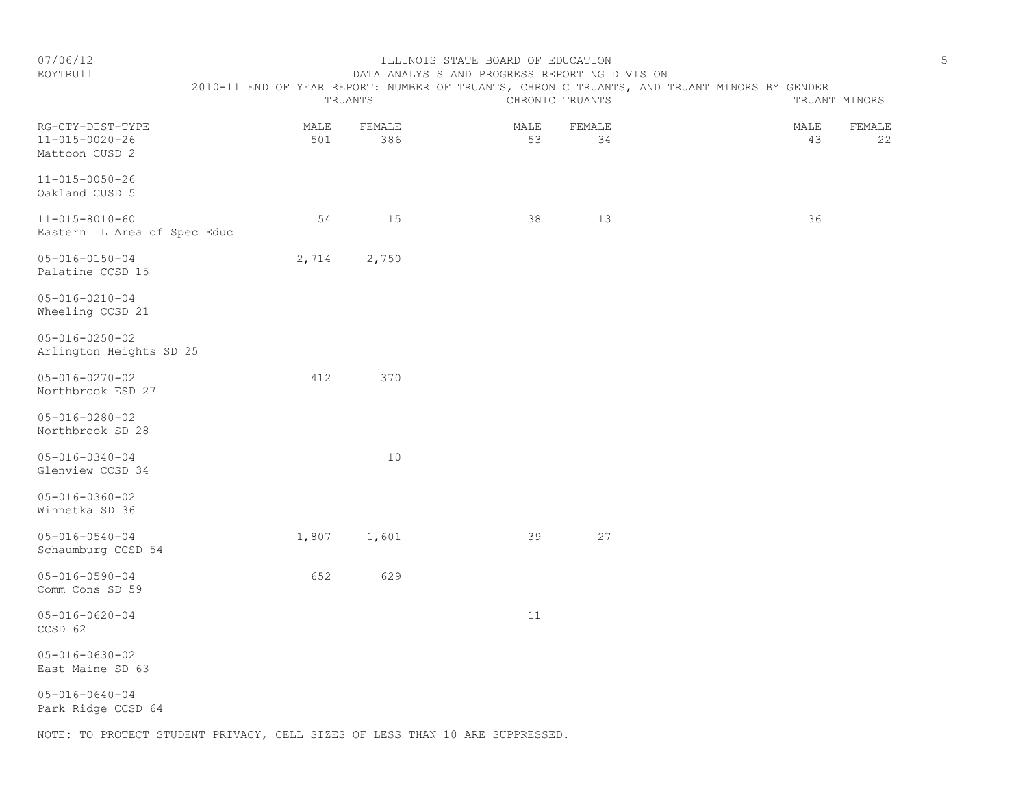### EOYTRU11 DATA ANALYSIS AND PROGRESS REPORTING DIVISION 2010-11 END OF YEAR REPORT: NUMBER OF TRUANTS, CHRONIC TRUANTS, AND TRUANT MINORS BY GENDER

|                                                              | TRUANTS     |               |            | CHRONIC TRUANTS | TRUANT MINORS |            |              |  |
|--------------------------------------------------------------|-------------|---------------|------------|-----------------|---------------|------------|--------------|--|
| RG-CTY-DIST-TYPE<br>$11 - 015 - 0020 - 26$<br>Mattoon CUSD 2 | MALE<br>501 | FEMALE<br>386 | MALE<br>53 | FEMALE<br>34    |               | MALE<br>43 | FEMALE<br>22 |  |
| $11 - 015 - 0050 - 26$<br>Oakland CUSD 5                     |             |               |            |                 |               |            |              |  |
| 11-015-8010-60<br>Eastern IL Area of Spec Educ               | 54          | 15            | 38         | 13              |               | 36         |              |  |
| $05 - 016 - 0150 - 04$<br>Palatine CCSD 15                   | 2,714       | 2,750         |            |                 |               |            |              |  |
| $05 - 016 - 0210 - 04$<br>Wheeling CCSD 21                   |             |               |            |                 |               |            |              |  |
| $05 - 016 - 0250 - 02$<br>Arlington Heights SD 25            |             |               |            |                 |               |            |              |  |
| $05 - 016 - 0270 - 02$<br>Northbrook ESD 27                  | 412         | 370           |            |                 |               |            |              |  |
| $05 - 016 - 0280 - 02$<br>Northbrook SD 28                   |             |               |            |                 |               |            |              |  |
| $05 - 016 - 0340 - 04$<br>Glenview CCSD 34                   |             | 10            |            |                 |               |            |              |  |
| $05 - 016 - 0360 - 02$<br>Winnetka SD 36                     |             |               |            |                 |               |            |              |  |
| $05 - 016 - 0540 - 04$<br>Schaumburg CCSD 54                 | 1,807       | 1,601         | 39         | 27              |               |            |              |  |
| $05 - 016 - 0590 - 04$<br>Comm Cons SD 59                    | 652         | 629           |            |                 |               |            |              |  |
| $05 - 016 - 0620 - 04$<br>CCSD 62                            |             |               | 11         |                 |               |            |              |  |
| $05 - 016 - 0630 - 02$<br>East Maine SD 63                   |             |               |            |                 |               |            |              |  |
| $05 - 016 - 0640 - 04$<br>Park Ridge CCSD 64                 |             |               |            |                 |               |            |              |  |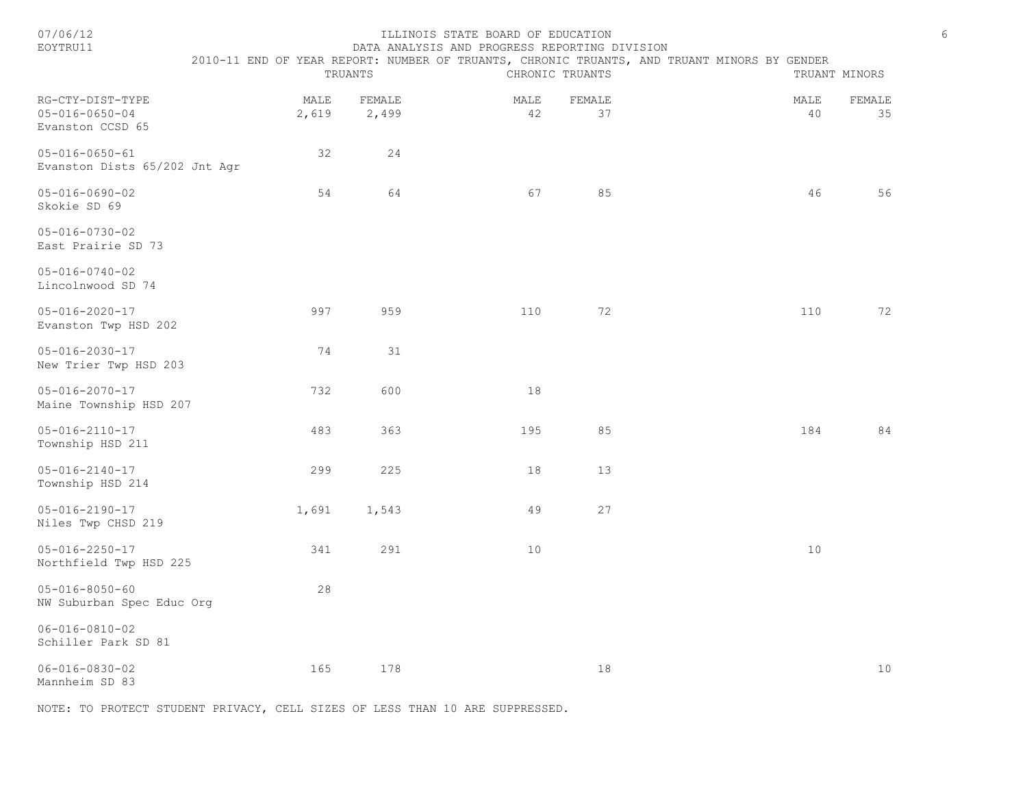| 07/06/12<br>EOYTRU11                                           |               |                 | ILLINOIS STATE BOARD OF EDUCATION<br>DATA ANALYSIS AND PROGRESS REPORTING DIVISION |                 |                                                                                             |                    | 6 |
|----------------------------------------------------------------|---------------|-----------------|------------------------------------------------------------------------------------|-----------------|---------------------------------------------------------------------------------------------|--------------------|---|
|                                                                |               | TRUANTS         |                                                                                    | CHRONIC TRUANTS | 2010-11 END OF YEAR REPORT: NUMBER OF TRUANTS, CHRONIC TRUANTS, AND TRUANT MINORS BY GENDER | TRUANT MINORS      |   |
| RG-CTY-DIST-TYPE<br>$05 - 016 - 0650 - 04$<br>Evanston CCSD 65 | MALE<br>2,619 | FEMALE<br>2,499 | MALE<br>42                                                                         | FEMALE<br>37    | MALE                                                                                        | FEMALE<br>40<br>35 |   |
| $05 - 016 - 0650 - 61$<br>Evanston Dists 65/202 Jnt Agr        | 32            | 24              |                                                                                    |                 |                                                                                             |                    |   |
| $05 - 016 - 0690 - 02$<br>Skokie SD 69                         | 54            | 64              | 67                                                                                 | 85              |                                                                                             | 46<br>56           |   |
| 05-016-0730-02<br>East Prairie SD 73                           |               |                 |                                                                                    |                 |                                                                                             |                    |   |
| $05 - 016 - 0740 - 02$<br>Lincolnwood SD 74                    |               |                 |                                                                                    |                 |                                                                                             |                    |   |
| $05 - 016 - 2020 - 17$<br>Evanston Twp HSD 202                 | 997           | 959             | 110                                                                                | 72              |                                                                                             | 110<br>72          |   |
| $05 - 016 - 2030 - 17$<br>New Trier Twp HSD 203                | 74            | 31              |                                                                                    |                 |                                                                                             |                    |   |
| 05-016-2070-17<br>Maine Township HSD 207                       | 732           | 600             | 18                                                                                 |                 |                                                                                             |                    |   |
| $05 - 016 - 2110 - 17$<br>Township HSD 211                     | 483           | 363             | 195                                                                                | 85              |                                                                                             | 84<br>184          |   |
| $05 - 016 - 2140 - 17$<br>Township HSD 214                     | 299           | 225             | 18                                                                                 | 13              |                                                                                             |                    |   |
| $05 - 016 - 2190 - 17$<br>Niles Twp CHSD 219                   | 1,691         | 1,543           | 49                                                                                 | 27              |                                                                                             |                    |   |
| $05 - 016 - 2250 - 17$<br>Northfield Twp HSD 225               | 341           | 291             | 10                                                                                 |                 |                                                                                             | 10                 |   |
| $05 - 016 - 8050 - 60$<br>NW Suburban Spec Educ Org            | 28            |                 |                                                                                    |                 |                                                                                             |                    |   |
| $06 - 016 - 0810 - 02$<br>Schiller Park SD 81                  |               |                 |                                                                                    |                 |                                                                                             |                    |   |
| $06 - 016 - 0830 - 02$<br>Mannheim SD 83                       | 165           | 178             |                                                                                    | 18              |                                                                                             | 10                 |   |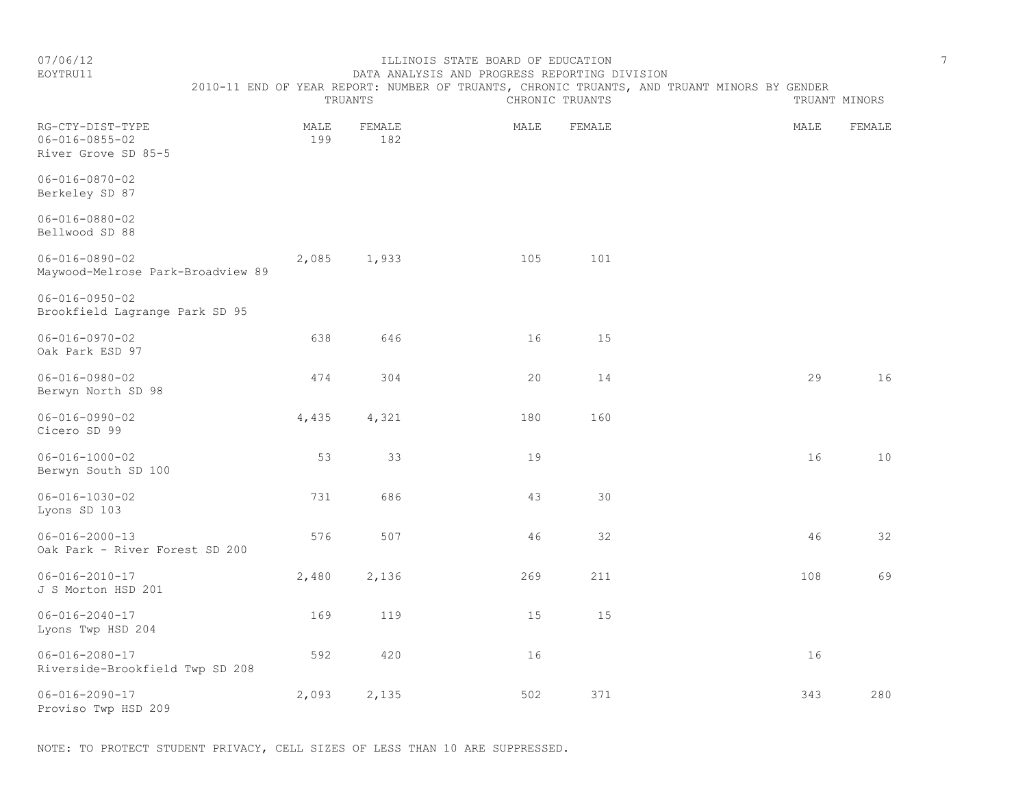EOYTRU11 DATA ANALYSIS AND PROGRESS REPORTING DIVISION

# 2010-11 END OF YEAR REPORT: NUMBER OF TRUANTS, CHRONIC TRUANTS, AND TRUANT MINORS BY GENDER<br>CHRONIC TRUANTS

|                                                                   |             | TRUANTS       |      | CHRONIC TRUANTS | TRUANT MINORS |        |  |
|-------------------------------------------------------------------|-------------|---------------|------|-----------------|---------------|--------|--|
| RG-CTY-DIST-TYPE<br>$06 - 016 - 0855 - 02$<br>River Grove SD 85-5 | MALE<br>199 | FEMALE<br>182 | MALE | FEMALE          | MALE          | FEMALE |  |
| $06 - 016 - 0870 - 02$<br>Berkeley SD 87                          |             |               |      |                 |               |        |  |
| $06 - 016 - 0880 - 02$<br>Bellwood SD 88                          |             |               |      |                 |               |        |  |
| $06 - 016 - 0890 - 02$<br>Maywood-Melrose Park-Broadview 89       | 2,085       | 1,933         | 105  | 101             |               |        |  |
| $06 - 016 - 0950 - 02$<br>Brookfield Lagrange Park SD 95          |             |               |      |                 |               |        |  |
| $06 - 016 - 0970 - 02$<br>Oak Park ESD 97                         | 638         | 646           | 16   | 15              |               |        |  |
| $06 - 016 - 0980 - 02$<br>Berwyn North SD 98                      | 474         | 304           | 20   | 14              | 29            | 16     |  |
| $06 - 016 - 0990 - 02$<br>Cicero SD 99                            | 4,435       | 4,321         | 180  | 160             |               |        |  |
| $06 - 016 - 1000 - 02$<br>Berwyn South SD 100                     | 53          | 33            | 19   |                 | 16            | 10     |  |
| $06 - 016 - 1030 - 02$<br>Lyons SD 103                            | 731         | 686           | 43   | 30              |               |        |  |
| $06 - 016 - 2000 - 13$<br>Oak Park - River Forest SD 200          | 576         | 507           | 46   | 32              | 46            | 32     |  |
| $06 - 016 - 2010 - 17$<br>J S Morton HSD 201                      | 2,480       | 2,136         | 269  | 211             | 108           | 69     |  |
| $06 - 016 - 2040 - 17$<br>Lyons Twp HSD 204                       | 169         | 119           | 15   | 15              |               |        |  |
| $06 - 016 - 2080 - 17$<br>Riverside-Brookfield Twp SD 208         | 592         | 420           | 16   |                 | 16            |        |  |
| $06 - 016 - 2090 - 17$<br>Proviso Twp HSD 209                     | 2,093       | 2,135         | 502  | 371             | 343           | 280    |  |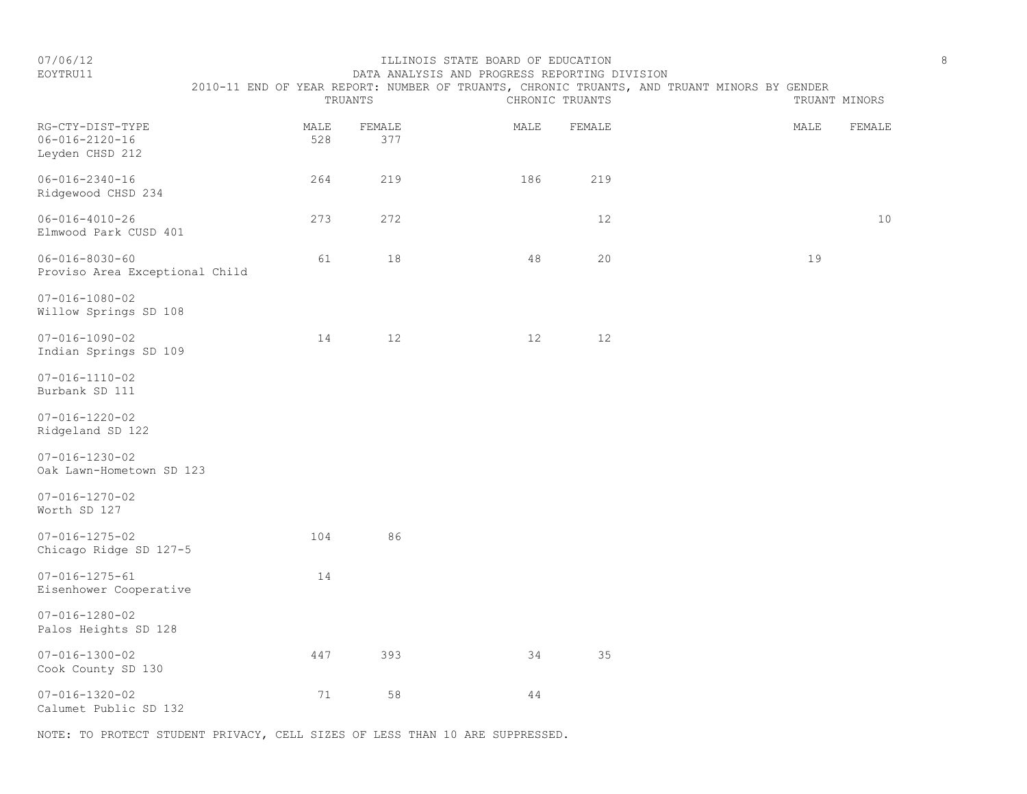### EOYTRU11 DATA ANALYSIS AND PROGRESS REPORTING DIVISION 2010-11 END OF YEAR REPORT: NUMBER OF TRUANTS, CHRONIC TRUANTS, AND TRUANT MINORS BY GENDER

|                                                               |             | TRUANTS         |      | CHRONIC TRUANTS | TRUANT MINORS |      |        |
|---------------------------------------------------------------|-------------|-----------------|------|-----------------|---------------|------|--------|
| RG-CTY-DIST-TYPE<br>$06 - 016 - 2120 - 16$<br>Leyden CHSD 212 | MALE<br>528 | FEMALE<br>377   | MALE | FEMALE          |               | MALE | FEMALE |
| $06 - 016 - 2340 - 16$<br>Ridgewood CHSD 234                  | 264         | 219             | 186  | 219             |               |      |        |
| $06 - 016 - 4010 - 26$<br>Elmwood Park CUSD 401               | 273         | 272             |      | 12              |               |      | $10$   |
| $06 - 016 - 8030 - 60$<br>Proviso Area Exceptional Child      | 61          | $1\,8$          | 48   | 20              |               | 19   |        |
| $07 - 016 - 1080 - 02$<br>Willow Springs SD 108               |             |                 |      |                 |               |      |        |
| $07 - 016 - 1090 - 02$<br>Indian Springs SD 109               | 14          | 12 <sup>°</sup> | 12   | 12              |               |      |        |
| $07 - 016 - 1110 - 02$<br>Burbank SD 111                      |             |                 |      |                 |               |      |        |
| $07 - 016 - 1220 - 02$<br>Ridgeland SD 122                    |             |                 |      |                 |               |      |        |
| $07 - 016 - 1230 - 02$<br>Oak Lawn-Hometown SD 123            |             |                 |      |                 |               |      |        |
| $07 - 016 - 1270 - 02$<br>Worth SD 127                        |             |                 |      |                 |               |      |        |
| $07 - 016 - 1275 - 02$<br>Chicago Ridge SD 127-5              | 104         | 86              |      |                 |               |      |        |
| $07 - 016 - 1275 - 61$<br>Eisenhower Cooperative              | 14          |                 |      |                 |               |      |        |
| $07 - 016 - 1280 - 02$<br>Palos Heights SD 128                |             |                 |      |                 |               |      |        |
| $07 - 016 - 1300 - 02$<br>Cook County SD 130                  | 447         | 393             | 34   | 35              |               |      |        |
| $07 - 016 - 1320 - 02$<br>Calumet Public SD 132               | 71          | 58              | 44   |                 |               |      |        |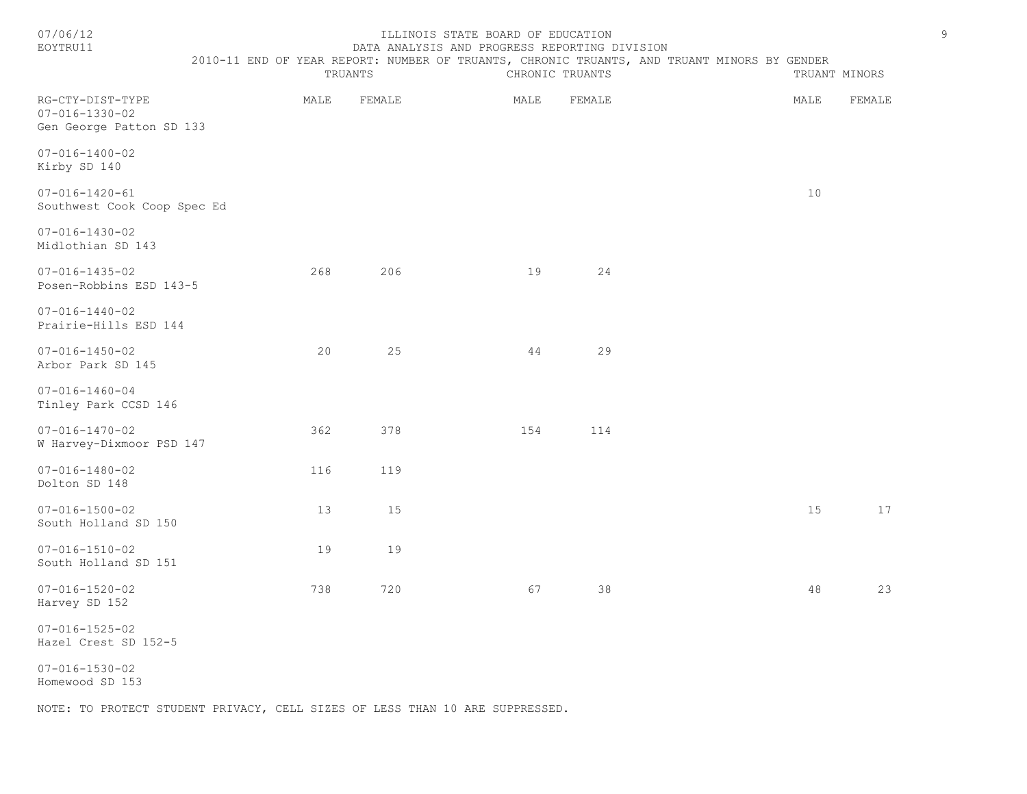#### 07/06/12 ILLINOIS STATE BOARD OF EDUCATION 9 DATA ANALYSIS AND PROGRESS REPORTING DIVISION

#### 2010-11 END OF YEAR REPORT: NUMBER OF TRUANTS, CHRONIC TRUANTS, AND TRUANT MINORS BY GENDER

|                                                                        |      | TRUANTS | CHRONIC TRUANTS | TRUANT MINORS |      |        |
|------------------------------------------------------------------------|------|---------|-----------------|---------------|------|--------|
| RG-CTY-DIST-TYPE<br>$07 - 016 - 1330 - 02$<br>Gen George Patton SD 133 | MALE | FEMALE  | MALE            | FEMALE        | MALE | FEMALE |
| $07 - 016 - 1400 - 02$<br>Kirby SD 140                                 |      |         |                 |               |      |        |
| $07 - 016 - 1420 - 61$<br>Southwest Cook Coop Spec Ed                  |      |         |                 |               | $10$ |        |
| $07 - 016 - 1430 - 02$<br>Midlothian SD 143                            |      |         |                 |               |      |        |
| $07 - 016 - 1435 - 02$<br>Posen-Robbins ESD 143-5                      | 268  | 206     | 19              | 24            |      |        |
| $07 - 016 - 1440 - 02$<br>Prairie-Hills ESD 144                        |      |         |                 |               |      |        |
| $07 - 016 - 1450 - 02$<br>Arbor Park SD 145                            | 20   | 25      | 44              | 29            |      |        |
| $07 - 016 - 1460 - 04$<br>Tinley Park CCSD 146                         |      |         |                 |               |      |        |
| $07 - 016 - 1470 - 02$<br>W Harvey-Dixmoor PSD 147                     | 362  | 378     | 154             | 114           |      |        |
| $07 - 016 - 1480 - 02$<br>Dolton SD 148                                | 116  | 119     |                 |               |      |        |
| $07 - 016 - 1500 - 02$<br>South Holland SD 150                         | 13   | 15      |                 |               | 15   | 17     |
| $07 - 016 - 1510 - 02$<br>South Holland SD 151                         | 19   | 19      |                 |               |      |        |
| $07 - 016 - 1520 - 02$<br>Harvey SD 152                                | 738  | 720     | 67              | 38            | 48   | 23     |
| $07 - 016 - 1525 - 02$                                                 |      |         |                 |               |      |        |

Hazel Crest SD 152-5

07-016-1530-02 Homewood SD 153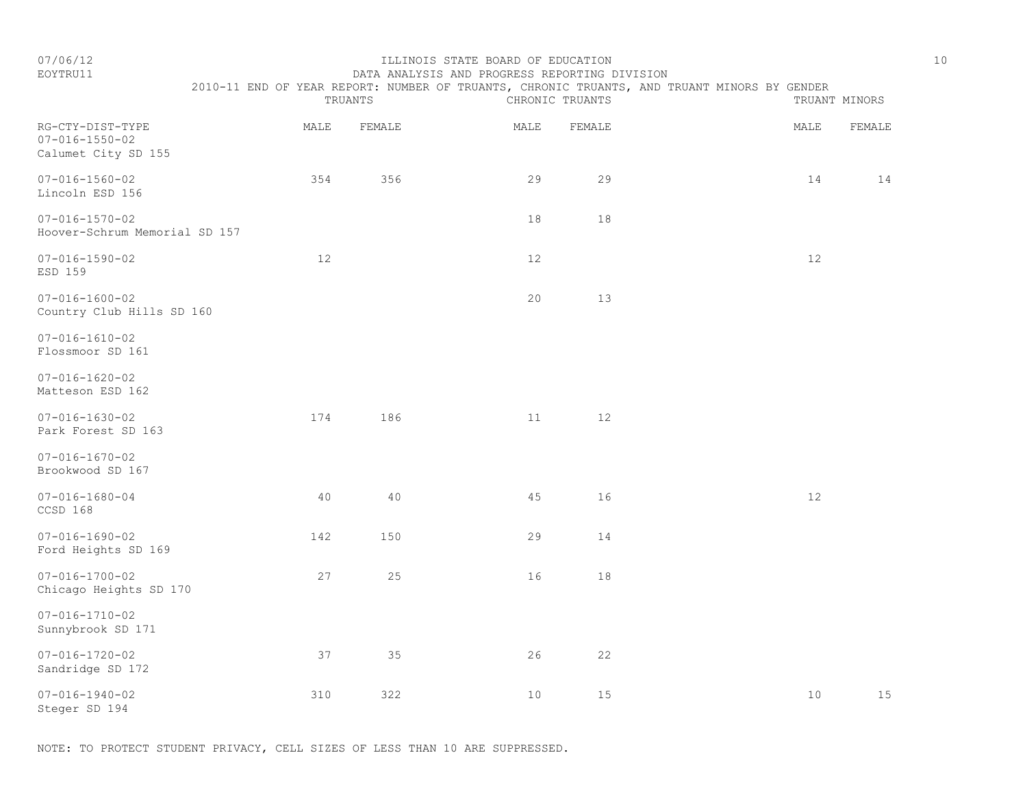## EOYTRU11 DATA ANALYSIS AND PROGRESS REPORTING DIVISION

|                                                                   | 2010-11 END OF YEAR REPORT: NUMBER OF TRUANTS, CHRONIC TRUANTS, AND TRUANT MINORS BY GENDER | TRUANTS |      | CHRONIC TRUANTS |      |    | TRUANT MINORS |
|-------------------------------------------------------------------|---------------------------------------------------------------------------------------------|---------|------|-----------------|------|----|---------------|
| RG-CTY-DIST-TYPE<br>$07 - 016 - 1550 - 02$<br>Calumet City SD 155 | MALE                                                                                        | FEMALE  | MALE | FEMALE          | MALE |    | FEMALE        |
| $07 - 016 - 1560 - 02$<br>Lincoln ESD 156                         | 354                                                                                         | 356     | 29   | 29              |      | 14 | 14            |
| $07 - 016 - 1570 - 02$<br>Hoover-Schrum Memorial SD 157           |                                                                                             |         | 18   | 18              |      |    |               |
| $07 - 016 - 1590 - 02$<br>ESD 159                                 | 12                                                                                          |         | 12   |                 |      | 12 |               |
| $07 - 016 - 1600 - 02$<br>Country Club Hills SD 160               |                                                                                             |         | 20   | 13              |      |    |               |
| $07 - 016 - 1610 - 02$<br>Flossmoor SD 161                        |                                                                                             |         |      |                 |      |    |               |
| $07 - 016 - 1620 - 02$<br>Matteson ESD 162                        |                                                                                             |         |      |                 |      |    |               |
| $07 - 016 - 1630 - 02$<br>Park Forest SD 163                      | 174                                                                                         | 186     | 11   | 12              |      |    |               |
| $07 - 016 - 1670 - 02$<br>Brookwood SD 167                        |                                                                                             |         |      |                 |      |    |               |
| $07 - 016 - 1680 - 04$<br>CCSD 168                                | 40                                                                                          | 40      | 45   | 16              |      | 12 |               |
| $07 - 016 - 1690 - 02$<br>Ford Heights SD 169                     | 142                                                                                         | 150     | 29   | 14              |      |    |               |
| $07 - 016 - 1700 - 02$<br>Chicago Heights SD 170                  | 27                                                                                          | 25      | 16   | $1\,8$          |      |    |               |
| $07 - 016 - 1710 - 02$<br>Sunnybrook SD 171                       |                                                                                             |         |      |                 |      |    |               |
| $07 - 016 - 1720 - 02$<br>Sandridge SD 172                        | 37                                                                                          | 35      | 26   | 22              |      |    |               |
| $07 - 016 - 1940 - 02$<br>Steger SD 194                           | 310                                                                                         | 322     | 10   | 15              |      | 10 | 15            |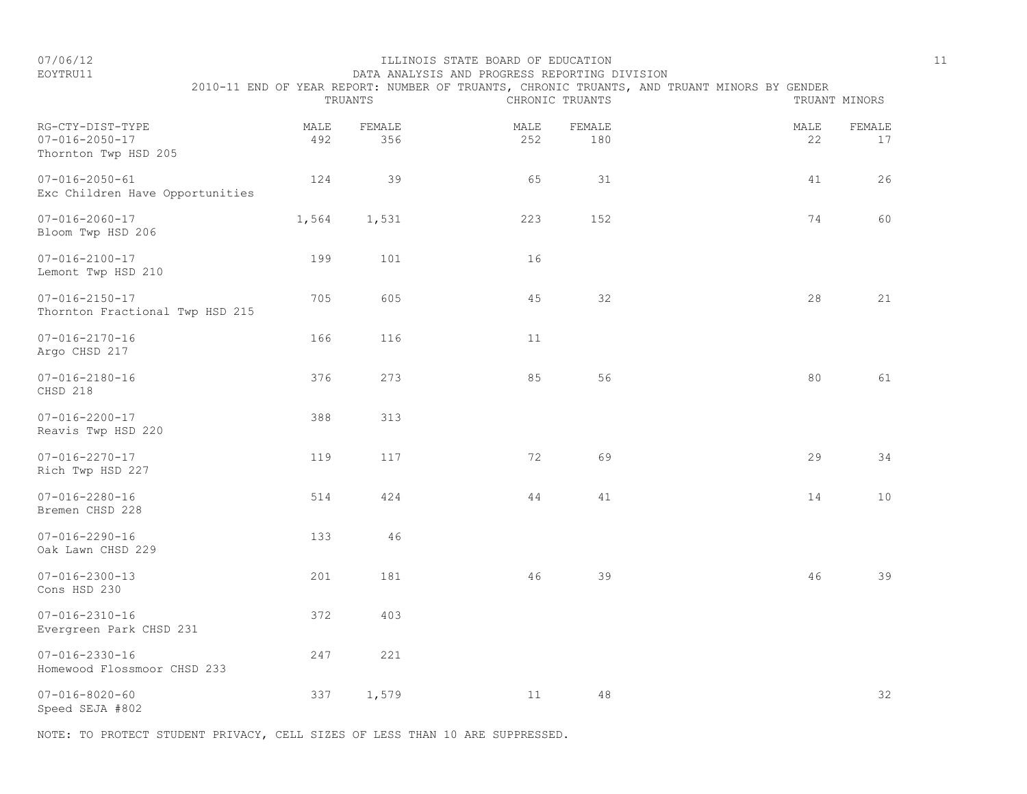#### EOYTRU11 DATA ANALYSIS AND PROGRESS REPORTING DIVISION 2010-11 END OF YEAR REPORT: NUMBER OF TRUANTS, CHRONIC TRUANTS, AND TRUANT MINORS BY GENDER

|                                                                    |             | TRUANTS       |             | CHRONIC TRUANTS | TRUANT MINORS |              |  |
|--------------------------------------------------------------------|-------------|---------------|-------------|-----------------|---------------|--------------|--|
| RG-CTY-DIST-TYPE<br>$07 - 016 - 2050 - 17$<br>Thornton Twp HSD 205 | MALE<br>492 | FEMALE<br>356 | MALE<br>252 | FEMALE<br>180   | MALE<br>22    | FEMALE<br>17 |  |
| $07 - 016 - 2050 - 61$<br>Exc Children Have Opportunities          | 124         | 39            | 65          | 31              | 41            | 26           |  |
| $07 - 016 - 2060 - 17$<br>Bloom Twp HSD 206                        | 1,564       | 1,531         | 223         | 152             | 74            | 60           |  |
| $07 - 016 - 2100 - 17$<br>Lemont Twp HSD 210                       | 199         | 101           | 16          |                 |               |              |  |
| $07 - 016 - 2150 - 17$<br>Thornton Fractional Twp HSD 215          | 705         | 605           | 45          | 32              | 28            | 21           |  |
| $07 - 016 - 2170 - 16$<br>Argo CHSD 217                            | 166         | 116           | 11          |                 |               |              |  |
| $07 - 016 - 2180 - 16$<br>CHSD 218                                 | 376         | 273           | 85          | 56              | 80            | 61           |  |
| $07 - 016 - 2200 - 17$<br>Reavis Twp HSD 220                       | 388         | 313           |             |                 |               |              |  |
| $07 - 016 - 2270 - 17$<br>Rich Twp HSD 227                         | 119         | 117           | 72          | 69              | 29            | 34           |  |
| $07 - 016 - 2280 - 16$<br>Bremen CHSD 228                          | 514         | 424           | 44          | 41              | 14            | 10           |  |
| $07 - 016 - 2290 - 16$<br>Oak Lawn CHSD 229                        | 133         | 46            |             |                 |               |              |  |
| $07 - 016 - 2300 - 13$<br>Cons HSD 230                             | 201         | 181           | 46          | 39              | 46            | 39           |  |
| $07 - 016 - 2310 - 16$<br>Evergreen Park CHSD 231                  | 372         | 403           |             |                 |               |              |  |
| $07 - 016 - 2330 - 16$<br>Homewood Flossmoor CHSD 233              | 247         | 221           |             |                 |               |              |  |
| $07 - 016 - 8020 - 60$<br>Speed SEJA #802                          | 337         | 1,579         | 11          | 48              |               | 32           |  |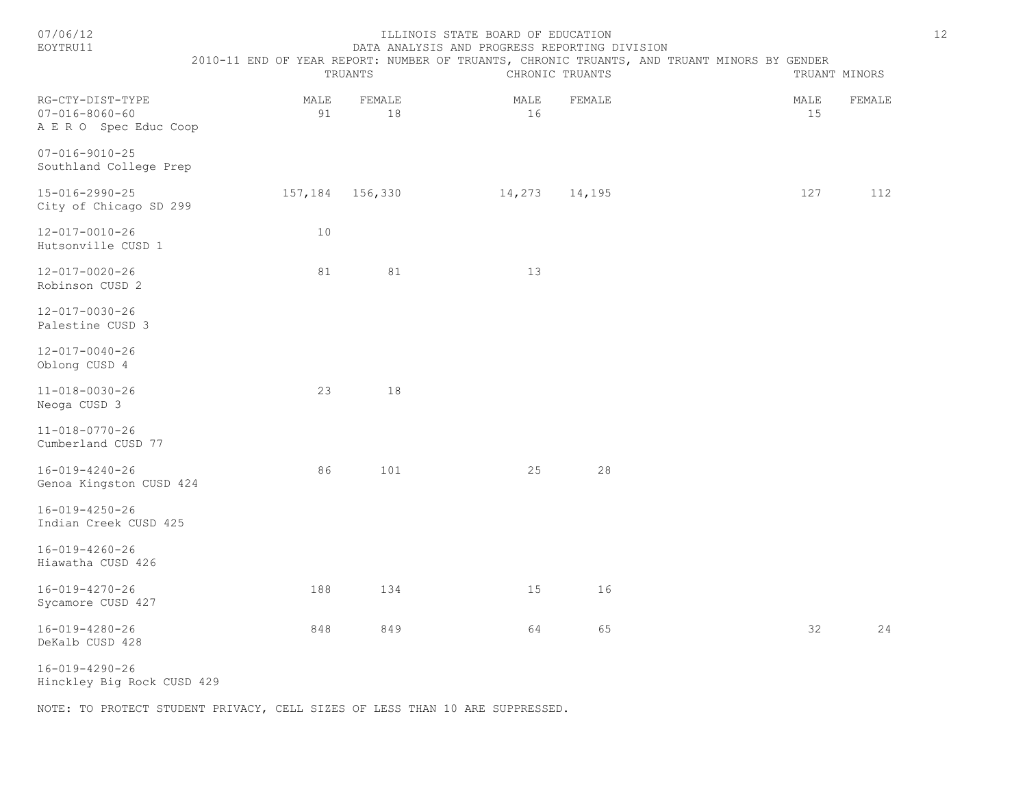| 07/06/12<br>EOYTRU11                                                 |                   | TRUANTS | ILLINOIS STATE BOARD OF EDUCATION | CHRONIC TRUANTS | DATA ANALYSIS AND PROGRESS REPORTING DIVISION | 2010-11 END OF YEAR REPORT: NUMBER OF TRUANTS, CHRONIC TRUANTS, AND TRUANT MINORS BY GENDER |            | TRUANT MINORS | 12 |
|----------------------------------------------------------------------|-------------------|---------|-----------------------------------|-----------------|-----------------------------------------------|---------------------------------------------------------------------------------------------|------------|---------------|----|
| RG-CTY-DIST-TYPE<br>$07 - 016 - 8060 - 60$<br>A E R O Spec Educ Coop | MALE<br>91        | FEMALE  | 18                                | MALE<br>16      | FEMALE                                        |                                                                                             | MALE<br>15 | FEMALE        |    |
| $07 - 016 - 9010 - 25$<br>Southland College Prep                     |                   |         |                                   |                 |                                               |                                                                                             |            |               |    |
| 15-016-2990-25<br>City of Chicago SD 299                             | 157, 184 156, 330 |         |                                   | 14,273          | 14,195                                        |                                                                                             | 127        | 112           |    |
| $12 - 017 - 0010 - 26$<br>Hutsonville CUSD 1                         | 10                |         |                                   |                 |                                               |                                                                                             |            |               |    |
| 12-017-0020-26<br>Robinson CUSD 2                                    | 81                |         | 81                                | 13              |                                               |                                                                                             |            |               |    |
| 12-017-0030-26<br>Palestine CUSD 3                                   |                   |         |                                   |                 |                                               |                                                                                             |            |               |    |
| $12 - 017 - 0040 - 26$<br>Oblong CUSD 4                              |                   |         |                                   |                 |                                               |                                                                                             |            |               |    |
| $11 - 018 - 0030 - 26$<br>Neoga CUSD 3                               | 23                |         | 18                                |                 |                                               |                                                                                             |            |               |    |
| $11 - 018 - 0770 - 26$<br>Cumberland CUSD 77                         |                   |         |                                   |                 |                                               |                                                                                             |            |               |    |
| $16 - 019 - 4240 - 26$<br>Genoa Kingston CUSD 424                    | 86                |         | 101                               | 25              | 28                                            |                                                                                             |            |               |    |
| $16 - 019 - 4250 - 26$<br>Indian Creek CUSD 425                      |                   |         |                                   |                 |                                               |                                                                                             |            |               |    |
| $16 - 019 - 4260 - 26$<br>Hiawatha CUSD 426                          |                   |         |                                   |                 |                                               |                                                                                             |            |               |    |
| $16 - 019 - 4270 - 26$<br>Sycamore CUSD 427                          | 188               |         | 134                               | 15              | 16                                            |                                                                                             |            |               |    |
| 16-019-4280-26<br>DeKalb CUSD 428                                    | 848               |         | 849                               | 64              | 65                                            |                                                                                             | 32         | 24            |    |

16-019-4290-26

Hinckley Big Rock CUSD 429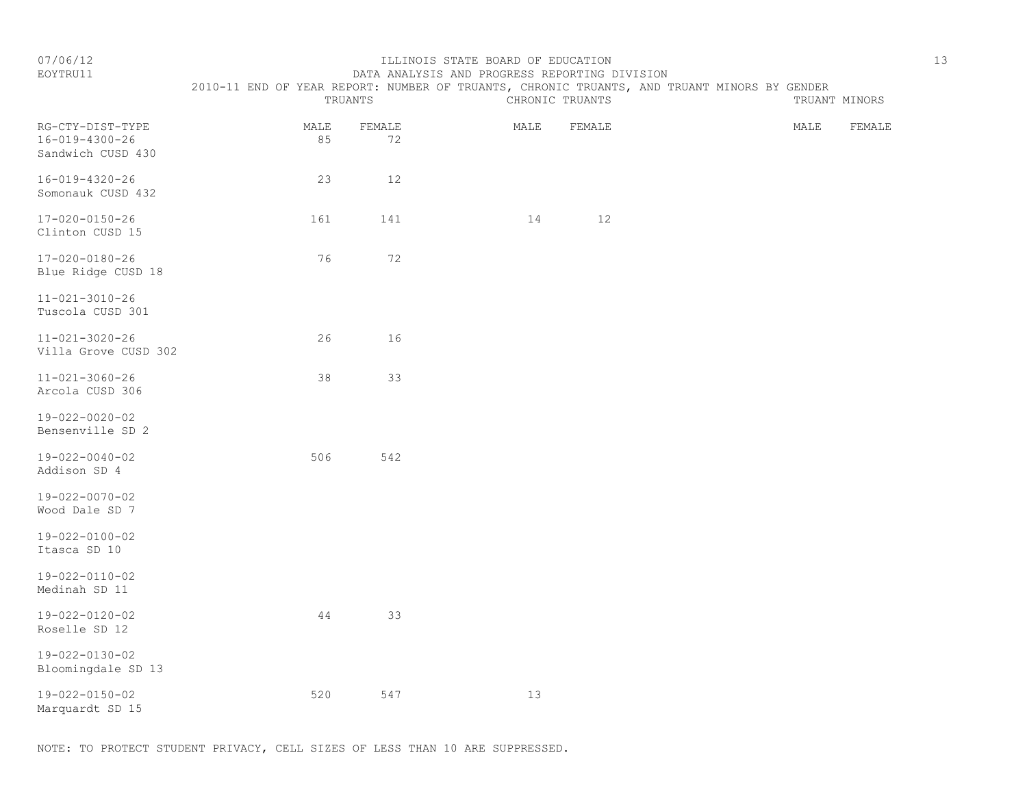#### EOYTRU11 DATA ANALYSIS AND PROGRESS REPORTING DIVISION 2010-11 END OF YEAR REPORT: NUMBER OF TRUANTS, CHRONIC TRUANTS, AND TRUANT MINORS BY GENDER

|                                                                 | TRUANTS    |              |      | CHRONIC TRUANTS |  |      | TRUANT MINORS |  |  |
|-----------------------------------------------------------------|------------|--------------|------|-----------------|--|------|---------------|--|--|
| RG-CTY-DIST-TYPE<br>$16 - 019 - 4300 - 26$<br>Sandwich CUSD 430 | MALE<br>85 | FEMALE<br>72 | MALE | FEMALE          |  | MALE | FEMALE        |  |  |
| $16 - 019 - 4320 - 26$<br>Somonauk CUSD 432                     | 23         | $12$         |      |                 |  |      |               |  |  |
| $17 - 020 - 0150 - 26$<br>Clinton CUSD 15                       | 161        | 141          | 14   | 12              |  |      |               |  |  |
| $17 - 020 - 0180 - 26$<br>Blue Ridge CUSD 18                    | 76         | 72           |      |                 |  |      |               |  |  |
| $11 - 021 - 3010 - 26$<br>Tuscola CUSD 301                      |            |              |      |                 |  |      |               |  |  |
| $11 - 021 - 3020 - 26$<br>Villa Grove CUSD 302                  | 26         | 16           |      |                 |  |      |               |  |  |
| $11 - 021 - 3060 - 26$<br>Arcola CUSD 306                       | 38         | 33           |      |                 |  |      |               |  |  |
| $19 - 022 - 0020 - 02$<br>Bensenville SD 2                      |            |              |      |                 |  |      |               |  |  |
| $19 - 022 - 0040 - 02$<br>Addison SD 4                          | 506        | 542          |      |                 |  |      |               |  |  |
| 19-022-0070-02<br>Wood Dale SD 7                                |            |              |      |                 |  |      |               |  |  |
| $19 - 022 - 0100 - 02$<br>Itasca SD 10                          |            |              |      |                 |  |      |               |  |  |
| $19 - 022 - 0110 - 02$<br>Medinah SD 11                         |            |              |      |                 |  |      |               |  |  |
| $19 - 022 - 0120 - 02$<br>Roselle SD 12                         | 44         | 33           |      |                 |  |      |               |  |  |
| $19 - 022 - 0130 - 02$<br>Bloomingdale SD 13                    |            |              |      |                 |  |      |               |  |  |
| 19-022-0150-02<br>Marquardt SD 15                               | 520        | 547          | 13   |                 |  |      |               |  |  |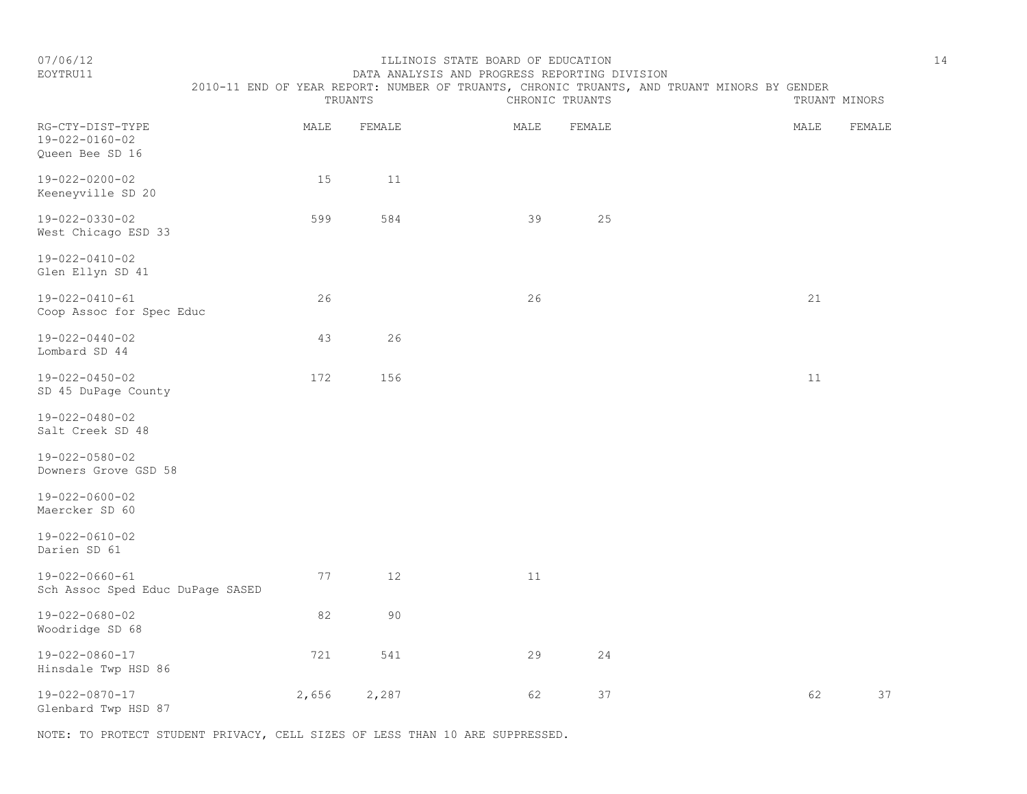# EOYTRU11 DATA ANALYSIS AND PROGRESS REPORTING DIVISION 2010-11 END OF YEAR REPORT: NUMBER OF TRUANTS, CHRONIC TRUANTS, AND TRUANT MINORS BY GENDER<br>CHRONIC TRUANTS

|                                                               | TRUANTS |        | CHRONIC TRUANTS |        | TRUANT MINORS |        |
|---------------------------------------------------------------|---------|--------|-----------------|--------|---------------|--------|
| RG-CTY-DIST-TYPE<br>$19 - 022 - 0160 - 02$<br>Queen Bee SD 16 | MALE    | FEMALE | MALE            | FEMALE | MALE          | FEMALE |
| $19 - 022 - 0200 - 02$<br>Keeneyville SD 20                   | 15      | 11     |                 |        |               |        |
| 19-022-0330-02<br>West Chicago ESD 33                         | 599     | 584    | 39              | 25     |               |        |
| $19 - 022 - 0410 - 02$<br>Glen Ellyn SD 41                    |         |        |                 |        |               |        |
| $19 - 022 - 0410 - 61$<br>Coop Assoc for Spec Educ            | 26      |        | 26              |        | 21            |        |
| $19 - 022 - 0440 - 02$<br>Lombard SD 44                       | 43      | 26     |                 |        |               |        |
| $19 - 022 - 0450 - 02$<br>SD 45 DuPage County                 | 172     | 156    |                 |        | 11            |        |
| 19-022-0480-02<br>Salt Creek SD 48                            |         |        |                 |        |               |        |
| $19 - 022 - 0580 - 02$<br>Downers Grove GSD 58                |         |        |                 |        |               |        |
| $19 - 022 - 0600 - 02$<br>Maercker SD 60                      |         |        |                 |        |               |        |
| $19 - 022 - 0610 - 02$<br>Darien SD 61                        |         |        |                 |        |               |        |
| $19 - 022 - 0660 - 61$<br>Sch Assoc Sped Educ DuPage SASED    | 77      | 12     | 11              |        |               |        |
| $19 - 022 - 0680 - 02$<br>Woodridge SD 68                     | 82      | 90     |                 |        |               |        |
| $19 - 022 - 0860 - 17$<br>Hinsdale Twp HSD 86                 | 721     | 541    | 29              | 24     |               |        |
| $19 - 022 - 0870 - 17$<br>Glenbard Twp HSD 87                 | 2,656   | 2,287  | 62              | 37     | 62            | 37     |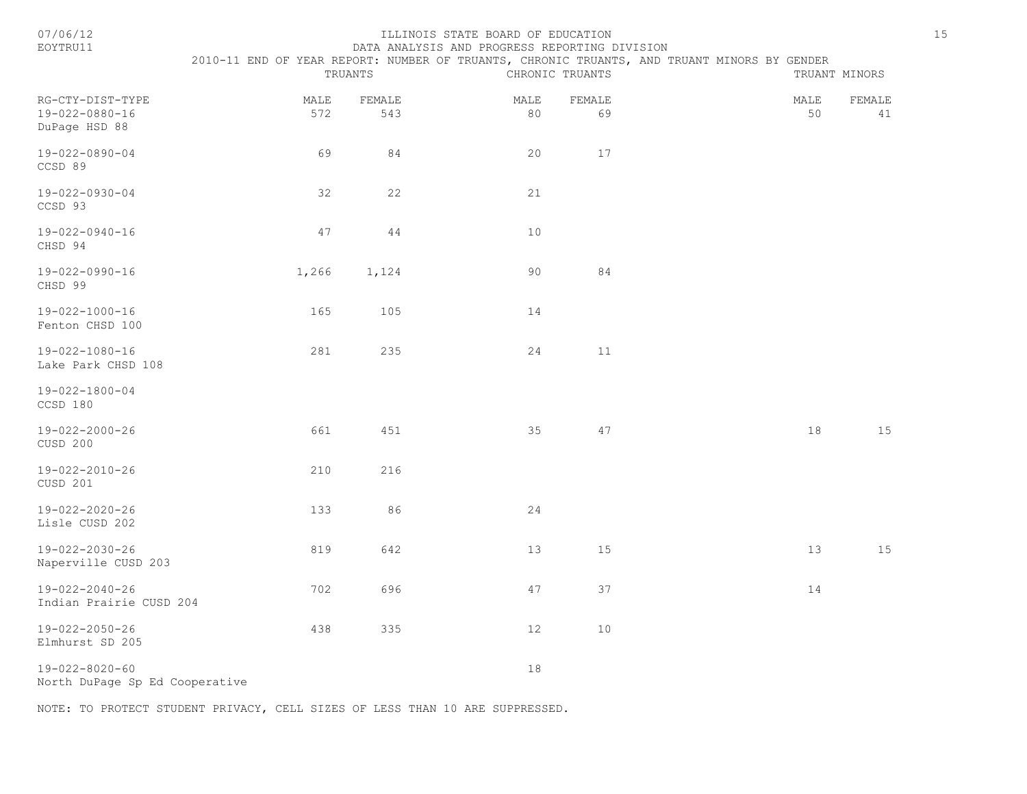| 07/06/1 |  |
|---------|--|
|         |  |

#### 07/06/12 ILLINOIS STATE BOARD OF EDUCATION 15 EOYTRU11 DATA ANALYSIS AND PROGRESS REPORTING DIVISION

| <b>EOITKOTT</b>                                     |             |                                                                                                                           | DATA ANALISIS AND PROGRESS REPORTING DIVISION |              |  |            |               |
|-----------------------------------------------------|-------------|---------------------------------------------------------------------------------------------------------------------------|-----------------------------------------------|--------------|--|------------|---------------|
|                                                     |             | 2010-11 END OF YEAR REPORT: NUMBER OF TRUANTS, CHRONIC TRUANTS, AND TRUANT MINORS BY GENDER<br>TRUANTS<br>CHRONIC TRUANTS |                                               |              |  |            | TRUANT MINORS |
| RG-CTY-DIST-TYPE<br>19-022-0880-16<br>DuPage HSD 88 | MALE<br>572 | FEMALE<br>543                                                                                                             | MALE<br>80                                    | FEMALE<br>69 |  | MALE<br>50 | FEMALE<br>41  |
| $19 - 022 - 0890 - 04$<br>CCSD 89                   | 69          | 84                                                                                                                        | 20                                            | 17           |  |            |               |
| 19-022-0930-04<br>CCSD 93                           | 32          | 22                                                                                                                        | 21                                            |              |  |            |               |
| 19-022-0940-16<br>CHSD 94                           | 47          | 44                                                                                                                        | 10                                            |              |  |            |               |
| 19-022-0990-16<br>CHSD 99                           | 1,266       | 1,124                                                                                                                     | 90                                            | 84           |  |            |               |
| 19-022-1000-16<br>Fenton CHSD 100                   | 165         | 105                                                                                                                       | 14                                            |              |  |            |               |
| 19-022-1080-16<br>Lake Park CHSD 108                | 281         | 235                                                                                                                       | 24                                            | 11           |  |            |               |
| 19-022-1800-04<br>CCSD 180                          |             |                                                                                                                           |                                               |              |  |            |               |
| 19-022-2000-26<br>CUSD 200                          | 661         | 451                                                                                                                       | 35                                            | 47           |  | 18         | 15            |
| 19-022-2010-26<br>CUSD 201                          | 210         | 216                                                                                                                       |                                               |              |  |            |               |
| 19-022-2020-26<br>Lisle CUSD 202                    | 133         | 86                                                                                                                        | 24                                            |              |  |            |               |
| 19-022-2030-26<br>Naperville CUSD 203               | 819         | 642                                                                                                                       | 13                                            | 15           |  | 13         | 15            |
| 19-022-2040-26<br>Indian Prairie CUSD 204           | 702         | 696                                                                                                                       | 47                                            | 37           |  | 14         |               |
| $19 - 022 - 2050 - 26$<br>Elmhurst SD 205           | 438         | 335                                                                                                                       | 12                                            | 10           |  |            |               |
| $19 - 022 - 8020 - 60$                              |             |                                                                                                                           | 18                                            |              |  |            |               |

North DuPage Sp Ed Cooperative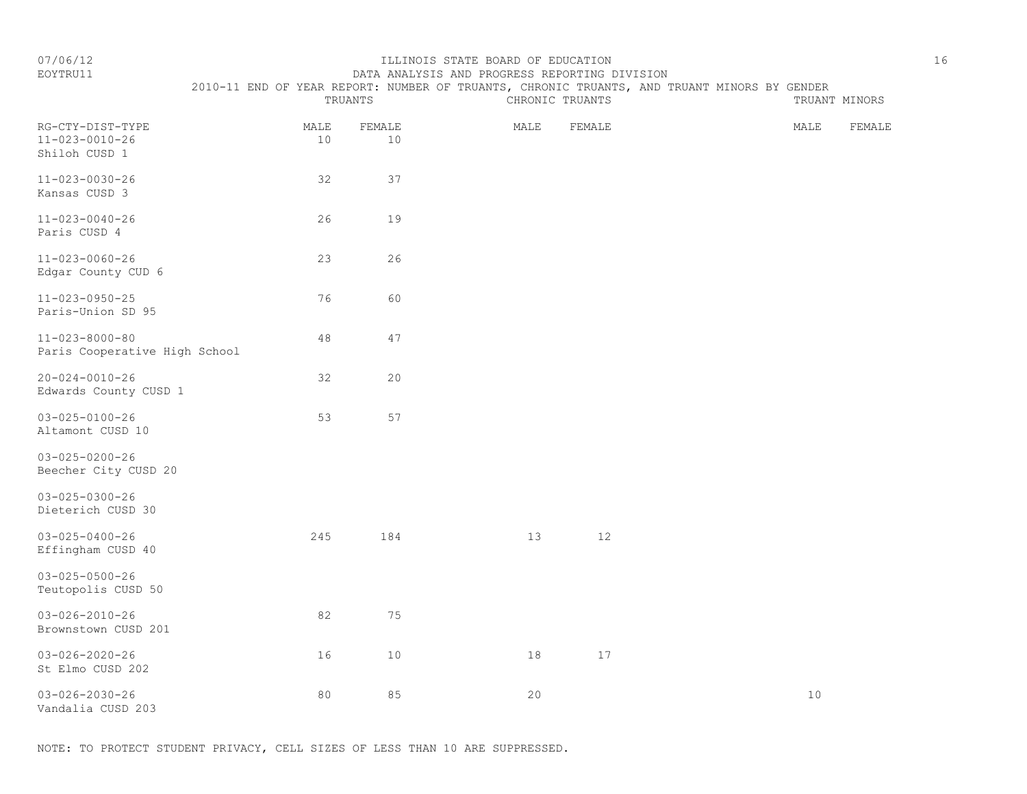EOYTRU11 DATA ANALYSIS AND PROGRESS REPORTING DIVISION

2010-11 END OF YEAR REPORT: NUMBER OF TRUANTS, CHRONIC TRUANTS, AND TRUANT MINORS BY GENDER

|                                                             | TRUANTS    |                | CHRONIC TRUANTS |        | TRUANT MINORS |        |
|-------------------------------------------------------------|------------|----------------|-----------------|--------|---------------|--------|
| RG-CTY-DIST-TYPE<br>$11 - 023 - 0010 - 26$<br>Shiloh CUSD 1 | MALE<br>10 | FEMALE<br>$10$ | MALE            | FEMALE | MALE          | FEMALE |
| $11 - 023 - 0030 - 26$<br>Kansas CUSD 3                     | 32         | 37             |                 |        |               |        |
| $11 - 023 - 0040 - 26$<br>Paris CUSD 4                      | 26         | 19             |                 |        |               |        |
| $11 - 023 - 0060 - 26$<br>Edgar County CUD 6                | 23         | 26             |                 |        |               |        |
| $11 - 023 - 0950 - 25$<br>Paris-Union SD 95                 | 76         | 60             |                 |        |               |        |
| $11 - 023 - 8000 - 80$<br>Paris Cooperative High School     | $4\,8$     | 47             |                 |        |               |        |
| $20 - 024 - 0010 - 26$<br>Edwards County CUSD 1             | 32         | 20             |                 |        |               |        |
| $03 - 025 - 0100 - 26$<br>Altamont CUSD 10                  | 53         | 57             |                 |        |               |        |
| $03 - 025 - 0200 - 26$<br>Beecher City CUSD 20              |            |                |                 |        |               |        |
| $03 - 025 - 0300 - 26$<br>Dieterich CUSD 30                 |            |                |                 |        |               |        |
| $03 - 025 - 0400 - 26$<br>Effingham CUSD 40                 | 245        | 184            | 13              | $12$   |               |        |
| $03 - 025 - 0500 - 26$<br>Teutopolis CUSD 50                |            |                |                 |        |               |        |
| $03 - 026 - 2010 - 26$<br>Brownstown CUSD 201               | 82         | 75             |                 |        |               |        |
| $03 - 026 - 2020 - 26$<br>St Elmo CUSD 202                  | 16         | 10             | 18              | 17     |               |        |
| $03 - 026 - 2030 - 26$<br>Vandalia CUSD 203                 | 80         | 85             | 20              |        | $10$          |        |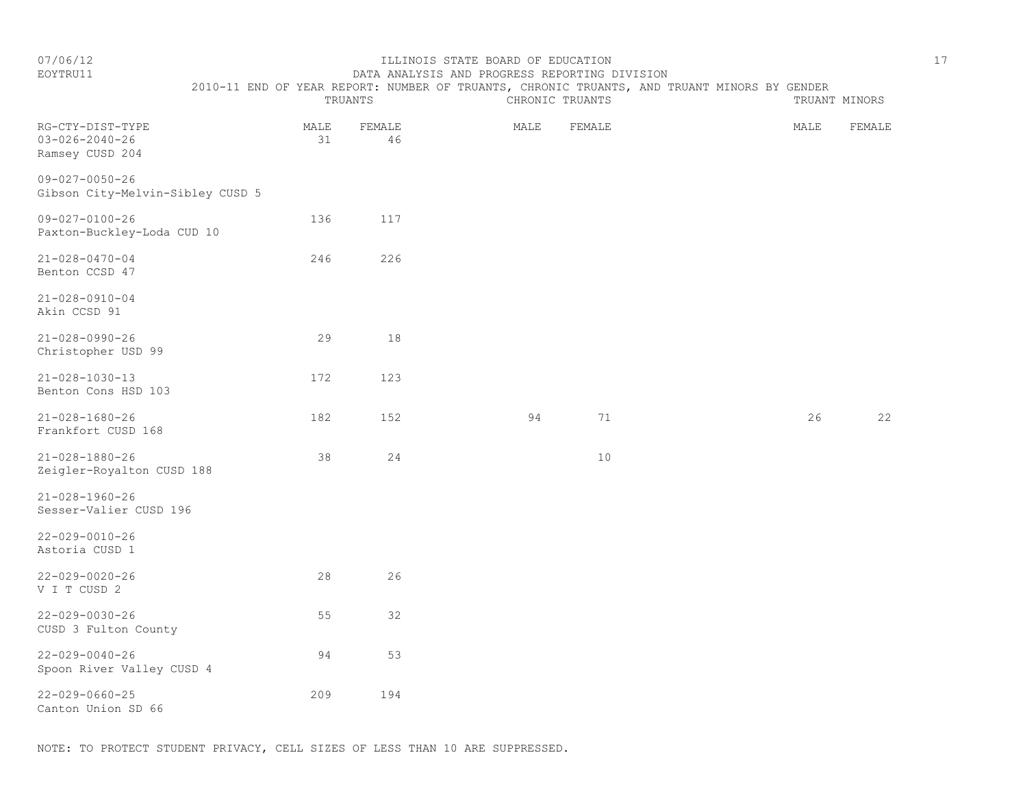#### EOYTRU11 DATA ANALYSIS AND PROGRESS REPORTING DIVISION 2010-11 END OF YEAR REPORT: NUMBER OF TRUANTS, CHRONIC TRUANTS, AND TRUANT MINORS BY GENDER

|                                                               | TRUANTS    |              | CHRONIC TRUANTS |        | TRUANT MINORS |        |  |
|---------------------------------------------------------------|------------|--------------|-----------------|--------|---------------|--------|--|
| RG-CTY-DIST-TYPE<br>$03 - 026 - 2040 - 26$<br>Ramsey CUSD 204 | MALE<br>31 | FEMALE<br>46 | MALE            | FEMALE | MALE          | FEMALE |  |
| $09 - 027 - 0050 - 26$<br>Gibson City-Melvin-Sibley CUSD 5    |            |              |                 |        |               |        |  |
| $09 - 027 - 0100 - 26$<br>Paxton-Buckley-Loda CUD 10          | 136        | 117          |                 |        |               |        |  |
| $21 - 028 - 0470 - 04$<br>Benton CCSD 47                      | 246        | 226          |                 |        |               |        |  |
| $21 - 028 - 0910 - 04$<br>Akin CCSD 91                        |            |              |                 |        |               |        |  |
| $21 - 028 - 0990 - 26$<br>Christopher USD 99                  | 29         | 18           |                 |        |               |        |  |
| $21 - 028 - 1030 - 13$<br>Benton Cons HSD 103                 | 172        | 123          |                 |        |               |        |  |
| $21 - 028 - 1680 - 26$<br>Frankfort CUSD 168                  | 182        | 152          | 94              | 71     | 26            | 22     |  |
| $21 - 028 - 1880 - 26$<br>Zeigler-Royalton CUSD 188           | 38         | 24           |                 | $10$   |               |        |  |
| $21 - 028 - 1960 - 26$<br>Sesser-Valier CUSD 196              |            |              |                 |        |               |        |  |
| $22 - 029 - 0010 - 26$<br>Astoria CUSD 1                      |            |              |                 |        |               |        |  |
| $22 - 029 - 0020 - 26$<br>V I T CUSD 2                        | 28         | 26           |                 |        |               |        |  |
| $22 - 029 - 0030 - 26$<br>CUSD 3 Fulton County                | 55         | 32           |                 |        |               |        |  |
| $22 - 029 - 0040 - 26$<br>Spoon River Valley CUSD 4           | 94         | 53           |                 |        |               |        |  |
| $22 - 029 - 0660 - 25$<br>Canton Union SD 66                  | 209        | 194          |                 |        |               |        |  |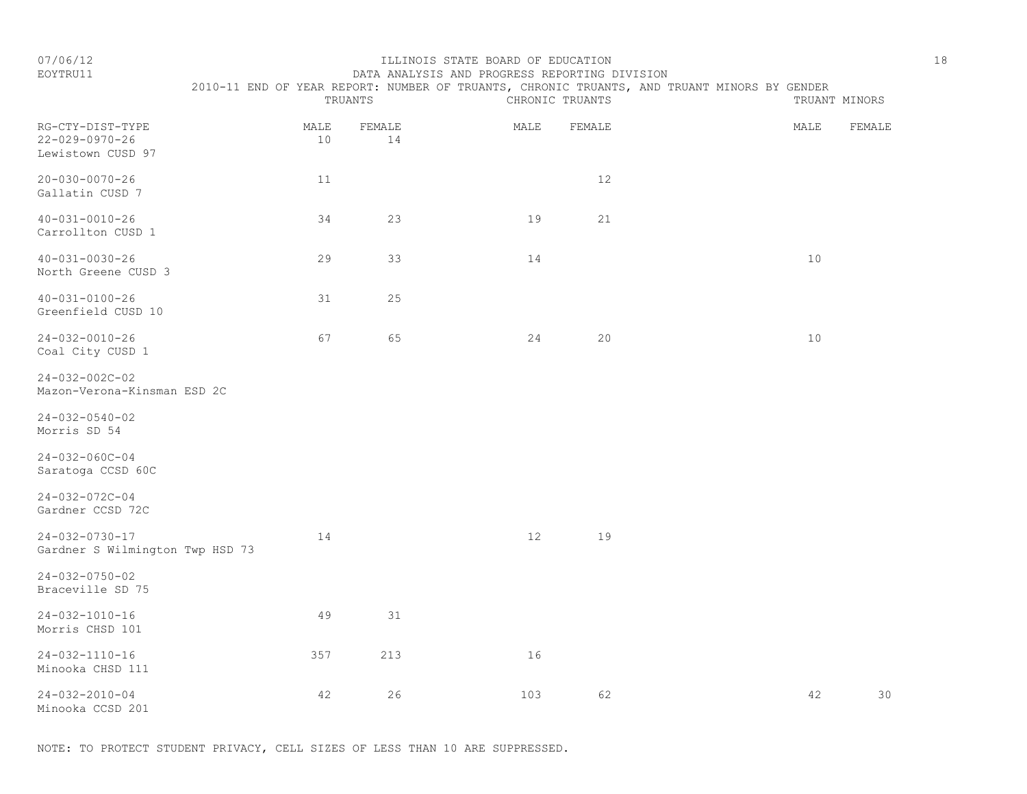# EOYTRU11 DATA ANALYSIS AND PROGRESS REPORTING DIVISION 2010-11 END OF YEAR REPORT: NUMBER OF TRUANTS, CHRONIC TRUANTS, AND TRUANT MINORS BY GENDER<br>CHRONIC TRUANTS

|                                                           | TRUANTS    |              | CHRONIC TRUANTS |        | TRUANT MINORS |        |
|-----------------------------------------------------------|------------|--------------|-----------------|--------|---------------|--------|
| RG-CTY-DIST-TYPE<br>22-029-0970-26<br>Lewistown CUSD 97   | MALE<br>10 | FEMALE<br>14 | MALE            | FEMALE | MALE          | FEMALE |
| $20 - 030 - 0070 - 26$<br>Gallatin CUSD 7                 | 11         |              |                 | 12     |               |        |
| $40 - 031 - 0010 - 26$<br>Carrollton CUSD 1               | 34         | 23           | 19              | 21     |               |        |
| $40 - 031 - 0030 - 26$<br>North Greene CUSD 3             | 29         | 33           | 14              |        | 10            |        |
| $40 - 031 - 0100 - 26$<br>Greenfield CUSD 10              | 31         | 25           |                 |        |               |        |
| 24-032-0010-26<br>Coal City CUSD 1                        | 67         | 65           | 24              | 20     | 10            |        |
| $24 - 032 - 002C - 02$<br>Mazon-Verona-Kinsman ESD 2C     |            |              |                 |        |               |        |
| $24 - 032 - 0540 - 02$<br>Morris SD 54                    |            |              |                 |        |               |        |
| $24 - 032 - 060C - 04$<br>Saratoga CCSD 60C               |            |              |                 |        |               |        |
| $24 - 032 - 072C - 04$<br>Gardner CCSD 72C                |            |              |                 |        |               |        |
| $24 - 032 - 0730 - 17$<br>Gardner S Wilmington Twp HSD 73 | 14         |              | 12              | 19     |               |        |
| $24 - 032 - 0750 - 02$<br>Braceville SD 75                |            |              |                 |        |               |        |
| 24-032-1010-16<br>Morris CHSD 101                         | 49         | 31           |                 |        |               |        |
| $24 - 032 - 1110 - 16$<br>Minooka CHSD 111                | 357        | 213          | 16              |        |               |        |
| $24 - 032 - 2010 - 04$<br>Minooka CCSD 201                | 42         | 26           | 103             | 62     | 42            | 30     |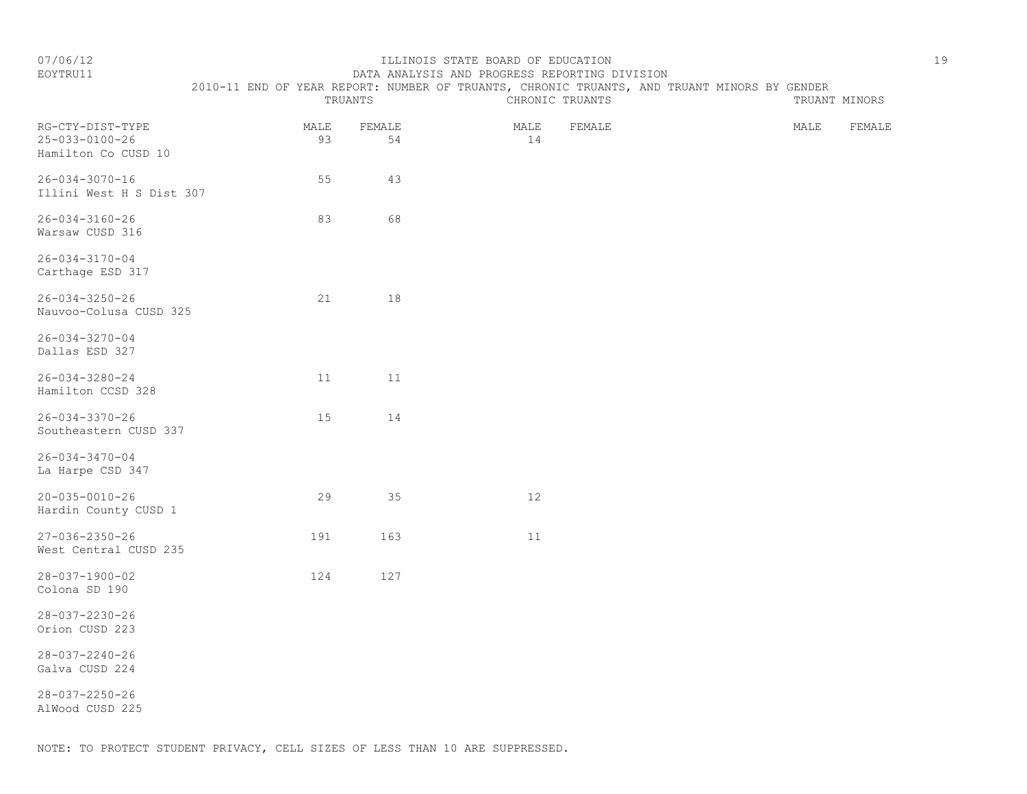EOYTRU11 DATA ANALYSIS AND PROGRESS REPORTING DIVISION

2010-11 END OF YEAR REPORT: NUMBER OF TRUANTS, CHRONIC TRUANTS, AND TRUANT MINORS BY GENDER

|                                                                   |            | TRUANTS      | CHRONIC TRUANTS      | TRUANT MINORS  |
|-------------------------------------------------------------------|------------|--------------|----------------------|----------------|
| RG-CTY-DIST-TYPE<br>$25 - 033 - 0100 - 26$<br>Hamilton Co CUSD 10 | MALE<br>93 | FEMALE<br>54 | MALE<br>FEMALE<br>14 | MALE<br>FEMALE |
| $26 - 034 - 3070 - 16$<br>Illini West H S Dist 307                | 55         | 43           |                      |                |
| $26 - 034 - 3160 - 26$<br>Warsaw CUSD 316                         | 83         | 68           |                      |                |
| $26 - 034 - 3170 - 04$<br>Carthage ESD 317                        |            |              |                      |                |
| $26 - 034 - 3250 - 26$<br>Nauvoo-Colusa CUSD 325                  | 21         | 18           |                      |                |
| $26 - 034 - 3270 - 04$<br>Dallas ESD 327                          |            |              |                      |                |
| $26 - 034 - 3280 - 24$<br>Hamilton CCSD 328                       | 11         | 11           |                      |                |
| $26 - 034 - 3370 - 26$<br>Southeastern CUSD 337                   | 15         | 14           |                      |                |
| $26 - 034 - 3470 - 04$<br>La Harpe CSD 347                        |            |              |                      |                |
| $20 - 035 - 0010 - 26$<br>Hardin County CUSD 1                    | 29         | 35           | $12$                 |                |
| $27 - 036 - 2350 - 26$<br>West Central CUSD 235                   | 191        | 163          | 11                   |                |
| $28 - 037 - 1900 - 02$<br>Colona SD 190                           | 124        | 127          |                      |                |
| $28 - 037 - 2230 - 26$<br>Orion CUSD 223                          |            |              |                      |                |
| $28 - 037 - 2240 - 26$<br>Galva CUSD 224                          |            |              |                      |                |
| $28 - 037 - 2250 - 26$<br>AlWood CUSD 225                         |            |              |                      |                |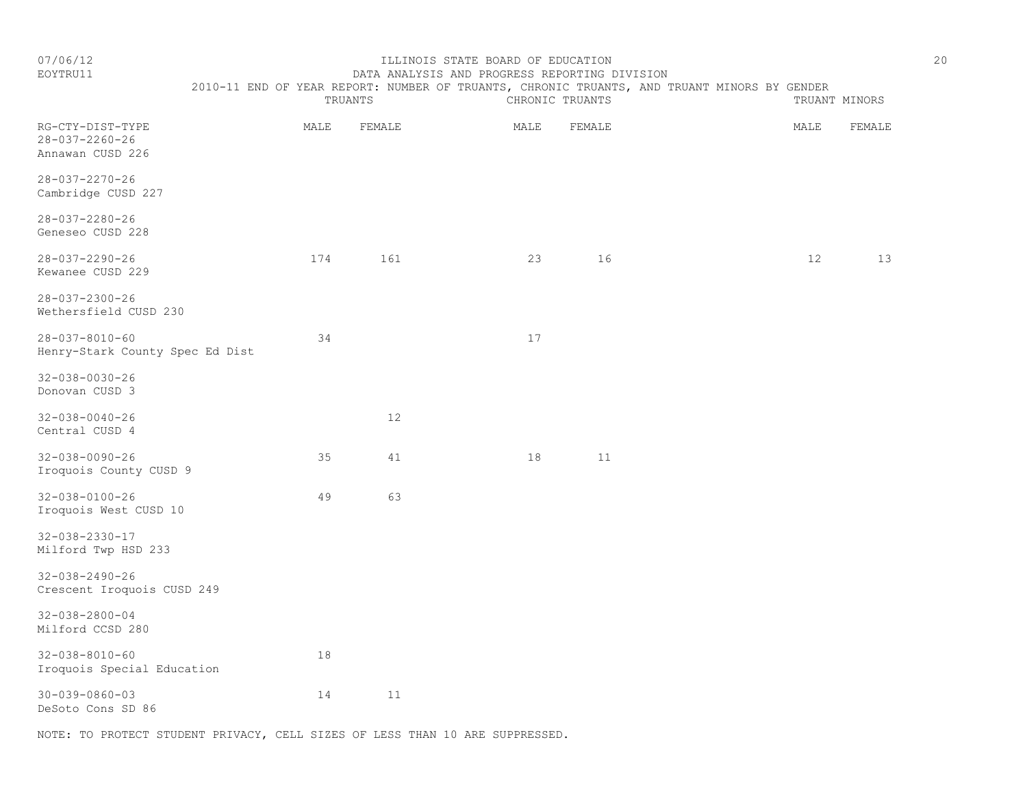#### EOYTRU11 DATA ANALYSIS AND PROGRESS REPORTING DIVISION 2010-11 END OF YEAR REPORT: NUMBER OF TRUANTS, CHRONIC TRUANTS, AND TRUANT MINORS BY GENDER

|                                                                |      | TRUANTS |      | CHRONIC TRUANTS |      | TRUANT MINORS |
|----------------------------------------------------------------|------|---------|------|-----------------|------|---------------|
| RG-CTY-DIST-TYPE<br>$28 - 037 - 2260 - 26$<br>Annawan CUSD 226 | MALE | FEMALE  | MALE | FEMALE          | MALE | FEMALE        |
| $28 - 037 - 2270 - 26$<br>Cambridge CUSD 227                   |      |         |      |                 |      |               |
| $28 - 037 - 2280 - 26$<br>Geneseo CUSD 228                     |      |         |      |                 |      |               |
| $28 - 037 - 2290 - 26$<br>Kewanee CUSD 229                     | 174  | 161     | 23   | 16              | 12   | 13            |
| $28 - 037 - 2300 - 26$<br>Wethersfield CUSD 230                |      |         |      |                 |      |               |
| $28 - 037 - 8010 - 60$<br>Henry-Stark County Spec Ed Dist      | 34   |         | 17   |                 |      |               |
| $32 - 038 - 0030 - 26$<br>Donovan CUSD 3                       |      |         |      |                 |      |               |
| $32 - 038 - 0040 - 26$<br>Central CUSD 4                       |      | 12      |      |                 |      |               |
| $32 - 038 - 0090 - 26$<br>Iroquois County CUSD 9               | 35   | 41      | 18   | 11              |      |               |
| $32 - 038 - 0100 - 26$<br>Iroquois West CUSD 10                | 49   | 63      |      |                 |      |               |
| $32 - 038 - 2330 - 17$<br>Milford Twp HSD 233                  |      |         |      |                 |      |               |
| $32 - 038 - 2490 - 26$<br>Crescent Iroquois CUSD 249           |      |         |      |                 |      |               |
| $32 - 038 - 2800 - 04$<br>Milford CCSD 280                     |      |         |      |                 |      |               |
| $32 - 038 - 8010 - 60$<br>Iroquois Special Education           | 18   |         |      |                 |      |               |
| $30 - 039 - 0860 - 03$<br>DeSoto Cons SD 86                    | 14   | 11      |      |                 |      |               |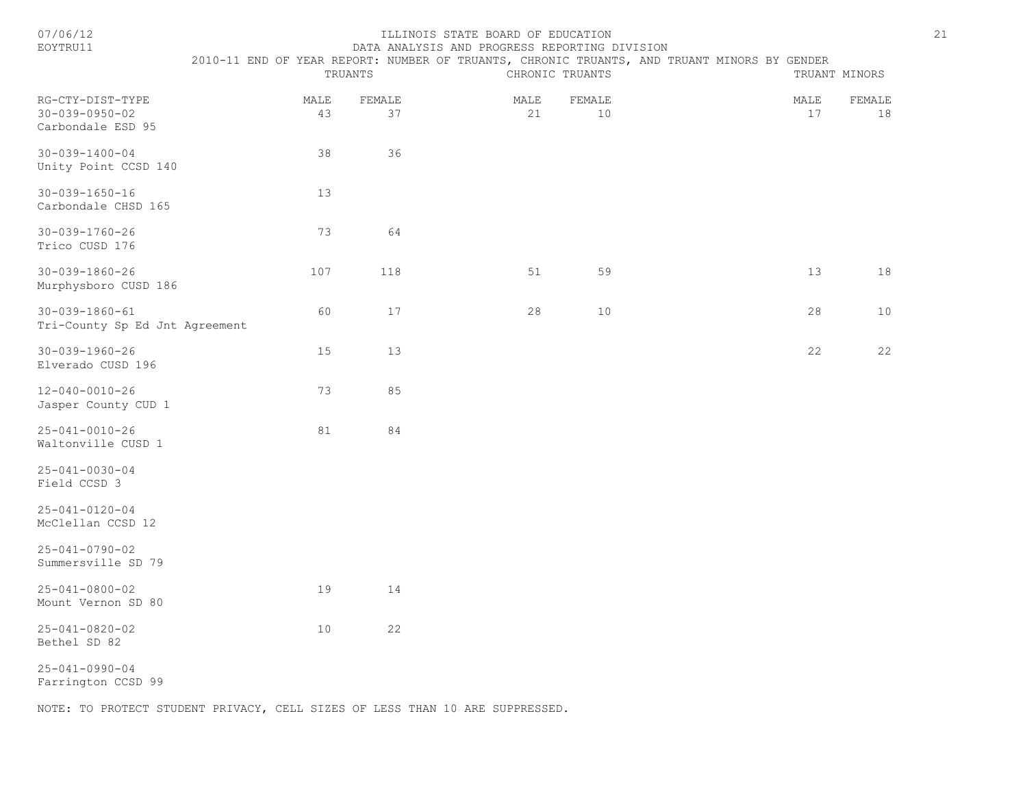| 07/06/1 |  |  |
|---------|--|--|
|         |  |  |

#### 07/06/12 ILLINOIS STATE BOARD OF EDUCATION 21 DATA ANALYSIS AND PROGRESS REPORTING DIVISION

|                                                                 |            | TRUANTS      |            | CHRONIC TRUANTS | 2010-11 END OF YEAR REPORT: NUMBER OF TRUANTS, CHRONIC TRUANTS, AND TRUANT MINORS BY GENDER |            | TRUANT MINORS |
|-----------------------------------------------------------------|------------|--------------|------------|-----------------|---------------------------------------------------------------------------------------------|------------|---------------|
| RG-CTY-DIST-TYPE<br>$30 - 039 - 0950 - 02$<br>Carbondale ESD 95 | MALE<br>43 | FEMALE<br>37 | MALE<br>21 | FEMALE<br>10    |                                                                                             | MALE<br>17 | FEMALE<br>18  |
| $30 - 039 - 1400 - 04$<br>Unity Point CCSD 140                  | 38         | 36           |            |                 |                                                                                             |            |               |
| $30 - 039 - 1650 - 16$<br>Carbondale CHSD 165                   | 13         |              |            |                 |                                                                                             |            |               |
| $30 - 039 - 1760 - 26$<br>Trico CUSD 176                        | 73         | 64           |            |                 |                                                                                             |            |               |
| $30 - 039 - 1860 - 26$<br>Murphysboro CUSD 186                  | 107        | 118          | 51         | 59              |                                                                                             | 13         | $18\,$        |
| $30 - 039 - 1860 - 61$<br>Tri-County Sp Ed Jnt Agreement        | 60         | 17           | 28         | $10$            |                                                                                             | 28         | $10$          |
| $30 - 039 - 1960 - 26$<br>Elverado CUSD 196                     | 15         | 13           |            |                 |                                                                                             | 22         | 22            |
| $12 - 040 - 0010 - 26$<br>Jasper County CUD 1                   | 73         | 85           |            |                 |                                                                                             |            |               |
| $25 - 041 - 0010 - 26$<br>Waltonville CUSD 1                    | 81         | 84           |            |                 |                                                                                             |            |               |
| $25 - 041 - 0030 - 04$<br>Field CCSD 3                          |            |              |            |                 |                                                                                             |            |               |
| $25 - 041 - 0120 - 04$<br>McClellan CCSD 12                     |            |              |            |                 |                                                                                             |            |               |
| 25-041-0790-02<br>Summersville SD 79                            |            |              |            |                 |                                                                                             |            |               |
| $25 - 041 - 0800 - 02$<br>Mount Vernon SD 80                    | 19         | 14           |            |                 |                                                                                             |            |               |
| $25 - 041 - 0820 - 02$<br>Bethel SD 82                          | 10         | 22           |            |                 |                                                                                             |            |               |
| $25 - 041 - 0990 - 04$<br>Farrington CCSD 99                    |            |              |            |                 |                                                                                             |            |               |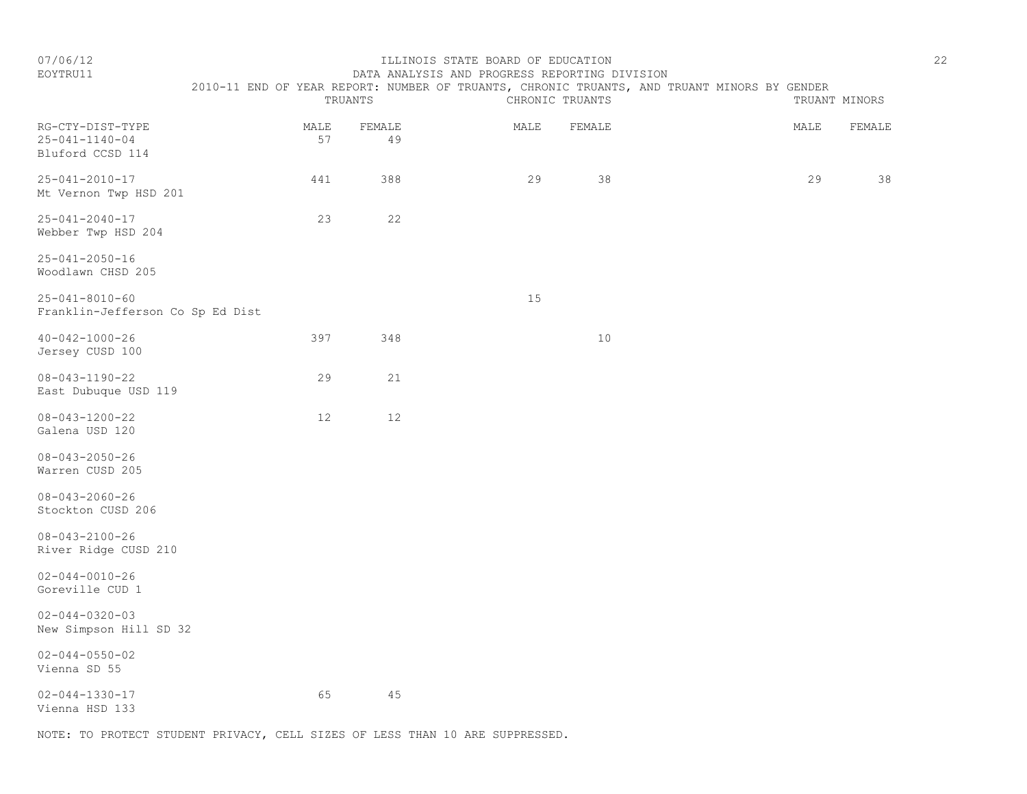# EOYTRU11 DATA ANALYSIS AND PROGRESS REPORTING DIVISION 2010-11 END OF YEAR REPORT: NUMBER OF TRUANTS, CHRONIC TRUANTS, AND TRUANT MINORS BY GENDER TRUANTS CHRONIC TRUANTS TRUANTS TRUANT MINORS RG-CTY-DIST-TYPE MALE FEMALE MALE FEMALE MALE FEMALE

| KG-CTY-DIST-TYPE<br>$25 - 041 - 1140 - 04$<br>Bluford CCSD 114 | MALE<br>57 | FEMATE<br>49 | MALE | F.F.MATE | MALE | FEMALE |
|----------------------------------------------------------------|------------|--------------|------|----------|------|--------|
| $25 - 041 - 2010 - 17$<br>Mt Vernon Twp HSD 201                | 441        | 388          | 29   | 38       | 29   | 38     |
| $25 - 041 - 2040 - 17$<br>Webber Twp HSD 204                   | 23         | 22           |      |          |      |        |
| $25 - 041 - 2050 - 16$<br>Woodlawn CHSD 205                    |            |              |      |          |      |        |
| $25 - 041 - 8010 - 60$<br>Franklin-Jefferson Co Sp Ed Dist     |            |              | 15   |          |      |        |
| $40 - 042 - 1000 - 26$<br>Jersey CUSD 100                      | 397        | 348          |      | $10$     |      |        |
| $08 - 043 - 1190 - 22$<br>East Dubuque USD 119                 | 29         | 21           |      |          |      |        |
| $08 - 043 - 1200 - 22$<br>Galena USD 120                       | 12         | 12           |      |          |      |        |
| $08 - 043 - 2050 - 26$<br>Warren CUSD 205                      |            |              |      |          |      |        |
| $08 - 043 - 2060 - 26$<br>Stockton CUSD 206                    |            |              |      |          |      |        |
| $08 - 043 - 2100 - 26$<br>River Ridge CUSD 210                 |            |              |      |          |      |        |
| $02 - 044 - 0010 - 26$<br>Goreville CUD 1                      |            |              |      |          |      |        |
| $02 - 044 - 0320 - 03$<br>New Simpson Hill SD 32               |            |              |      |          |      |        |
| $02 - 044 - 0550 - 02$<br>Vienna SD 55                         |            |              |      |          |      |        |
| $02 - 044 - 1330 - 17$<br>Vienna HSD 133                       | 65         | $4\,5$       |      |          |      |        |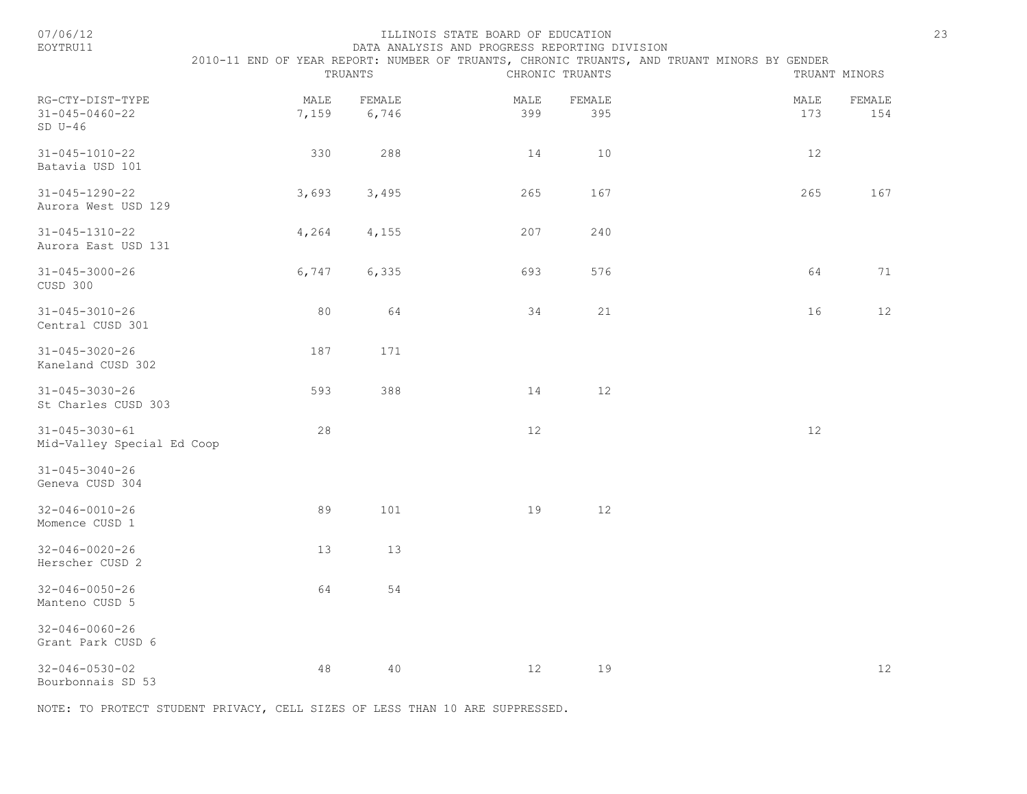| 07/06/12<br>EOYTRU11                                    |               | TRUANTS         | ILLINOIS STATE BOARD OF EDUCATION<br>DATA ANALYSIS AND PROGRESS REPORTING DIVISION | CHRONIC TRUANTS | 2010-11 END OF YEAR REPORT: NUMBER OF TRUANTS, CHRONIC TRUANTS, AND TRUANT MINORS BY GENDER | 23<br>TRUANT MINORS |
|---------------------------------------------------------|---------------|-----------------|------------------------------------------------------------------------------------|-----------------|---------------------------------------------------------------------------------------------|---------------------|
| RG-CTY-DIST-TYPE<br>$31 - 045 - 0460 - 22$<br>$SD U-46$ | MALE<br>7,159 | FEMALE<br>6,746 | MALE<br>399                                                                        | FEMALE<br>395   | MALE<br>173                                                                                 | FEMALE<br>154       |
| $31 - 045 - 1010 - 22$<br>Batavia USD 101               | 330           | 288             | 14                                                                                 | 10              | 12                                                                                          |                     |
| $31 - 045 - 1290 - 22$<br>Aurora West USD 129           | 3,693         | 3,495           | 265                                                                                | 167             | 265                                                                                         | 167                 |
| $31 - 045 - 1310 - 22$<br>Aurora East USD 131           | 4,264         | 4,155           | 207                                                                                | 240             |                                                                                             |                     |
| $31 - 045 - 3000 - 26$<br>CUSD 300                      | 6,747         | 6,335           | 693                                                                                | 576             | 64                                                                                          | 71                  |
| $31 - 045 - 3010 - 26$<br>Central CUSD 301              | 80            | 64              | 34                                                                                 | 21              | 16                                                                                          | 12                  |
| $31 - 045 - 3020 - 26$<br>Kaneland CUSD 302             | 187           | 171             |                                                                                    |                 |                                                                                             |                     |
| $31 - 045 - 3030 - 26$<br>St Charles CUSD 303           | 593           | 388             | 14                                                                                 | 12              |                                                                                             |                     |
| $31 - 045 - 3030 - 61$<br>Mid-Valley Special Ed Coop    | 28            |                 | 12                                                                                 |                 | 12                                                                                          |                     |
| $31 - 045 - 3040 - 26$<br>Geneva CUSD 304               |               |                 |                                                                                    |                 |                                                                                             |                     |
| $32 - 046 - 0010 - 26$<br>Momence CUSD 1                | 89            | 101             | 19                                                                                 | 12              |                                                                                             |                     |
| $32 - 046 - 0020 - 26$<br>Herscher CUSD 2               | 13            | 13              |                                                                                    |                 |                                                                                             |                     |
| $32 - 046 - 0050 - 26$<br>Manteno CUSD 5                | 64            | 54              |                                                                                    |                 |                                                                                             |                     |
| $32 - 046 - 0060 - 26$<br>Grant Park CUSD 6             |               |                 |                                                                                    |                 |                                                                                             |                     |
| $32 - 046 - 0530 - 02$<br>Bourbonnais SD 53             | 48            | 40              | 12                                                                                 | 19              |                                                                                             | $12$                |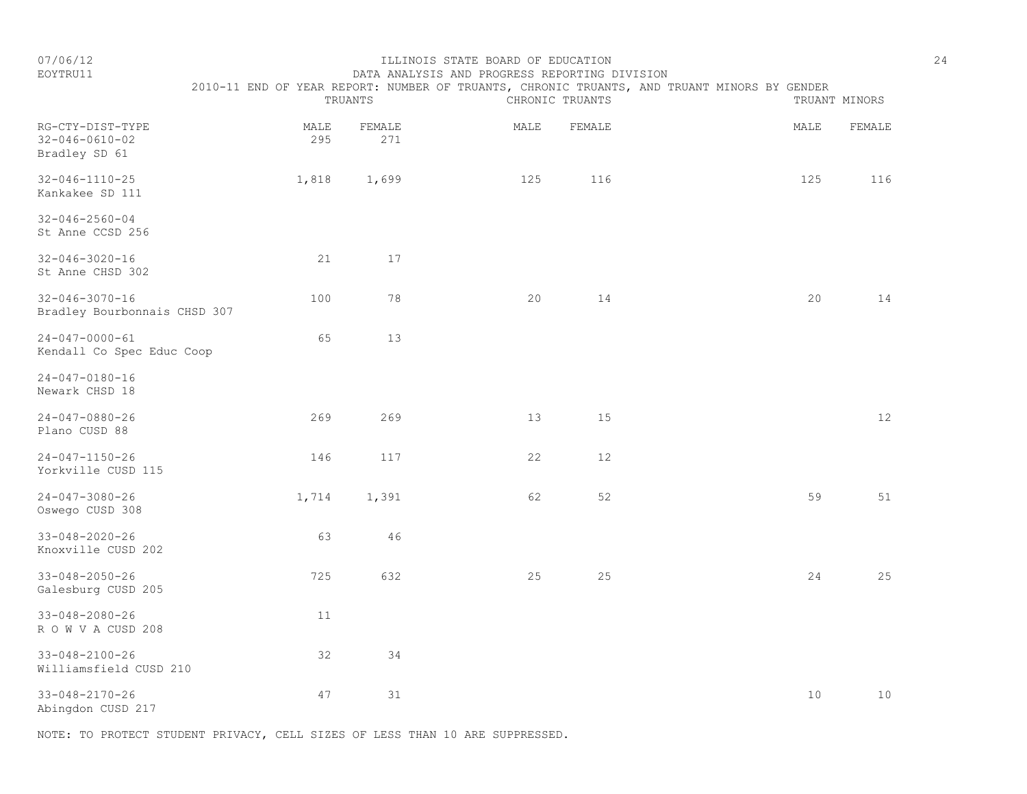| EOYTRU11 |  |  |  | DATA ANALYSIS AND PROGRESS REPORTING DIVISION                                               |  |  |  |  |
|----------|--|--|--|---------------------------------------------------------------------------------------------|--|--|--|--|
|          |  |  |  | 2010-11 END OF YEAR REPORT: NUMBER OF TRUANTS, CHRONIC TRUANTS, AND TRUANT MINORS BY GENDER |  |  |  |  |

|                                                             |             | TRUANTS       |      | CHRONIC TRUANTS | TRUANT MINORS |        |  |
|-------------------------------------------------------------|-------------|---------------|------|-----------------|---------------|--------|--|
| RG-CTY-DIST-TYPE<br>$32 - 046 - 0610 - 02$<br>Bradley SD 61 | MALE<br>295 | FEMALE<br>271 | MALE | FEMALE          | MALE          | FEMALE |  |
| $32 - 046 - 1110 - 25$<br>Kankakee SD 111                   | 1,818       | 1,699         | 125  | 116             | 125           | 116    |  |
| $32 - 046 - 2560 - 04$<br>St Anne CCSD 256                  |             |               |      |                 |               |        |  |
| $32 - 046 - 3020 - 16$<br>St Anne CHSD 302                  | 21          | 17            |      |                 |               |        |  |
| $32 - 046 - 3070 - 16$<br>Bradley Bourbonnais CHSD 307      | 100         | 78            | 20   | 14              | 20            | 14     |  |
| $24 - 047 - 0000 - 61$<br>Kendall Co Spec Educ Coop         | 65          | 13            |      |                 |               |        |  |
| $24 - 047 - 0180 - 16$<br>Newark CHSD 18                    |             |               |      |                 |               |        |  |
| $24 - 047 - 0880 - 26$<br>Plano CUSD 88                     | 269         | 269           | 13   | 15              |               | 12     |  |
| $24 - 047 - 1150 - 26$<br>Yorkville CUSD 115                | 146         | 117           | 22   | 12              |               |        |  |
| $24 - 047 - 3080 - 26$<br>Oswego CUSD 308                   | 1,714       | 1,391         | 62   | 52              | 59            | 51     |  |
| $33 - 048 - 2020 - 26$<br>Knoxville CUSD 202                | 63          | 46            |      |                 |               |        |  |
| $33 - 048 - 2050 - 26$<br>Galesburg CUSD 205                | 725         | 632           | 25   | 25              | 24            | 25     |  |
| $33 - 048 - 2080 - 26$<br>ROWVACUSD 208                     | 11          |               |      |                 |               |        |  |
| $33 - 048 - 2100 - 26$<br>Williamsfield CUSD 210            | 32          | 34            |      |                 |               |        |  |
| $33 - 048 - 2170 - 26$<br>Abingdon CUSD 217                 | 47          | 31            |      |                 | 10            | 10     |  |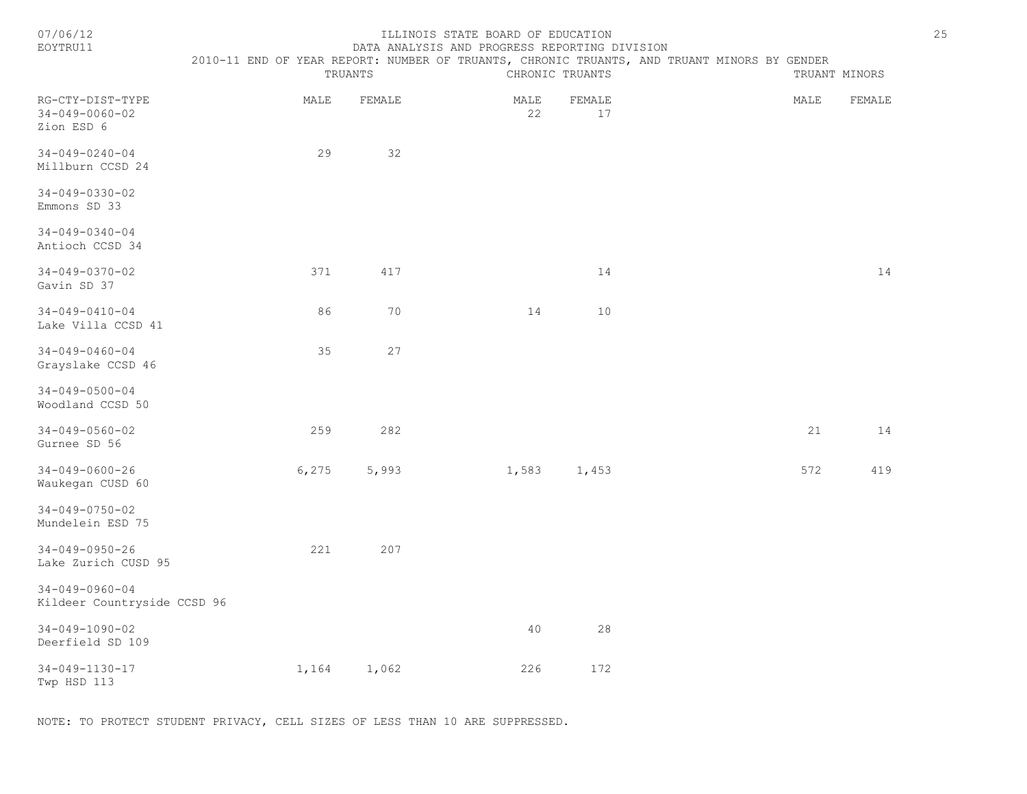| 07/06/12<br>EOYTRU11                                     | ILLINOIS STATE BOARD OF EDUCATION<br>DATA ANALYSIS AND PROGRESS REPORTING DIVISION<br>2010-11 END OF YEAR REPORT: NUMBER OF TRUANTS, CHRONIC TRUANTS, AND TRUANT MINORS BY GENDER |         |            |                 |  |               |        |  |  |  |
|----------------------------------------------------------|-----------------------------------------------------------------------------------------------------------------------------------------------------------------------------------|---------|------------|-----------------|--|---------------|--------|--|--|--|
|                                                          |                                                                                                                                                                                   | TRUANTS |            | CHRONIC TRUANTS |  | TRUANT MINORS |        |  |  |  |
| RG-CTY-DIST-TYPE<br>$34 - 049 - 0060 - 02$<br>Zion ESD 6 | MALE                                                                                                                                                                              | FEMALE  | MALE<br>22 | FEMALE<br>17    |  | MALE          | FEMALE |  |  |  |
| $34 - 049 - 0240 - 04$<br>Millburn CCSD 24               | 29                                                                                                                                                                                | 32      |            |                 |  |               |        |  |  |  |
| 34-049-0330-02<br>Emmons SD 33                           |                                                                                                                                                                                   |         |            |                 |  |               |        |  |  |  |
| $34 - 049 - 0340 - 04$<br>Antioch CCSD 34                |                                                                                                                                                                                   |         |            |                 |  |               |        |  |  |  |
| $34 - 049 - 0370 - 02$<br>Gavin SD 37                    | 371                                                                                                                                                                               | 417     |            | 14              |  |               | 14     |  |  |  |
| $34 - 049 - 0410 - 04$<br>Lake Villa CCSD 41             | 86                                                                                                                                                                                | 70      | 14         | 10              |  |               |        |  |  |  |
| $34 - 049 - 0460 - 04$<br>Grayslake CCSD 46              | 35                                                                                                                                                                                | 27      |            |                 |  |               |        |  |  |  |
| $34 - 049 - 0500 - 04$<br>Woodland CCSD 50               |                                                                                                                                                                                   |         |            |                 |  |               |        |  |  |  |
| $34 - 049 - 0560 - 02$<br>Gurnee SD 56                   | 259                                                                                                                                                                               | 282     |            |                 |  | 21            | 14     |  |  |  |
| $34 - 049 - 0600 - 26$<br>Waukegan CUSD 60               | 6,275                                                                                                                                                                             | 5,993   | 1,583      | 1,453           |  | 572           | 419    |  |  |  |
| $34 - 049 - 0750 - 02$<br>Mundelein ESD 75               |                                                                                                                                                                                   |         |            |                 |  |               |        |  |  |  |
| $34 - 049 - 0950 - 26$<br>Lake Zurich CUSD 95            | 221                                                                                                                                                                               | 207     |            |                 |  |               |        |  |  |  |
| $34 - 049 - 0960 - 04$<br>Kildeer Countryside CCSD 96    |                                                                                                                                                                                   |         |            |                 |  |               |        |  |  |  |
| $34 - 049 - 1090 - 02$<br>Deerfield SD 109               |                                                                                                                                                                                   |         | 40         | 28              |  |               |        |  |  |  |
| 34-049-1130-17                                           | 1,164                                                                                                                                                                             | 1,062   | 226        | 172             |  |               |        |  |  |  |

NOTE: TO PROTECT STUDENT PRIVACY, CELL SIZES OF LESS THAN 10 ARE SUPPRESSED.

Twp HSD 113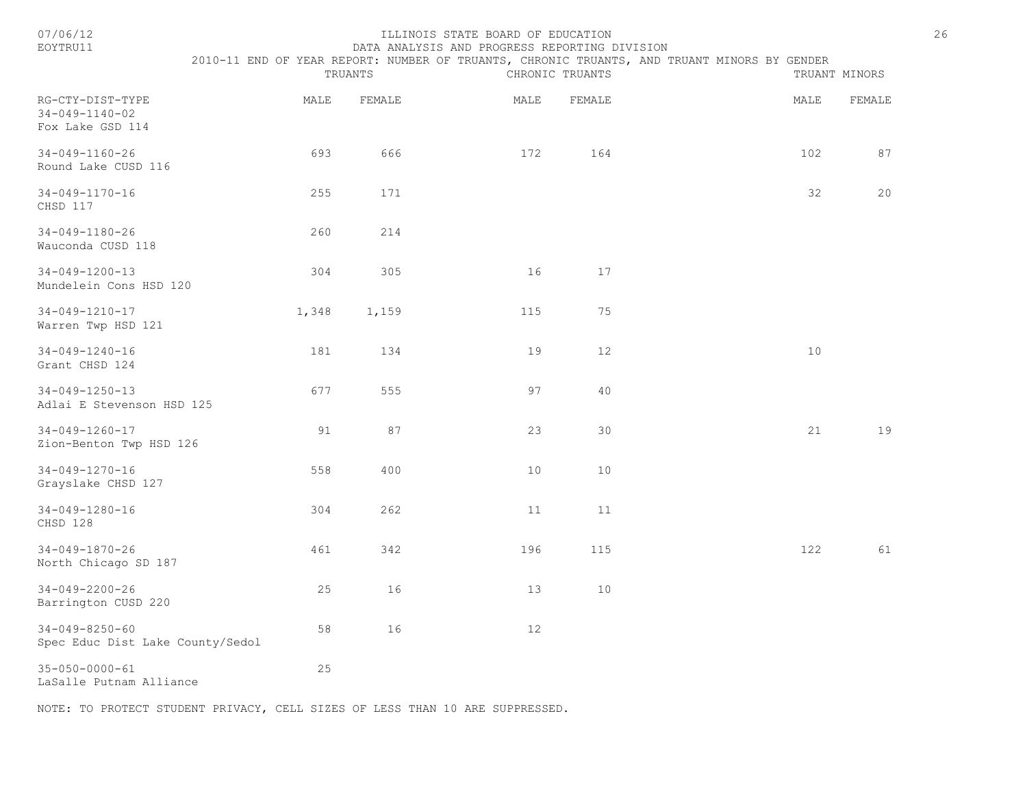#### ILLINOIS STATE BOARD OF EDUCATION 26 EOYTRU11 DATA ANALYSIS AND PROGRESS REPORTING DIVISION

2010-11 END OF YEAR REPORT: NUMBER OF TRUANTS, CHRONIC TRUANTS, AND TRUANT MINORS BY GENDER

|                                                                |       | TRUANTS |      | CHRONIC TRUANTS |      | TRUANT MINORS |
|----------------------------------------------------------------|-------|---------|------|-----------------|------|---------------|
| RG-CTY-DIST-TYPE<br>$34 - 049 - 1140 - 02$<br>Fox Lake GSD 114 | MALE  | FEMALE  | MALE | FEMALE          | MALE | FEMALE        |
| $34 - 049 - 1160 - 26$<br>Round Lake CUSD 116                  | 693   | 666     | 172  | 164             | 102  | 87            |
| 34-049-1170-16<br>CHSD 117                                     | 255   | 171     |      |                 | 32   | 20            |
| 34-049-1180-26<br>Wauconda CUSD 118                            | 260   | 214     |      |                 |      |               |
| $34 - 049 - 1200 - 13$<br>Mundelein Cons HSD 120               | 304   | 305     | 16   | 17              |      |               |
| 34-049-1210-17<br>Warren Twp HSD 121                           | 1,348 | 1,159   | 115  | 75              |      |               |
| $34 - 049 - 1240 - 16$<br>Grant CHSD 124                       | 181   | 134     | 19   | 12              | 10   |               |
| $34 - 049 - 1250 - 13$<br>Adlai E Stevenson HSD 125            | 677   | 555     | 97   | 40              |      |               |
| $34 - 049 - 1260 - 17$<br>Zion-Benton Twp HSD 126              | 91    | 87      | 23   | 30              | 21   | 19            |
| $34 - 049 - 1270 - 16$<br>Grayslake CHSD 127                   | 558   | 400     | 10   | $10$            |      |               |
| $34 - 049 - 1280 - 16$<br>CHSD 128                             | 304   | 262     | 11   | 11              |      |               |
| $34 - 049 - 1870 - 26$<br>North Chicago SD 187                 | 461   | 342     | 196  | 115             | 122  | 61            |
| $34 - 049 - 2200 - 26$<br>Barrington CUSD 220                  | 25    | 16      | 13   | 10              |      |               |
| $34 - 049 - 8250 - 60$<br>Spec Educ Dist Lake County/Sedol     | 58    | 16      | 12   |                 |      |               |
| $35 - 050 - 0000 - 61$<br>LaSalle Putnam Alliance              | 25    |         |      |                 |      |               |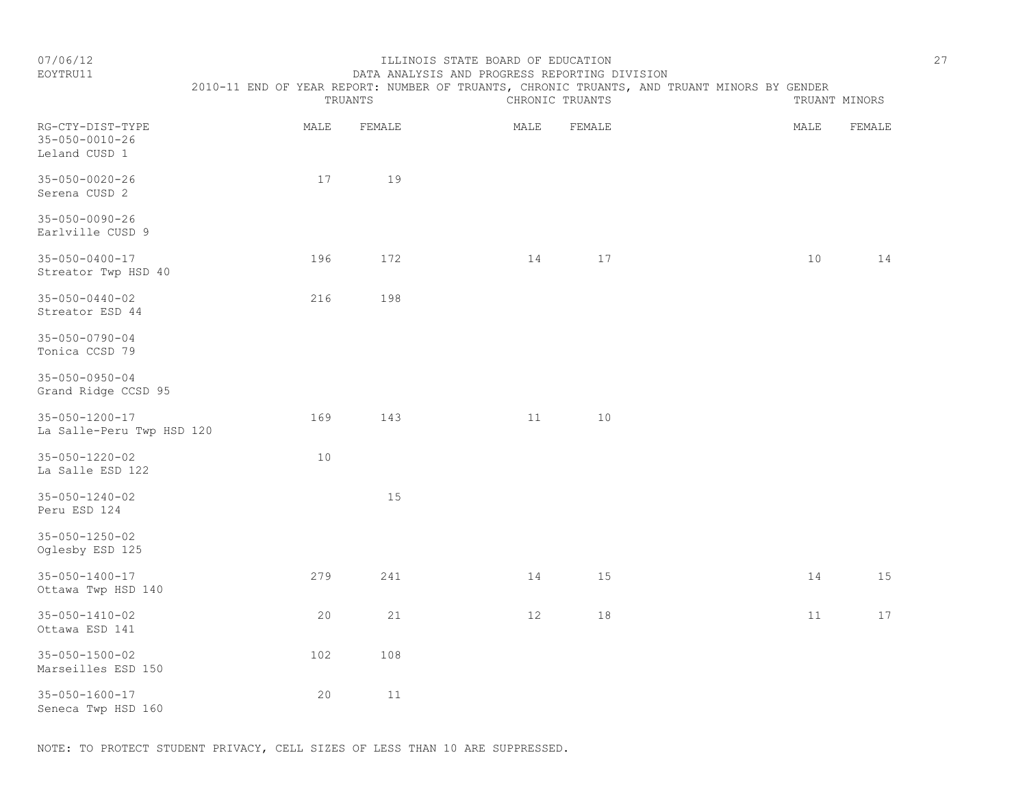### EOYTRU11 DATA ANALYSIS AND PROGRESS REPORTING DIVISION 2010-11 END OF YEAR REPORT: NUMBER OF TRUANTS, CHRONIC TRUANTS, AND TRUANT MINORS BY GENDER

TRUANTS CHRONIC TRUANTS TRUANTS TRUANT MINORS

| RG-CTY-DIST-TYPE<br>$35 - 050 - 0010 - 26$<br>Leland CUSD 1 | MALE | FEMALE | MALE | FEMALE | MALE | FEMALE |
|-------------------------------------------------------------|------|--------|------|--------|------|--------|
| $35 - 050 - 0020 - 26$<br>Serena CUSD 2                     | 17   | 19     |      |        |      |        |
| $35 - 050 - 0090 - 26$<br>Earlville CUSD 9                  |      |        |      |        |      |        |
| $35 - 050 - 0400 - 17$<br>Streator Twp HSD 40               | 196  | 172    | 14   | 17     | 10   | 14     |
| $35 - 050 - 0440 - 02$<br>Streator ESD 44                   | 216  | 198    |      |        |      |        |
| $35 - 050 - 0790 - 04$<br>Tonica CCSD 79                    |      |        |      |        |      |        |
| $35 - 050 - 0950 - 04$<br>Grand Ridge CCSD 95               |      |        |      |        |      |        |
| $35 - 050 - 1200 - 17$<br>La Salle-Peru Twp HSD 120         | 169  | 143    | 11   | 10     |      |        |
| $35 - 050 - 1220 - 02$<br>La Salle ESD 122                  | 10   |        |      |        |      |        |
| $35 - 050 - 1240 - 02$<br>Peru ESD 124                      |      | 15     |      |        |      |        |
| 35-050-1250-02<br>Oglesby ESD 125                           |      |        |      |        |      |        |
| $35 - 050 - 1400 - 17$<br>Ottawa Twp HSD 140                | 279  | 241    | 14   | 15     | 14   | 15     |
| $35 - 050 - 1410 - 02$<br>Ottawa ESD 141                    | 20   | 21     | 12   | 18     | 11   | 17     |
| $35 - 050 - 1500 - 02$<br>Marseilles ESD 150                | 102  | 108    |      |        |      |        |
| $35 - 050 - 1600 - 17$<br>Seneca Twp HSD 160                | 20   | $11\,$ |      |        |      |        |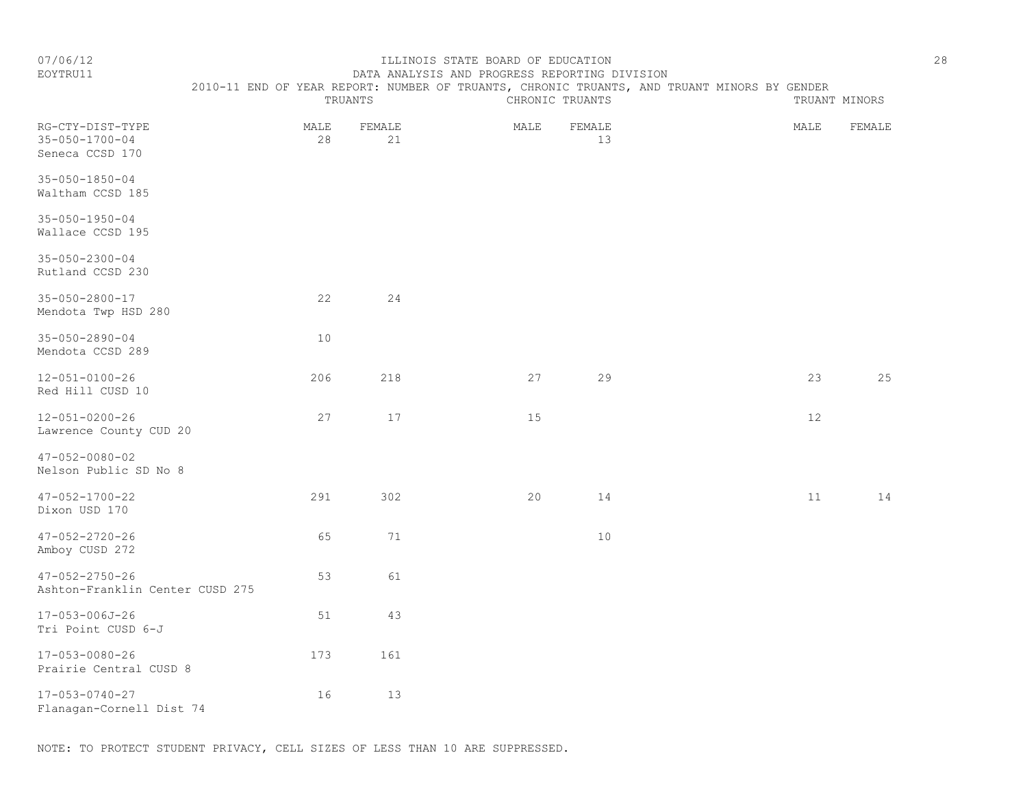#### EOYTRU11 DATA ANALYSIS AND PROGRESS REPORTING DIVISION 2010-11 END OF YEAR REPORT: NUMBER OF TRUANTS, CHRONIC TRUANTS, AND TRUANT MINORS BY GENDER

|                                                               |            | TRUANTS      |      | CHRONIC TRUANTS |      | TRUANT MINORS |
|---------------------------------------------------------------|------------|--------------|------|-----------------|------|---------------|
| RG-CTY-DIST-TYPE<br>$35 - 050 - 1700 - 04$<br>Seneca CCSD 170 | MALE<br>28 | FEMALE<br>21 | MALE | FEMALE<br>13    | MALE | FEMALE        |
| $35 - 050 - 1850 - 04$<br>Waltham CCSD 185                    |            |              |      |                 |      |               |
| $35 - 050 - 1950 - 04$<br>Wallace CCSD 195                    |            |              |      |                 |      |               |
| $35 - 050 - 2300 - 04$<br>Rutland CCSD 230                    |            |              |      |                 |      |               |
| $35 - 050 - 2800 - 17$<br>Mendota Twp HSD 280                 | 22         | 24           |      |                 |      |               |
| $35 - 050 - 2890 - 04$<br>Mendota CCSD 289                    | 10         |              |      |                 |      |               |
| $12 - 051 - 0100 - 26$<br>Red Hill CUSD 10                    | 206        | 218          | 27   | 29              | 23   | 25            |
| $12 - 051 - 0200 - 26$<br>Lawrence County CUD 20              | 27         | 17           | 15   |                 | 12   |               |
| $47 - 052 - 0080 - 02$<br>Nelson Public SD No 8               |            |              |      |                 |      |               |
| $47 - 052 - 1700 - 22$<br>Dixon USD 170                       | 291        | 302          | 20   | 14              | 11   | 14            |
| $47 - 052 - 2720 - 26$<br>Amboy CUSD 272                      | 65         | 71           |      | 10              |      |               |
| $47 - 052 - 2750 - 26$<br>Ashton-Franklin Center CUSD 275     | 53         | 61           |      |                 |      |               |
| 17-053-006J-26<br>Tri Point CUSD 6-J                          | 51         | 43           |      |                 |      |               |
| 17-053-0080-26<br>Prairie Central CUSD 8                      | 173        | 161          |      |                 |      |               |
| 17-053-0740-27<br>Flanagan-Cornell Dist 74                    | 16         | 13           |      |                 |      |               |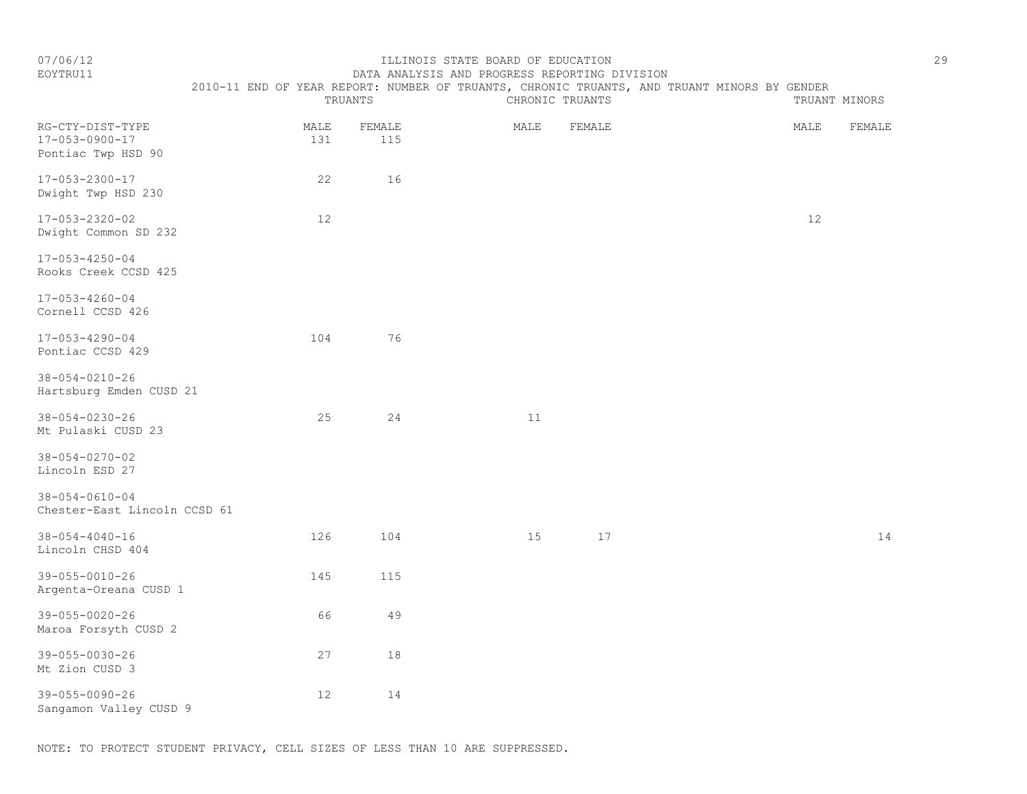#### EOYTRU11 DATA ANALYSIS AND PROGRESS REPORTING DIVISION 2010-11 END OF YEAR REPORT: NUMBER OF TRUANTS, CHRONIC TRUANTS, AND TRUANT MINORS BY GENDER

| TRUANTS<br>CHRONIC TRUANTS                                       |             |               | TRUANT MINORS |        |                |
|------------------------------------------------------------------|-------------|---------------|---------------|--------|----------------|
| RG-CTY-DIST-TYPE<br>$17 - 053 - 0900 - 17$<br>Pontiac Twp HSD 90 | MALE<br>131 | FEMALE<br>115 | MALE          | FEMALE | MALE<br>FEMALE |
| $17 - 053 - 2300 - 17$<br>Dwight Twp HSD 230                     | 22          | 16            |               |        |                |
| 17-053-2320-02<br>Dwight Common SD 232                           | 12          |               |               |        | 12             |
| $17 - 053 - 4250 - 04$<br>Rooks Creek CCSD 425                   |             |               |               |        |                |
| $17 - 053 - 4260 - 04$<br>Cornell CCSD 426                       |             |               |               |        |                |
| $17 - 053 - 4290 - 04$<br>Pontiac CCSD 429                       | 104         | 76            |               |        |                |
| $38 - 054 - 0210 - 26$<br>Hartsburg Emden CUSD 21                |             |               |               |        |                |
| $38 - 054 - 0230 - 26$<br>Mt Pulaski CUSD 23                     | 25          | 24            | $11$          |        |                |
| $38 - 054 - 0270 - 02$<br>Lincoln ESD 27                         |             |               |               |        |                |
| $38 - 054 - 0610 - 04$<br>Chester-East Lincoln CCSD 61           |             |               |               |        |                |
| $38 - 054 - 4040 - 16$<br>Lincoln CHSD 404                       | 126         | 104           | 15            | 17     | 14             |
| $39 - 055 - 0010 - 26$<br>Argenta-Oreana CUSD 1                  | 145         | 115           |               |        |                |
| 39-055-0020-26<br>Maroa Forsyth CUSD 2                           | 66          | 49            |               |        |                |
| 39-055-0030-26<br>Mt Zion CUSD 3                                 | 27          | 18            |               |        |                |
| $39 - 055 - 0090 - 26$<br>Sangamon Valley CUSD 9                 | 12          | 14            |               |        |                |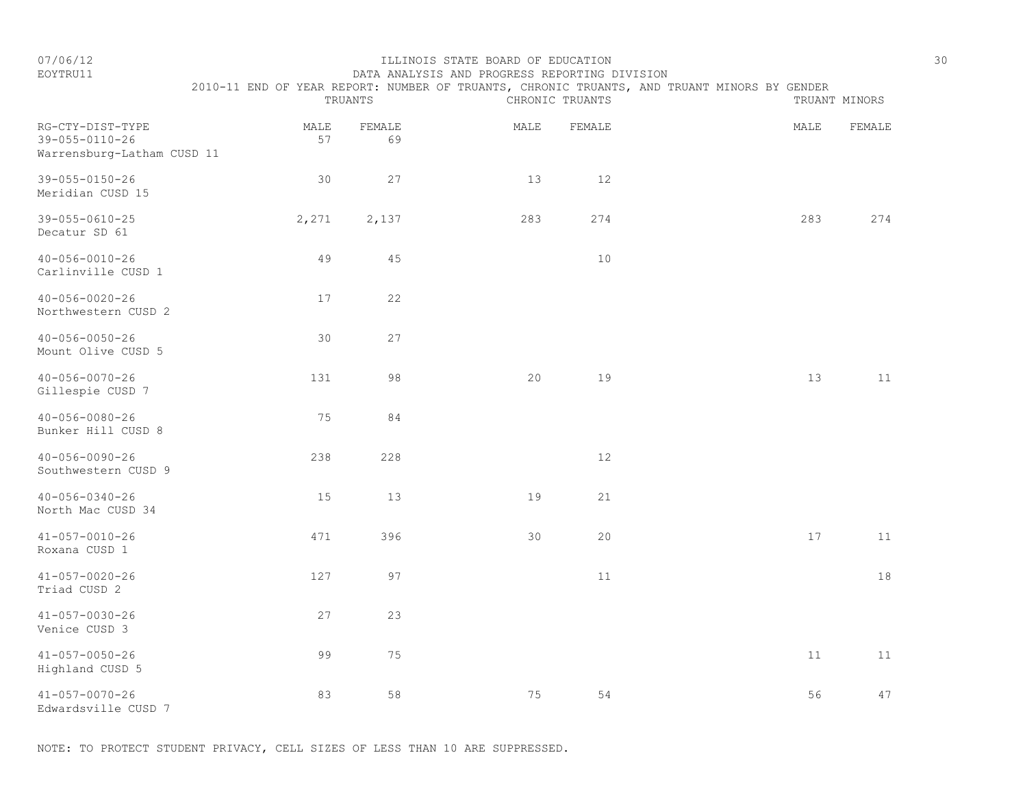# EOYTRU11 DATA ANALYSIS AND PROGRESS REPORTING DIVISION 2010-11 END OF YEAR REPORT: NUMBER OF TRUANTS, CHRONIC TRUANTS, AND TRUANT MINORS BY GENDER<br>CHRONIC TRUANTS

|                                                                          |            | TRUANTS      |      | CHRONIC TRUANTS |      | TRUANT MINORS |
|--------------------------------------------------------------------------|------------|--------------|------|-----------------|------|---------------|
| RG-CTY-DIST-TYPE<br>$39 - 055 - 0110 - 26$<br>Warrensburg-Latham CUSD 11 | MALE<br>57 | FEMALE<br>69 | MALE | FEMALE          | MALE | FEMALE        |
| $39 - 055 - 0150 - 26$<br>Meridian CUSD 15                               | 30         | 27           | 13   | $12$            |      |               |
| $39 - 055 - 0610 - 25$<br>Decatur SD 61                                  | 2,271      | 2,137        | 283  | 274             | 283  | 274           |
| $40 - 056 - 0010 - 26$<br>Carlinville CUSD 1                             | 49         | 45           |      | $10$            |      |               |
| $40 - 056 - 0020 - 26$<br>Northwestern CUSD 2                            | 17         | 22           |      |                 |      |               |
| $40 - 056 - 0050 - 26$<br>Mount Olive CUSD 5                             | 30         | 27           |      |                 |      |               |
| $40 - 056 - 0070 - 26$<br>Gillespie CUSD 7                               | 131        | 98           | 20   | 19              | 13   | 11            |
| $40 - 056 - 0080 - 26$<br>Bunker Hill CUSD 8                             | 75         | 84           |      |                 |      |               |
| $40 - 056 - 0090 - 26$<br>Southwestern CUSD 9                            | 238        | 228          |      | $12$            |      |               |
| $40 - 056 - 0340 - 26$<br>North Mac CUSD 34                              | 15         | 13           | 19   | 21              |      |               |
| $41 - 057 - 0010 - 26$<br>Roxana CUSD 1                                  | 471        | 396          | 30   | 20              | 17   | 11            |
| $41 - 057 - 0020 - 26$<br>Triad CUSD 2                                   | 127        | 97           |      | 11              |      | 18            |
| $41 - 057 - 0030 - 26$<br>Venice CUSD 3                                  | 27         | 23           |      |                 |      |               |
| $41 - 057 - 0050 - 26$<br>Highland CUSD 5                                | 99         | 75           |      |                 | $11$ | 11            |
| $41 - 057 - 0070 - 26$<br>Edwardsville CUSD 7                            | 83         | 58           | 75   | 54              | 56   | 47            |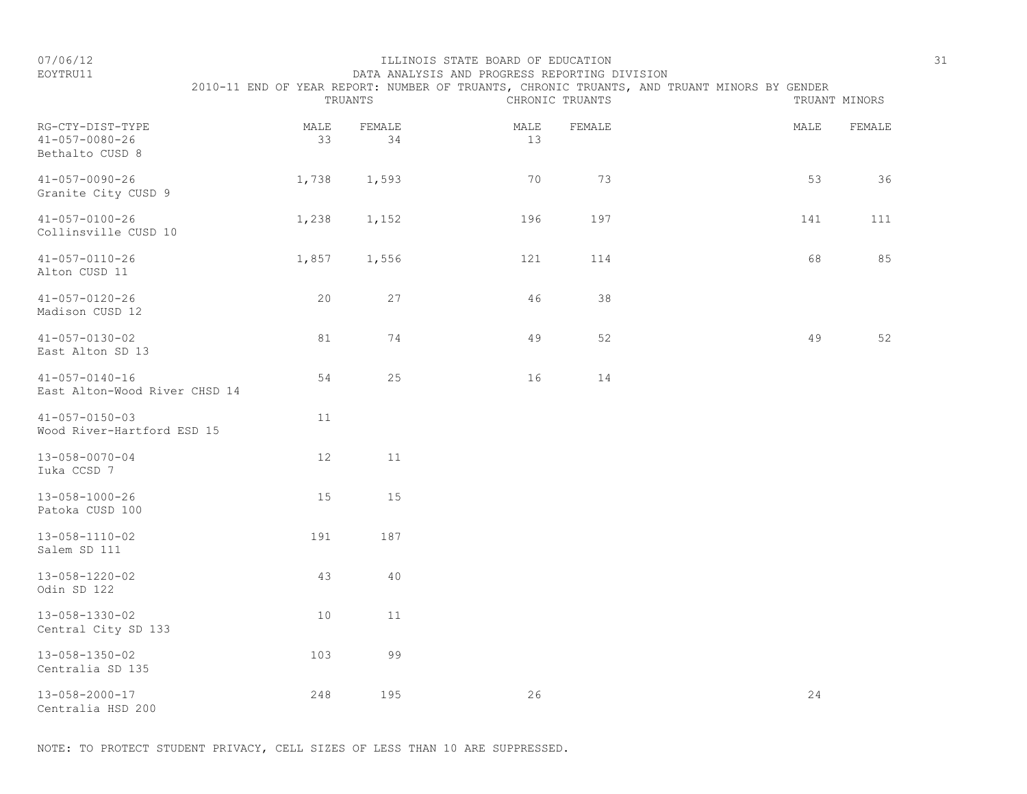#### EOYTRU11 DATA ANALYSIS AND PROGRESS REPORTING DIVISION 2010-11 END OF YEAR REPORT: NUMBER OF TRUANTS, CHRONIC TRUANTS, AND TRUANT MINORS BY GENDER

| RG-CTY-DIST-TYPE<br>$41 - 057 - 0080 - 26$<br>Bethalto CUSD 8 | TRUANTS    |              |            | CHRONIC TRUANTS |      | TRUANT MINORS |  |  |
|---------------------------------------------------------------|------------|--------------|------------|-----------------|------|---------------|--|--|
|                                                               | MALE<br>33 | FEMALE<br>34 | MALE<br>13 | FEMALE          | MALE | FEMALE        |  |  |
| $41 - 057 - 0090 - 26$<br>Granite City CUSD 9                 | 1,738      | 1,593        | 70         | 73              | 53   | 36            |  |  |
| $41 - 057 - 0100 - 26$<br>Collinsville CUSD 10                | 1,238      | 1,152        | 196        | 197             | 141  | 111           |  |  |
| $41 - 057 - 0110 - 26$<br>Alton CUSD 11                       | 1,857      | 1,556        | 121        | 114             | 68   | 85            |  |  |
| $41 - 057 - 0120 - 26$<br>Madison CUSD 12                     | 20         | 27           | 46         | 38              |      |               |  |  |
| $41 - 057 - 0130 - 02$<br>East Alton SD 13                    | 81         | 74           | 49         | 52              | 49   | 52            |  |  |
| $41 - 057 - 0140 - 16$<br>East Alton-Wood River CHSD 14       | 54         | 25           | 16         | 14              |      |               |  |  |
| $41 - 057 - 0150 - 03$<br>Wood River-Hartford ESD 15          | 11         |              |            |                 |      |               |  |  |
| $13 - 058 - 0070 - 04$<br>Iuka CCSD 7                         | 12         | 11           |            |                 |      |               |  |  |
| $13 - 058 - 1000 - 26$<br>Patoka CUSD 100                     | 15         | 15           |            |                 |      |               |  |  |
| $13 - 058 - 1110 - 02$<br>Salem SD 111                        | 191        | 187          |            |                 |      |               |  |  |
| 13-058-1220-02<br>Odin SD 122                                 | 43         | 40           |            |                 |      |               |  |  |
| 13-058-1330-02<br>Central City SD 133                         | 10         | 11           |            |                 |      |               |  |  |
| 13-058-1350-02<br>Centralia SD 135                            | 103        | 99           |            |                 |      |               |  |  |
| 13-058-2000-17<br>Centralia HSD 200                           | 248        | 195          | 26         |                 | 24   |               |  |  |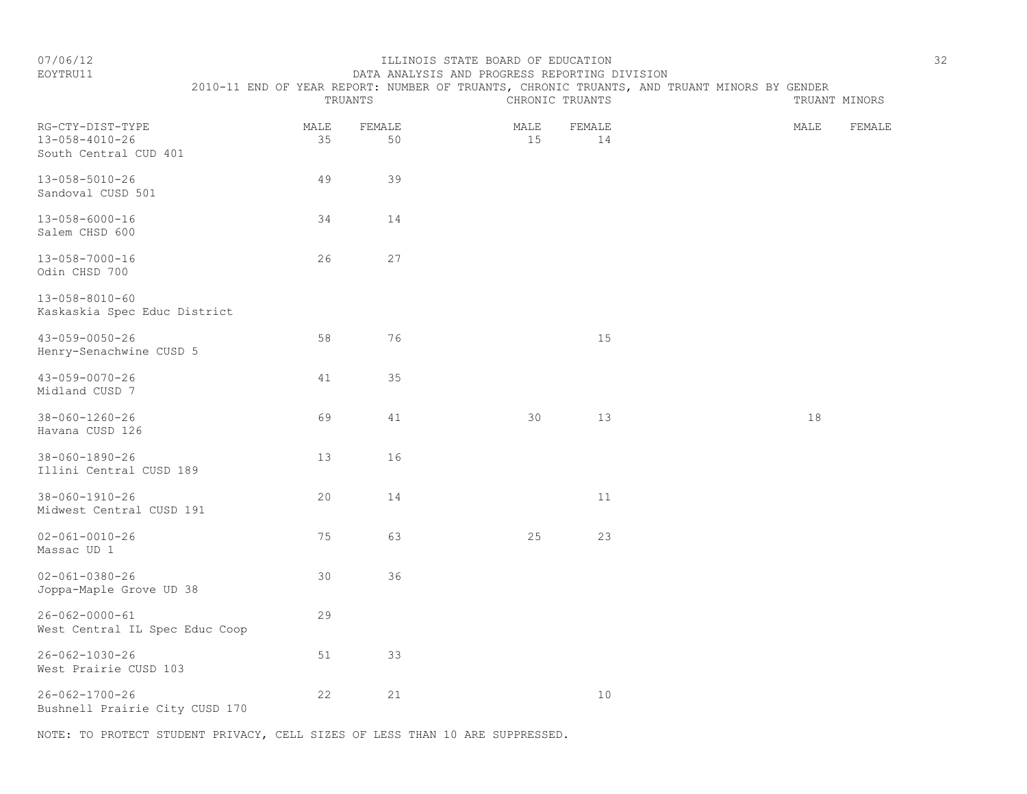#### EOYTRU11 DATA ANALYSIS AND PROGRESS REPORTING DIVISION 2010-11 END OF YEAR REPORT: NUMBER OF TRUANTS, CHRONIC TRUANTS, AND TRUANT MINORS BY GENDER

|                                                                     |            | TRUANTS      |            | CHRONIC TRUANTS | TRUANT MINORS  |
|---------------------------------------------------------------------|------------|--------------|------------|-----------------|----------------|
| RG-CTY-DIST-TYPE<br>$13 - 058 - 4010 - 26$<br>South Central CUD 401 | MALE<br>35 | FEMALE<br>50 | MALE<br>15 | FEMALE<br>14    | MALE<br>FEMALE |
| $13 - 058 - 5010 - 26$<br>Sandoval CUSD 501                         | 49         | 39           |            |                 |                |
| $13 - 058 - 6000 - 16$<br>Salem CHSD 600                            | 34         | 14           |            |                 |                |
| 13-058-7000-16<br>Odin CHSD 700                                     | 26         | 27           |            |                 |                |
| $13 - 058 - 8010 - 60$<br>Kaskaskia Spec Educ District              |            |              |            |                 |                |
| $43 - 059 - 0050 - 26$<br>Henry-Senachwine CUSD 5                   | 58         | 76           |            | 15              |                |
| $43 - 059 - 0070 - 26$<br>Midland CUSD 7                            | 41         | 35           |            |                 |                |
| $38 - 060 - 1260 - 26$<br>Havana CUSD 126                           | 69         | 41           | 30         | 13              | 18             |
| $38 - 060 - 1890 - 26$<br>Illini Central CUSD 189                   | 13         | 16           |            |                 |                |
| $38 - 060 - 1910 - 26$<br>Midwest Central CUSD 191                  | 20         | 14           |            | 11              |                |
| $02 - 061 - 0010 - 26$<br>Massac UD 1                               | 75         | 63           | 25         | 23              |                |
| $02 - 061 - 0380 - 26$<br>Joppa-Maple Grove UD 38                   | 30         | 36           |            |                 |                |
| $26 - 062 - 0000 - 61$<br>West Central IL Spec Educ Coop            | 29         |              |            |                 |                |
| $26 - 062 - 1030 - 26$<br>West Prairie CUSD 103                     | 51         | 33           |            |                 |                |
| $26 - 062 - 1700 - 26$<br>Bushnell Prairie City CUSD 170            | 22         | 21           |            | $10$            |                |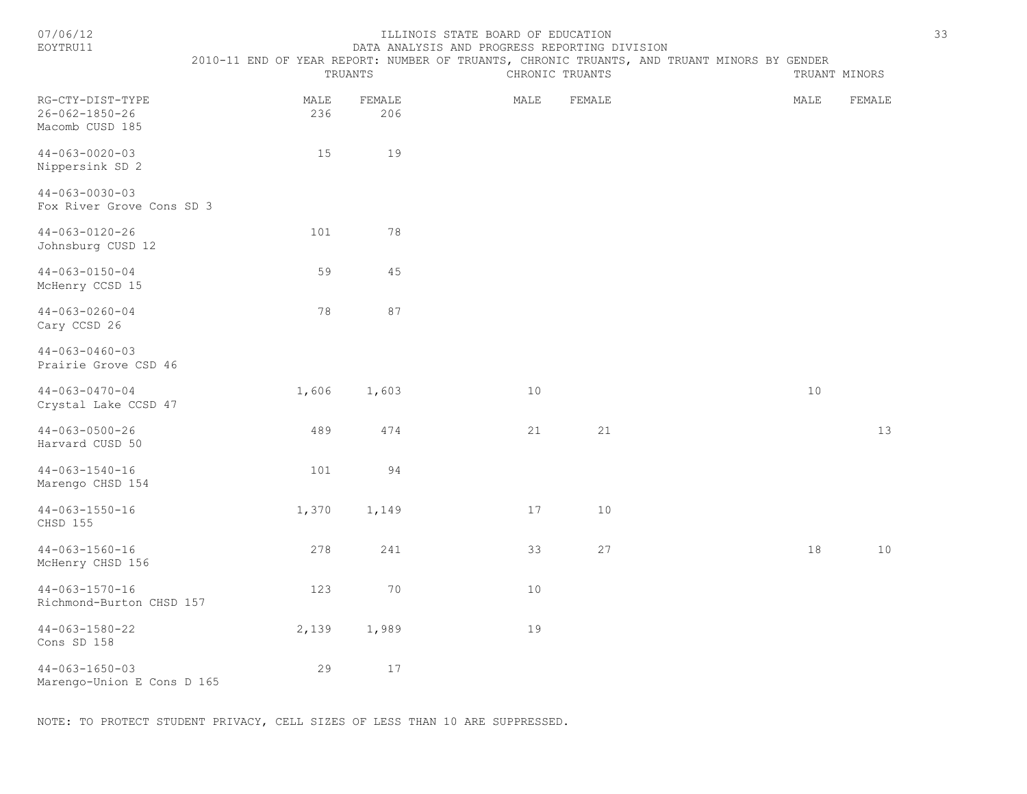| 07/06/12<br>EOYTRU11                                          | ILLINOIS STATE BOARD OF EDUCATION<br>DATA ANALYSIS AND PROGRESS REPORTING DIVISION<br>2010-11 END OF YEAR REPORT: NUMBER OF TRUANTS, CHRONIC TRUANTS, AND TRUANT MINORS BY GENDER<br>TRUANTS<br>CHRONIC TRUANTS<br>TRUANT MINORS |               |      |        |      |        |  |  |
|---------------------------------------------------------------|----------------------------------------------------------------------------------------------------------------------------------------------------------------------------------------------------------------------------------|---------------|------|--------|------|--------|--|--|
| RG-CTY-DIST-TYPE<br>$26 - 062 - 1850 - 26$<br>Macomb CUSD 185 | MALE<br>236                                                                                                                                                                                                                      | FEMALE<br>206 | MALE | FEMALE | MALE | FEMALE |  |  |
| $44 - 063 - 0020 - 03$<br>Nippersink SD 2                     | 15                                                                                                                                                                                                                               | 19            |      |        |      |        |  |  |
| $44 - 063 - 0030 - 03$<br>Fox River Grove Cons SD 3           |                                                                                                                                                                                                                                  |               |      |        |      |        |  |  |
| $44 - 063 - 0120 - 26$<br>Johnsburg CUSD 12                   | 101                                                                                                                                                                                                                              | 78            |      |        |      |        |  |  |
| $44 - 063 - 0150 - 04$<br>McHenry CCSD 15                     | 59                                                                                                                                                                                                                               | 45            |      |        |      |        |  |  |
| $44 - 063 - 0260 - 04$<br>Cary CCSD 26                        | 78                                                                                                                                                                                                                               | 87            |      |        |      |        |  |  |
| $44 - 063 - 0460 - 03$<br>Prairie Grove CSD 46                |                                                                                                                                                                                                                                  |               |      |        |      |        |  |  |
| $44 - 063 - 0470 - 04$<br>Crystal Lake CCSD 47                | 1,606                                                                                                                                                                                                                            | 1,603         | 10   |        | 10   |        |  |  |
| $44 - 063 - 0500 - 26$<br>Harvard CUSD 50                     | 489                                                                                                                                                                                                                              | 474           | 21   | 21     |      | 13     |  |  |
| $44 - 063 - 1540 - 16$<br>Marengo CHSD 154                    | 101                                                                                                                                                                                                                              | 94            |      |        |      |        |  |  |
| $44 - 063 - 1550 - 16$<br>CHSD 155                            | 1,370                                                                                                                                                                                                                            | 1,149         | 17   | 10     |      |        |  |  |
| $44 - 063 - 1560 - 16$<br>McHenry CHSD 156                    | 278                                                                                                                                                                                                                              | 241           | 33   | 27     | 18   | 10     |  |  |
| $44 - 063 - 1570 - 16$<br>Richmond-Burton CHSD 157            | 123                                                                                                                                                                                                                              | 70            | $10$ |        |      |        |  |  |
| $44 - 063 - 1580 - 22$<br>Cons SD 158                         | 2,139                                                                                                                                                                                                                            | 1,989         | 19   |        |      |        |  |  |
| $44 - 063 - 1650 - 03$<br>Marengo-Union E Cons D 165          | 29                                                                                                                                                                                                                               | 17            |      |        |      |        |  |  |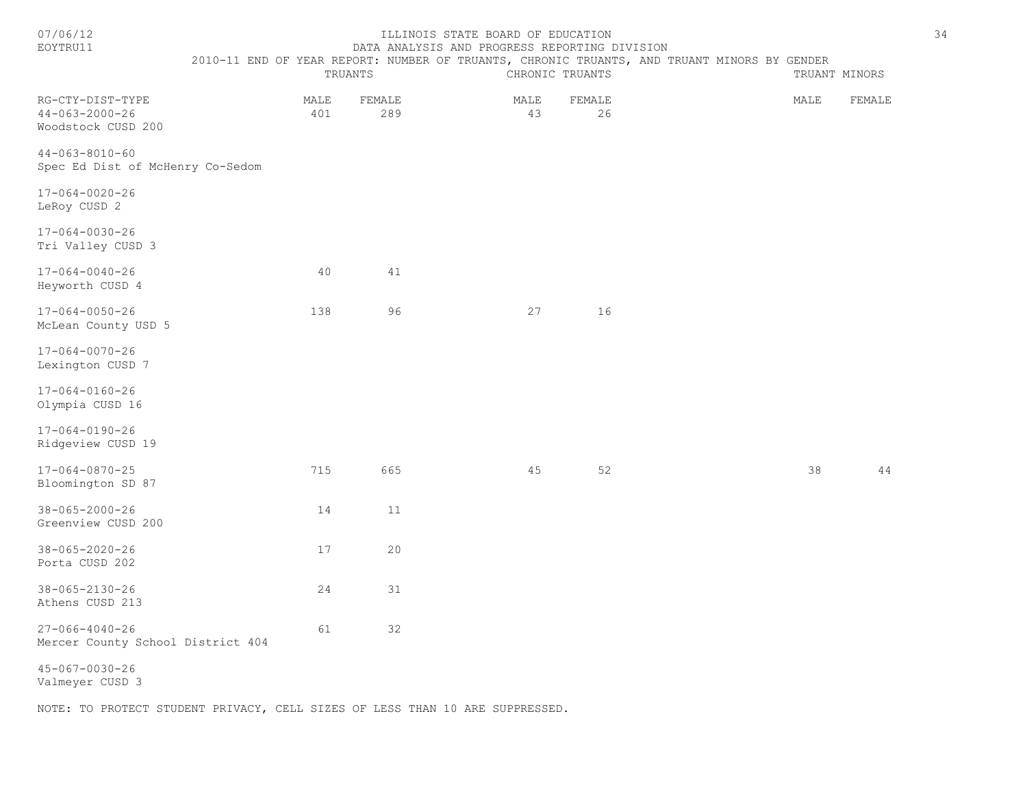| 07/06/12<br>EOYTRU11                                             | 2010-11 END OF YEAR REPORT: NUMBER OF TRUANTS, CHRONIC TRUANTS, AND TRUANT MINORS BY GENDER | TRUANTS       | ILLINOIS STATE BOARD OF EDUCATION<br>DATA ANALYSIS AND PROGRESS REPORTING DIVISION | CHRONIC TRUANTS | TRUANT MINORS |        | 34 |
|------------------------------------------------------------------|---------------------------------------------------------------------------------------------|---------------|------------------------------------------------------------------------------------|-----------------|---------------|--------|----|
| RG-CTY-DIST-TYPE<br>$44 - 063 - 2000 - 26$<br>Woodstock CUSD 200 | MALE<br>401                                                                                 | FEMALE<br>289 | MALE<br>43                                                                         | FEMALE<br>26    | MALE          | FEMALE |    |
| $44 - 063 - 8010 - 60$<br>Spec Ed Dist of McHenry Co-Sedom       |                                                                                             |               |                                                                                    |                 |               |        |    |
| 17-064-0020-26<br>LeRoy CUSD 2                                   |                                                                                             |               |                                                                                    |                 |               |        |    |
| 17-064-0030-26<br>Tri Valley CUSD 3                              |                                                                                             |               |                                                                                    |                 |               |        |    |
| $17 - 064 - 0040 - 26$<br>Heyworth CUSD 4                        | 40                                                                                          | 41            |                                                                                    |                 |               |        |    |
| $17 - 064 - 0050 - 26$<br>McLean County USD 5                    | 138                                                                                         | 96            | 27                                                                                 | 16              |               |        |    |
| 17-064-0070-26<br>Lexington CUSD 7                               |                                                                                             |               |                                                                                    |                 |               |        |    |
| $17 - 064 - 0160 - 26$<br>Olympia CUSD 16                        |                                                                                             |               |                                                                                    |                 |               |        |    |
| 17-064-0190-26<br>Ridgeview CUSD 19                              |                                                                                             |               |                                                                                    |                 |               |        |    |
| $17 - 064 - 0870 - 25$<br>Bloomington SD 87                      | 715                                                                                         | 665           | 45                                                                                 | 52              | 38            | 44     |    |
| $38 - 065 - 2000 - 26$<br>Greenview CUSD 200                     | 14                                                                                          | 11            |                                                                                    |                 |               |        |    |
| $38 - 065 - 2020 - 26$<br>Porta CUSD 202                         | 17                                                                                          | 20            |                                                                                    |                 |               |        |    |
| $38 - 065 - 2130 - 26$<br>Athens CUSD 213                        | 24                                                                                          | 31            |                                                                                    |                 |               |        |    |
| $27 - 066 - 4040 - 26$<br>Mercer County School District 404      | 61                                                                                          | 32            |                                                                                    |                 |               |        |    |
| $45 - 067 - 0030 - 26$<br>Valmeyer CUSD 3                        |                                                                                             |               |                                                                                    |                 |               |        |    |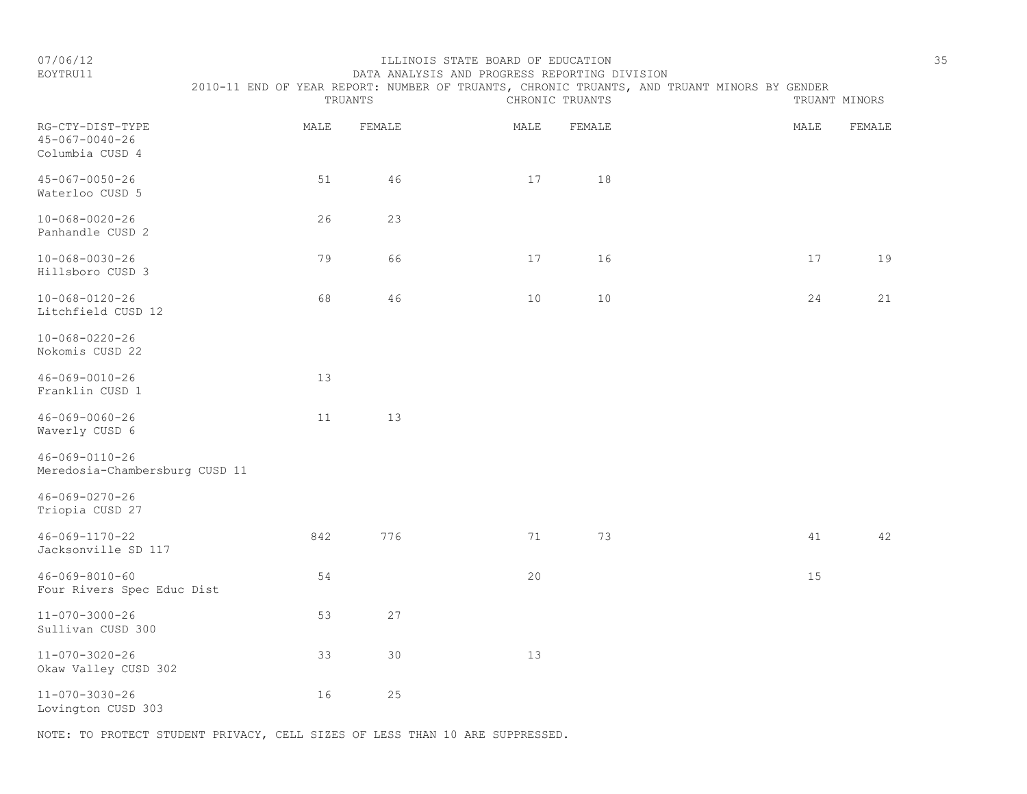| 07/06/12<br>EOYTRU11                                     |                                                                                             |         | ILLINOIS STATE BOARD OF EDUCATION<br>DATA ANALYSIS AND PROGRESS REPORTING DIVISION |                 |      |               | 35 |
|----------------------------------------------------------|---------------------------------------------------------------------------------------------|---------|------------------------------------------------------------------------------------|-----------------|------|---------------|----|
|                                                          | 2010-11 END OF YEAR REPORT: NUMBER OF TRUANTS, CHRONIC TRUANTS, AND TRUANT MINORS BY GENDER | TRUANTS |                                                                                    | CHRONIC TRUANTS |      | TRUANT MINORS |    |
| RG-CTY-DIST-TYPE<br>45-067-0040-26<br>Columbia CUSD 4    | MALE                                                                                        | FEMALE  | MALE                                                                               | FEMALE          | MALE | FEMALE        |    |
| 45-067-0050-26<br>Waterloo CUSD 5                        | 51                                                                                          | 46      | 17                                                                                 | 18              |      |               |    |
| 10-068-0020-26<br>Panhandle CUSD 2                       | 26                                                                                          | 23      |                                                                                    |                 |      |               |    |
| 10-068-0030-26<br>Hillsboro CUSD 3                       | 79                                                                                          | 66      | 17                                                                                 | 16              | 17   | 19            |    |
| $10 - 068 - 0120 - 26$<br>Litchfield CUSD 12             | 68                                                                                          | 46      | 10                                                                                 | 10              | 24   | 21            |    |
| 10-068-0220-26<br>Nokomis CUSD 22                        |                                                                                             |         |                                                                                    |                 |      |               |    |
| $46 - 069 - 0010 - 26$<br>Franklin CUSD 1                | 13                                                                                          |         |                                                                                    |                 |      |               |    |
| 46-069-0060-26<br>Waverly CUSD 6                         | 11                                                                                          | 13      |                                                                                    |                 |      |               |    |
| $46 - 069 - 0110 - 26$<br>Meredosia-Chambersburg CUSD 11 |                                                                                             |         |                                                                                    |                 |      |               |    |
| $46 - 069 - 0270 - 26$<br>Triopia CUSD 27                |                                                                                             |         |                                                                                    |                 |      |               |    |
| 46-069-1170-22<br>Jacksonville SD 117                    | 842                                                                                         | 776     | 71                                                                                 | 73              | 41   | 42            |    |

46-069-8010-60 54 20 15 Four Rivers Spec Educ Dist 11-070-3000-26 53 27 Sullivan CUSD 300

11-070-3020-26 33 30 13 Okaw Valley CUSD 302 11-070-3030-26 16 25

Lovington CUSD 303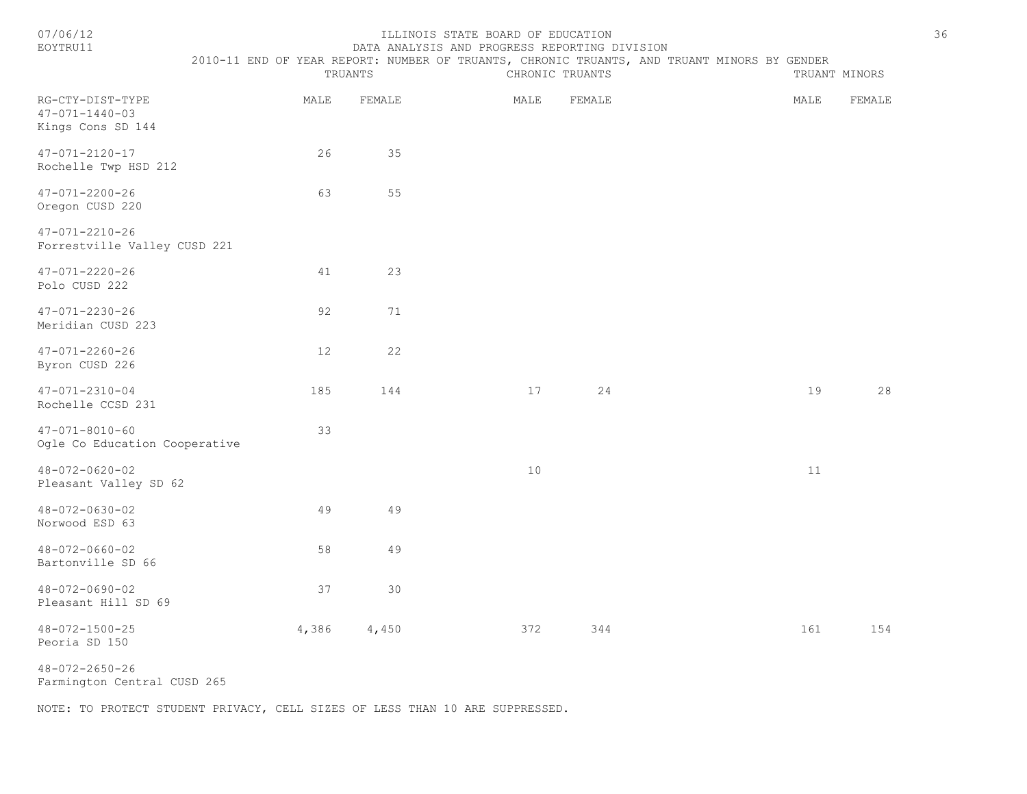| 7/06/1 |
|--------|
|--------|

#### ILLINOIS STATE BOARD OF EDUCATION 36 EOYTRU11 DATA ANALYSIS AND PROGRESS REPORTING DIVISION

2010-11 END OF YEAR REPORT: NUMBER OF TRUANTS, CHRONIC TRUANTS, AND TRUANT MINORS BY GENDER

|                                                                 | TRUANTS |        | CHRONIC TRUANTS | TRUANT MINORS |      |        |
|-----------------------------------------------------------------|---------|--------|-----------------|---------------|------|--------|
| RG-CTY-DIST-TYPE<br>$47 - 071 - 1440 - 03$<br>Kings Cons SD 144 | MALE    | FEMALE | MALE            | FEMALE        | MALE | FEMALE |
| 47-071-2120-17<br>Rochelle Twp HSD 212                          | 26      | 35     |                 |               |      |        |
| $47 - 071 - 2200 - 26$<br>Oregon CUSD 220                       | 63      | 55     |                 |               |      |        |
| $47 - 071 - 2210 - 26$<br>Forrestville Valley CUSD 221          |         |        |                 |               |      |        |
| $47 - 071 - 2220 - 26$<br>Polo CUSD 222                         | 41      | 23     |                 |               |      |        |
| $47 - 071 - 2230 - 26$<br>Meridian CUSD 223                     | 92      | 71     |                 |               |      |        |
| $47 - 071 - 2260 - 26$<br>Byron CUSD 226                        | 12      | 22     |                 |               |      |        |
| $47 - 071 - 2310 - 04$<br>Rochelle CCSD 231                     | 185     | 144    | 17              | 24            | 19   | 28     |
| $47 - 071 - 8010 - 60$<br>Ogle Co Education Cooperative         | 33      |        |                 |               |      |        |
| $48 - 072 - 0620 - 02$<br>Pleasant Valley SD 62                 |         |        | 10              |               | 11   |        |
| 48-072-0630-02<br>Norwood ESD 63                                | 49      | 49     |                 |               |      |        |
| $48 - 072 - 0660 - 02$<br>Bartonville SD 66                     | 58      | 49     |                 |               |      |        |
| $48 - 072 - 0690 - 02$<br>Pleasant Hill SD 69                   | 37      | 30     |                 |               |      |        |
| $48 - 072 - 1500 - 25$<br>Peoria SD 150                         | 4,386   | 4,450  | 372             | 344           | 161  | 154    |

48-072-2650-26

Farmington Central CUSD 265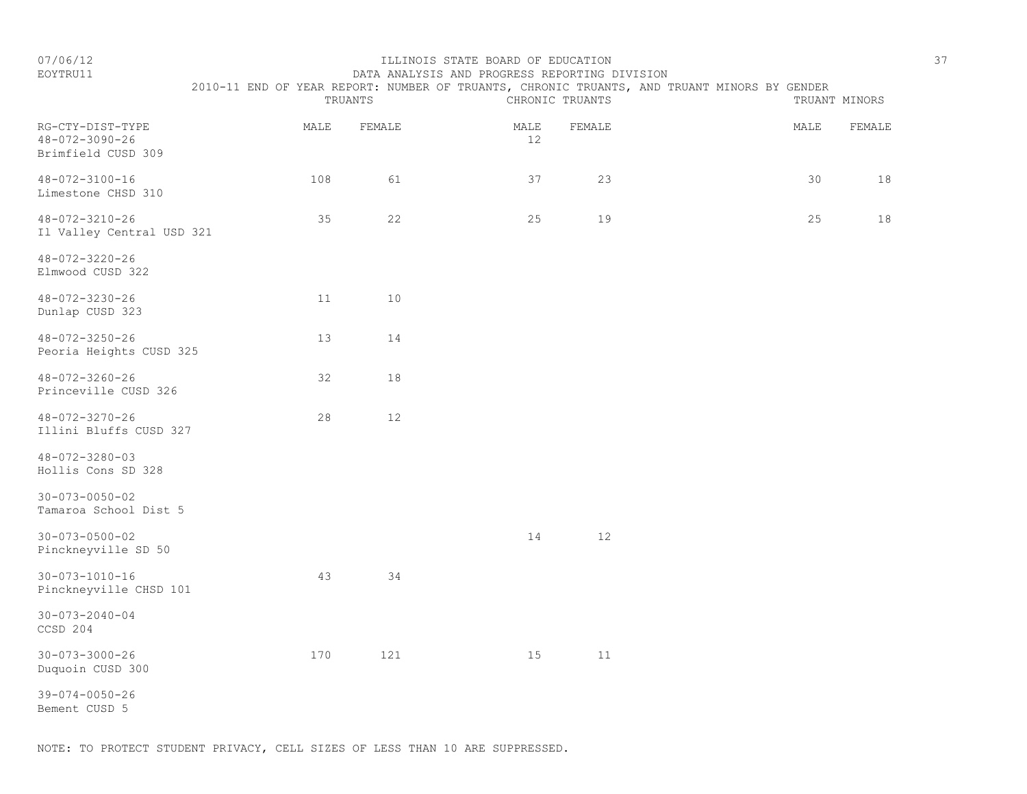#### EOYTRU11 DATA ANALYSIS AND PROGRESS REPORTING DIVISION 2010-11 END OF YEAR REPORT: NUMBER OF TRUANTS, CHRONIC TRUANTS, AND TRUANT MINORS BY GENDER

|                                                                  | TRUANTS |        | CHRONIC TRUANTS |        |  | TRUANT MINORS |        |  |
|------------------------------------------------------------------|---------|--------|-----------------|--------|--|---------------|--------|--|
| RG-CTY-DIST-TYPE<br>$48 - 072 - 3090 - 26$<br>Brimfield CUSD 309 | MALE    | FEMALE | MALE<br>$12$    | FEMALE |  | MALE          | FEMALE |  |
| $48 - 072 - 3100 - 16$<br>Limestone CHSD 310                     | 108     | 61     | 37              | 23     |  | 30            | 18     |  |
| 48-072-3210-26<br>Il Valley Central USD 321                      | 35      | 22     | 25              | 19     |  | 25            | 18     |  |
| $48 - 072 - 3220 - 26$<br>Elmwood CUSD 322                       |         |        |                 |        |  |               |        |  |
| $48 - 072 - 3230 - 26$<br>Dunlap CUSD 323                        | 11      | $10$   |                 |        |  |               |        |  |
| $48 - 072 - 3250 - 26$<br>Peoria Heights CUSD 325                | 13      | 14     |                 |        |  |               |        |  |
| $48 - 072 - 3260 - 26$<br>Princeville CUSD 326                   | 32      | 18     |                 |        |  |               |        |  |
| 48-072-3270-26<br>Illini Bluffs CUSD 327                         | 28      | 12     |                 |        |  |               |        |  |
| 48-072-3280-03<br>Hollis Cons SD 328                             |         |        |                 |        |  |               |        |  |
| $30 - 073 - 0050 - 02$<br>Tamaroa School Dist 5                  |         |        |                 |        |  |               |        |  |
| $30 - 073 - 0500 - 02$<br>Pinckneyville SD 50                    |         |        | 14              | $12$   |  |               |        |  |
| $30 - 073 - 1010 - 16$<br>Pinckneyville CHSD 101                 | 43      | 34     |                 |        |  |               |        |  |
| $30 - 073 - 2040 - 04$<br>CCSD 204                               |         |        |                 |        |  |               |        |  |
| $30 - 073 - 3000 - 26$<br>Duquoin CUSD 300                       | 170     | 121    | 15              | 11     |  |               |        |  |
| $39 - 074 - 0050 - 26$<br>Bement CUSD 5                          |         |        |                 |        |  |               |        |  |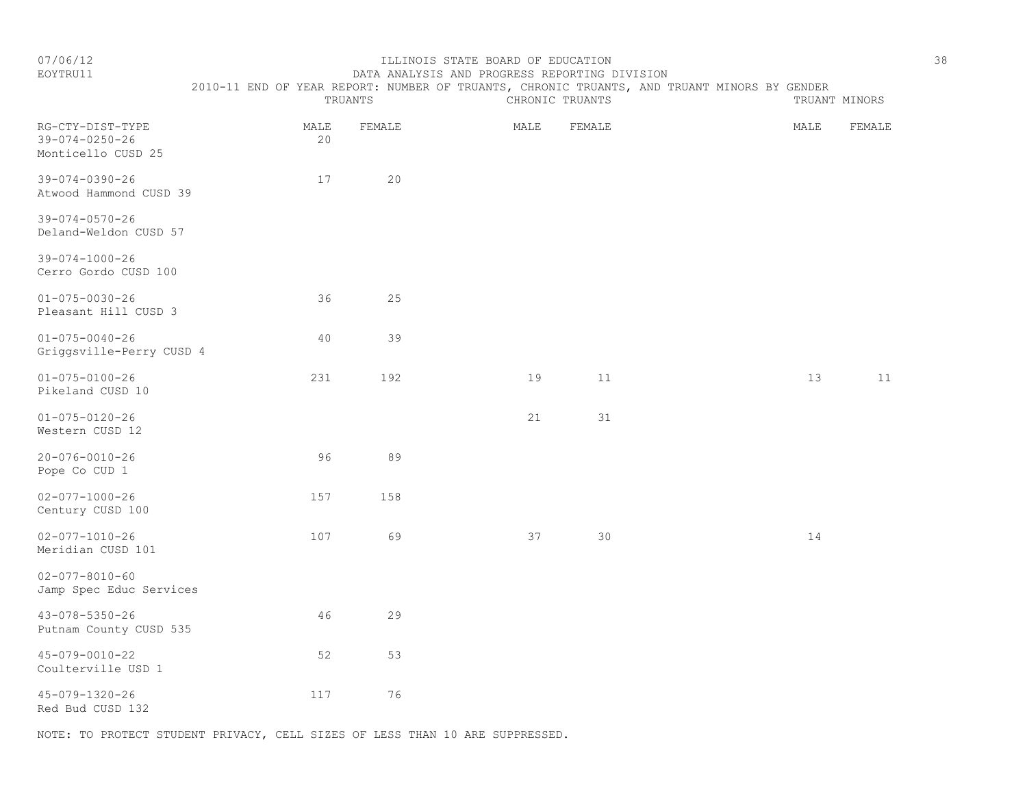### EOYTRU11 DATA ANALYSIS AND PROGRESS REPORTING DIVISION

 2010-11 END OF YEAR REPORT: NUMBER OF TRUANTS, CHRONIC TRUANTS, AND TRUANT MINORS BY GENDER TRUANTS CHRONIC TRUANTS TRUANT MINORS

| RG-CTY-DIST-TYPE<br>$39 - 074 - 0250 - 26$<br>Monticello CUSD 25 | MALE<br>20 | FEMALE | MALE | FEMALE | MALE | FEMALE |
|------------------------------------------------------------------|------------|--------|------|--------|------|--------|
| $39 - 074 - 0390 - 26$<br>Atwood Hammond CUSD 39                 | 17         | 20     |      |        |      |        |
| $39 - 074 - 0570 - 26$<br>Deland-Weldon CUSD 57                  |            |        |      |        |      |        |
| $39 - 074 - 1000 - 26$<br>Cerro Gordo CUSD 100                   |            |        |      |        |      |        |
| $01 - 075 - 0030 - 26$<br>Pleasant Hill CUSD 3                   | 36         | 25     |      |        |      |        |
| $01 - 075 - 0040 - 26$<br>Griggsville-Perry CUSD 4               | 40         | 39     |      |        |      |        |
| $01 - 075 - 0100 - 26$<br>Pikeland CUSD 10                       | 231        | 192    | 19   | 11     | 13   | 11     |
| $01 - 075 - 0120 - 26$<br>Western CUSD 12                        |            |        | 21   | 31     |      |        |
| $20 - 076 - 0010 - 26$<br>Pope Co CUD 1                          | 96         | 89     |      |        |      |        |
| $02 - 077 - 1000 - 26$<br>Century CUSD 100                       | 157        | 158    |      |        |      |        |
| $02 - 077 - 1010 - 26$<br>Meridian CUSD 101                      | 107        | 69     | 37   | 30     | 14   |        |
| $02 - 077 - 8010 - 60$<br>Jamp Spec Educ Services                |            |        |      |        |      |        |
| $43 - 078 - 5350 - 26$<br>Putnam County CUSD 535                 | 46         | 29     |      |        |      |        |
| $45 - 079 - 0010 - 22$<br>Coulterville USD 1                     | 52         | 53     |      |        |      |        |
| 45-079-1320-26<br>Red Bud CUSD 132                               | 117        | 76     |      |        |      |        |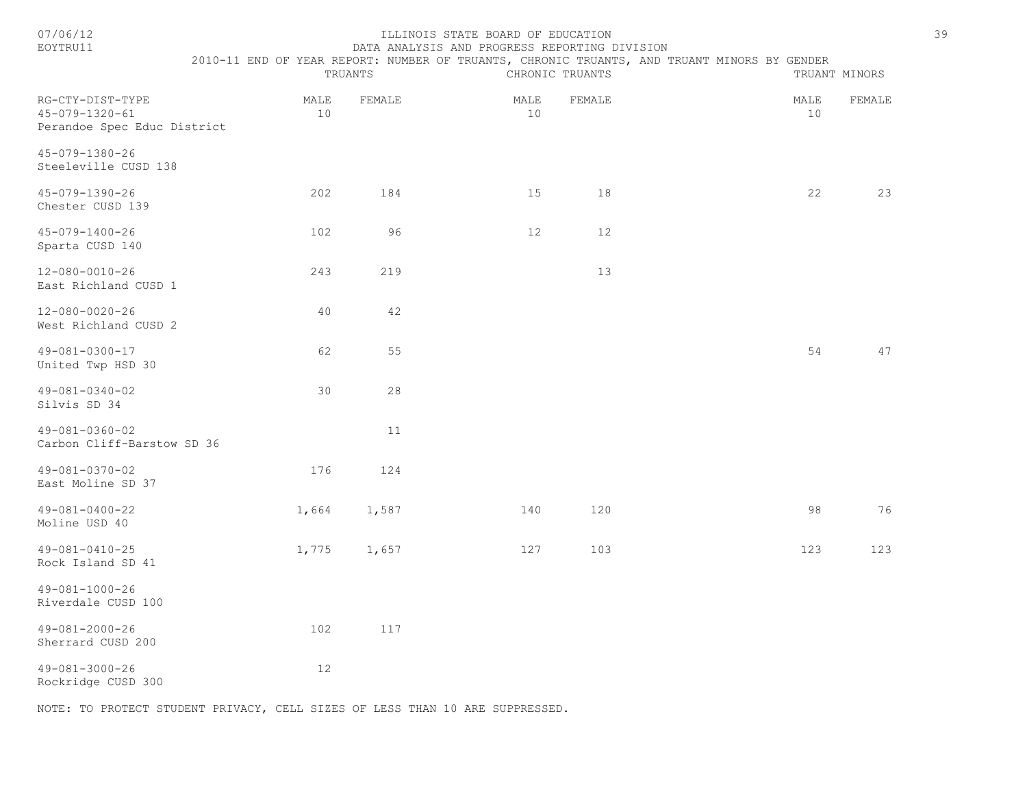#### ILLINOIS STATE BOARD OF EDUCATION 39 EOYTRU11 DATA ANALYSIS AND PROGRESS REPORTING DIVISION

2010-11 END OF YEAR REPORT: NUMBER OF TRUANTS, CHRONIC TRUANTS, AND TRUANT MINORS BY GENDER

|                                                                           |                         | TRUANTS |            | CHRONIC TRUANTS | TRUANT MINORS |              |  |
|---------------------------------------------------------------------------|-------------------------|---------|------------|-----------------|---------------|--------------|--|
| RG-CTY-DIST-TYPE<br>$45 - 079 - 1320 - 61$<br>Perandoe Spec Educ District | MALE<br>10 <sup>°</sup> | FEMALE  | MALE<br>10 | FEMALE          | MALE          | FEMALE<br>10 |  |
| 45-079-1380-26<br>Steeleville CUSD 138                                    |                         |         |            |                 |               |              |  |
| 45-079-1390-26<br>Chester CUSD 139                                        | 202                     | 184     | 15         | 18              |               | 22<br>23     |  |
| $45 - 079 - 1400 - 26$<br>Sparta CUSD 140                                 | 102                     | 96      | $12$       | 12              |               |              |  |
| $12 - 080 - 0010 - 26$<br>East Richland CUSD 1                            | 243                     | 219     |            | 13              |               |              |  |
| $12 - 080 - 0020 - 26$<br>West Richland CUSD 2                            | 40                      | 42      |            |                 |               |              |  |
| $49 - 081 - 0300 - 17$<br>United Twp HSD 30                               | 62                      | 55      |            |                 |               | 54<br>47     |  |
| $49 - 081 - 0340 - 02$<br>Silvis SD 34                                    | 30                      | 28      |            |                 |               |              |  |
| 49-081-0360-02<br>Carbon Cliff-Barstow SD 36                              |                         | 11      |            |                 |               |              |  |
| 49-081-0370-02<br>East Moline SD 37                                       | 176                     | 124     |            |                 |               |              |  |
| 49-081-0400-22<br>Moline USD 40                                           | 1,664                   | 1,587   | 140        | 120             |               | 98<br>76     |  |
| $49 - 081 - 0410 - 25$<br>Rock Island SD 41                               | 1,775                   | 1,657   | 127        | 103             | 123           | 123          |  |
| $49 - 081 - 1000 - 26$<br>Riverdale CUSD 100                              |                         |         |            |                 |               |              |  |
| $49 - 081 - 2000 - 26$<br>Sherrard CUSD 200                               | 102                     | 117     |            |                 |               |              |  |
| $49 - 081 - 3000 - 26$<br>Rockridge CUSD 300                              | 12                      |         |            |                 |               |              |  |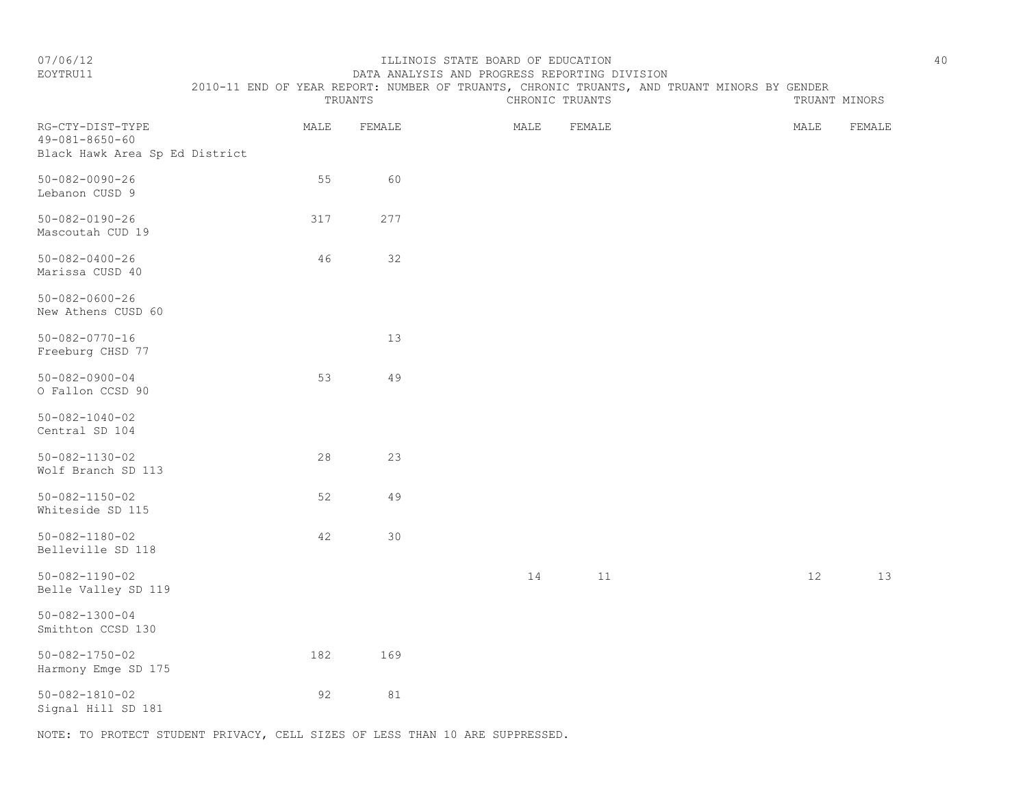## EOYTRU11 DATA ANALYSIS AND PROGRESS REPORTING DIVISION

 2010-11 END OF YEAR REPORT: NUMBER OF TRUANTS, CHRONIC TRUANTS, AND TRUANT MINORS BY GENDER TRUANTS CHRONIC TRUANTS TRUANT MINORS

| RG-CTY-DIST-TYPE<br>$49 - 081 - 8650 - 60$<br>Black Hawk Area Sp Ed District | MALE | FEMALE | MALE | FEMALE |  | MALE | FEMALE |  |
|------------------------------------------------------------------------------|------|--------|------|--------|--|------|--------|--|
| $50 - 082 - 0090 - 26$<br>Lebanon CUSD 9                                     | 55   | 60     |      |        |  |      |        |  |
| $50 - 082 - 0190 - 26$<br>Mascoutah CUD 19                                   | 317  | 277    |      |        |  |      |        |  |
| $50 - 082 - 0400 - 26$<br>Marissa CUSD 40                                    | 46   | 32     |      |        |  |      |        |  |
| $50 - 082 - 0600 - 26$<br>New Athens CUSD 60                                 |      |        |      |        |  |      |        |  |
| $50 - 082 - 0770 - 16$<br>Freeburg CHSD 77                                   |      | 13     |      |        |  |      |        |  |
| $50 - 082 - 0900 - 04$<br>O Fallon CCSD 90                                   | 53   | 49     |      |        |  |      |        |  |
| $50 - 082 - 1040 - 02$<br>Central SD 104                                     |      |        |      |        |  |      |        |  |
| $50 - 082 - 1130 - 02$<br>Wolf Branch SD 113                                 | 28   | 23     |      |        |  |      |        |  |
| $50 - 082 - 1150 - 02$<br>Whiteside SD 115                                   | 52   | 49     |      |        |  |      |        |  |
| $50 - 082 - 1180 - 02$<br>Belleville SD 118                                  | 42   | 30     |      |        |  |      |        |  |
| $50 - 082 - 1190 - 02$<br>Belle Valley SD 119                                |      |        | 14   | 11     |  | 12   | 13     |  |
| $50 - 082 - 1300 - 04$<br>Smithton CCSD 130                                  |      |        |      |        |  |      |        |  |
| $50 - 082 - 1750 - 02$<br>Harmony Emge SD 175                                | 182  | 169    |      |        |  |      |        |  |
| $50 - 082 - 1810 - 02$<br>Signal Hill SD 181                                 | 92   | 81     |      |        |  |      |        |  |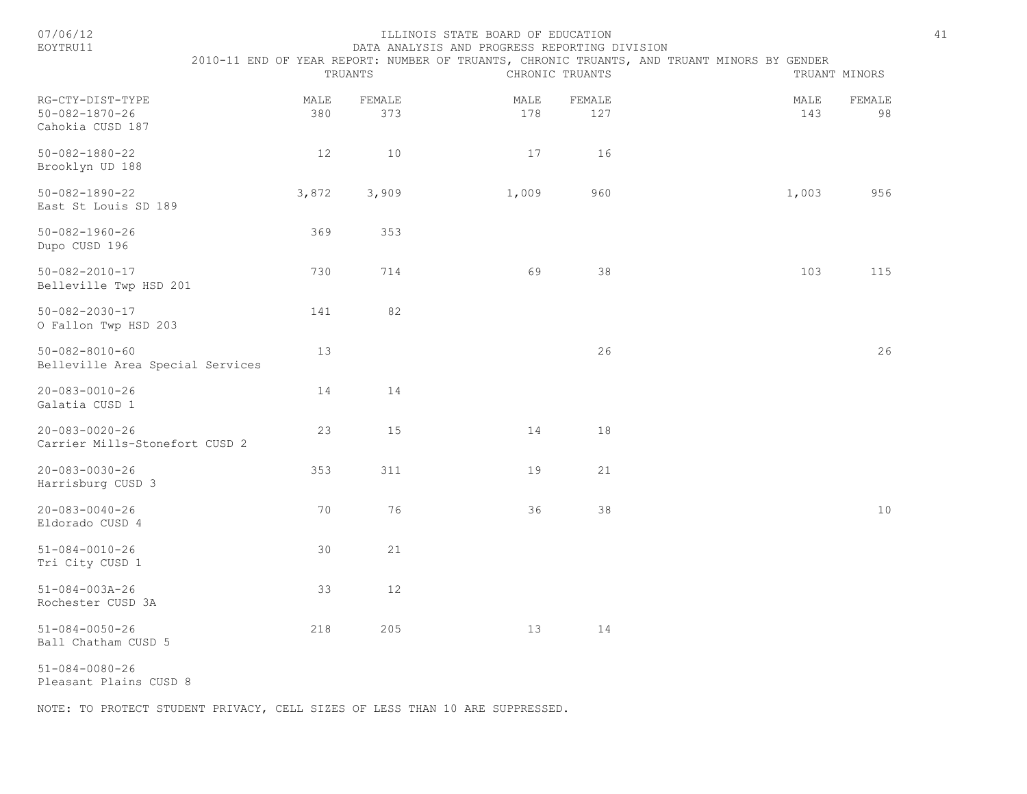| 07/06/12<br>EOYTRU11                                           |             | TRUANTS       | ILLINOIS STATE BOARD OF EDUCATION<br>DATA ANALYSIS AND PROGRESS REPORTING DIVISION | CHRONIC TRUANTS | 2010-11 END OF YEAR REPORT: NUMBER OF TRUANTS, CHRONIC TRUANTS, AND TRUANT MINORS BY GENDER | 41<br>TRUANT MINORS |  |
|----------------------------------------------------------------|-------------|---------------|------------------------------------------------------------------------------------|-----------------|---------------------------------------------------------------------------------------------|---------------------|--|
| RG-CTY-DIST-TYPE<br>$50 - 082 - 1870 - 26$<br>Cahokia CUSD 187 | MALE<br>380 | FEMALE<br>373 | MALE<br>178                                                                        | FEMALE<br>127   | MALE<br>143                                                                                 | FEMALE<br>98        |  |
| $50 - 082 - 1880 - 22$<br>Brooklyn UD 188                      | 12          | $10$          | 17                                                                                 | 16              |                                                                                             |                     |  |
| $50 - 082 - 1890 - 22$<br>East St Louis SD 189                 | 3,872       | 3,909         | 1,009                                                                              | 960             | 1,003                                                                                       | 956                 |  |
| $50 - 082 - 1960 - 26$<br>Dupo CUSD 196                        | 369         | 353           |                                                                                    |                 |                                                                                             |                     |  |
| $50 - 082 - 2010 - 17$<br>Belleville Twp HSD 201               | 730         | 714           | 69                                                                                 | 38              | 103                                                                                         | 115                 |  |
| $50 - 082 - 2030 - 17$<br>O Fallon Twp HSD 203                 | 141         | 82            |                                                                                    |                 |                                                                                             |                     |  |
| $50 - 082 - 8010 - 60$<br>Belleville Area Special Services     | 13          |               |                                                                                    | 26              |                                                                                             | 26                  |  |
| $20 - 083 - 0010 - 26$<br>Galatia CUSD 1                       | 14          | 14            |                                                                                    |                 |                                                                                             |                     |  |
| $20 - 083 - 0020 - 26$<br>Carrier Mills-Stonefort CUSD 2       | 23          | 15            | 14                                                                                 | 18              |                                                                                             |                     |  |
| $20 - 083 - 0030 - 26$<br>Harrisburg CUSD 3                    | 353         | 311           | 19                                                                                 | 21              |                                                                                             |                     |  |
| $20 - 083 - 0040 - 26$<br>Eldorado CUSD 4                      | 70          | 76            | 36                                                                                 | 38              |                                                                                             | $10$                |  |
| $51 - 084 - 0010 - 26$<br>Tri City CUSD 1                      | 30          | 21            |                                                                                    |                 |                                                                                             |                     |  |
| $51 - 084 - 003A - 26$<br>Rochester CUSD 3A                    | 33          | $12$          |                                                                                    |                 |                                                                                             |                     |  |
| $51 - 084 - 0050 - 26$<br>Ball Chatham CUSD 5                  | 218         | 205           | 13                                                                                 | 14              |                                                                                             |                     |  |
|                                                                |             |               |                                                                                    |                 |                                                                                             |                     |  |

51-084-0080-26

Pleasant Plains CUSD 8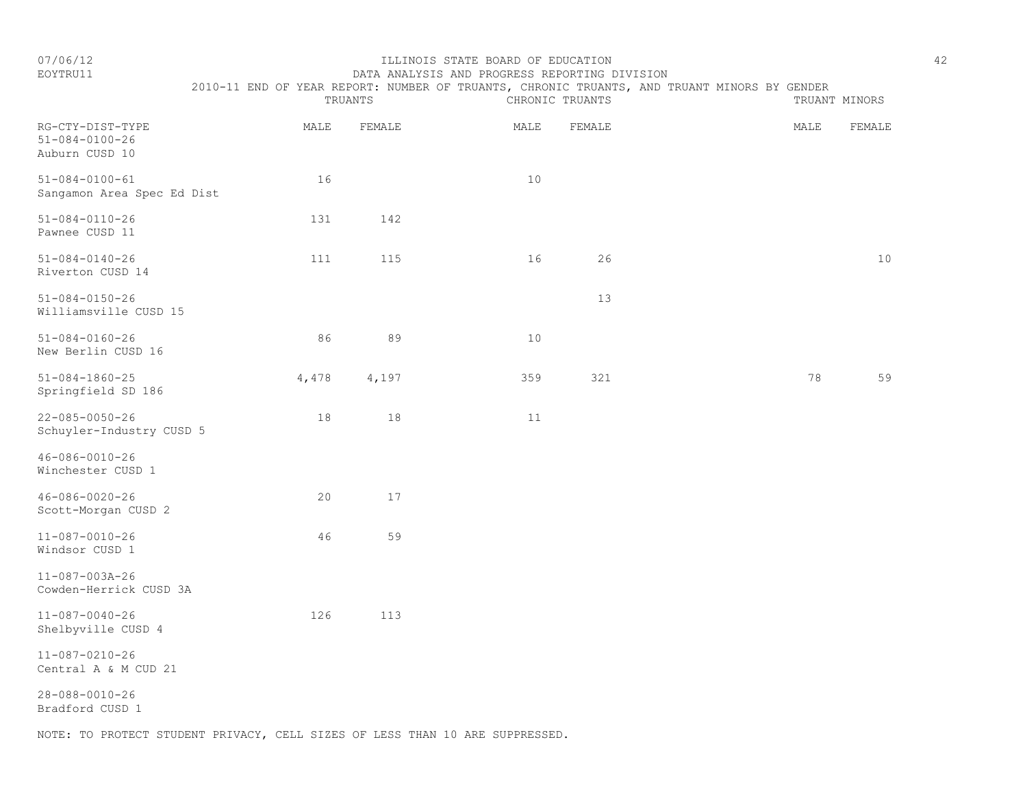# EOYTRU11 DATA ANALYSIS AND PROGRESS REPORTING DIVISION 2010-11 END OF YEAR REPORT: NUMBER OF TRUANTS, CHRONIC TRUANTS, AND TRUANT MINORS BY GENDER<br>CHRONIC TRUANTS

|                                                              |       | TRUANTS | CHRONIC TRUANTS | TRUANT MINORS |      |        |
|--------------------------------------------------------------|-------|---------|-----------------|---------------|------|--------|
| RG-CTY-DIST-TYPE<br>$51 - 084 - 0100 - 26$<br>Auburn CUSD 10 | MALE  | FEMALE  | MALE            | FEMALE        | MALE | FEMALE |
| $51 - 084 - 0100 - 61$<br>Sangamon Area Spec Ed Dist         | 16    |         | 10              |               |      |        |
| $51 - 084 - 0110 - 26$<br>Pawnee CUSD 11                     | 131   | 142     |                 |               |      |        |
| $51 - 084 - 0140 - 26$<br>Riverton CUSD 14                   | 111   | 115     | 16              | 26            |      | 10     |
| $51 - 084 - 0150 - 26$<br>Williamsville CUSD 15              |       |         |                 | 13            |      |        |
| $51 - 084 - 0160 - 26$<br>New Berlin CUSD 16                 | 86    | 89      | 10              |               |      |        |
| $51 - 084 - 1860 - 25$<br>Springfield SD 186                 | 4,478 | 4,197   | 359             | 321           | 78   | 59     |
| $22 - 085 - 0050 - 26$<br>Schuyler-Industry CUSD 5           | 18    | 18      | 11              |               |      |        |
| $46 - 086 - 0010 - 26$<br>Winchester CUSD 1                  |       |         |                 |               |      |        |
| $46 - 086 - 0020 - 26$<br>Scott-Morgan CUSD 2                | 20    | 17      |                 |               |      |        |
| $11 - 087 - 0010 - 26$<br>Windsor CUSD 1                     | 46    | 59      |                 |               |      |        |
| $11 - 087 - 003A - 26$<br>Cowden-Herrick CUSD 3A             |       |         |                 |               |      |        |
| $11 - 087 - 0040 - 26$<br>Shelbyville CUSD 4                 | 126   | 113     |                 |               |      |        |
| $11 - 087 - 0210 - 26$<br>Central A & M CUD 21               |       |         |                 |               |      |        |
| $28 - 088 - 0010 - 26$<br>Bradford CUSD 1                    |       |         |                 |               |      |        |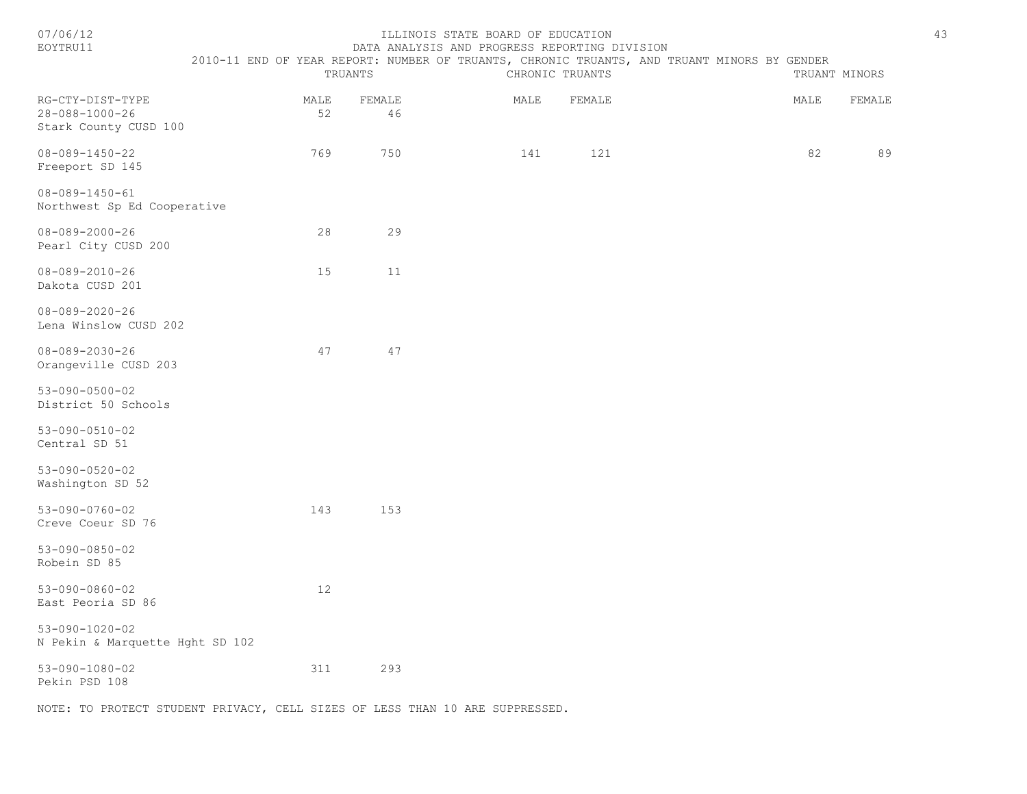| EOYTRU11                                                                     |                                                                                             |              | DATA ANALYSIS AND PROGRESS REPORTING DIVISION |      |                 |  |      |               |
|------------------------------------------------------------------------------|---------------------------------------------------------------------------------------------|--------------|-----------------------------------------------|------|-----------------|--|------|---------------|
|                                                                              | 2010-11 END OF YEAR REPORT: NUMBER OF TRUANTS, CHRONIC TRUANTS, AND TRUANT MINORS BY GENDER | TRUANTS      |                                               |      | CHRONIC TRUANTS |  |      | TRUANT MINORS |
| RG-CTY-DIST-TYPE<br>28-088-1000-26<br>Stark County CUSD 100                  | MALE<br>52                                                                                  | FEMALE<br>46 |                                               | MALE | FEMALE          |  | MALE | FEMALE        |
| 08-089-1450-22<br>Freeport SD 145                                            | 769                                                                                         | 750          |                                               | 141  | 121             |  | 82   | 89            |
| $08 - 089 - 1450 - 61$<br>Northwest Sp Ed Cooperative                        |                                                                                             |              |                                               |      |                 |  |      |               |
| $08 - 089 - 2000 - 26$<br>Pearl City CUSD 200                                | 28                                                                                          | 29           |                                               |      |                 |  |      |               |
| $08 - 089 - 2010 - 26$<br>Dakota CUSD 201                                    | 15                                                                                          | 11           |                                               |      |                 |  |      |               |
| $08 - 089 - 2020 - 26$<br>Lena Winslow CUSD 202                              |                                                                                             |              |                                               |      |                 |  |      |               |
| $08 - 089 - 2030 - 26$<br>Orangeville CUSD 203                               | 47                                                                                          | 47           |                                               |      |                 |  |      |               |
| $53 - 090 - 0500 - 02$<br>District 50 Schools                                |                                                                                             |              |                                               |      |                 |  |      |               |
| $53 - 090 - 0510 - 02$<br>Central SD 51                                      |                                                                                             |              |                                               |      |                 |  |      |               |
| $53 - 090 - 0520 - 02$<br>Washington SD 52                                   |                                                                                             |              |                                               |      |                 |  |      |               |
| $53 - 090 - 0760 - 02$<br>Creve Coeur SD 76                                  | 143                                                                                         | 153          |                                               |      |                 |  |      |               |
| $53 - 090 - 0850 - 02$<br>Robein SD 85                                       |                                                                                             |              |                                               |      |                 |  |      |               |
| $53 - 090 - 0860 - 02$<br>East Peoria SD 86                                  | 12                                                                                          |              |                                               |      |                 |  |      |               |
| $53 - 090 - 1020 - 02$<br>N Pekin & Marquette Hght SD 102                    |                                                                                             |              |                                               |      |                 |  |      |               |
| $53 - 090 - 1080 - 02$<br>Pekin PSD 108                                      | 311                                                                                         | 293          |                                               |      |                 |  |      |               |
| NOTE: TO PROTECT STUDENT PRIVACY, CELL SIZES OF LESS THAN 10 ARE SUPPRESSED. |                                                                                             |              |                                               |      |                 |  |      |               |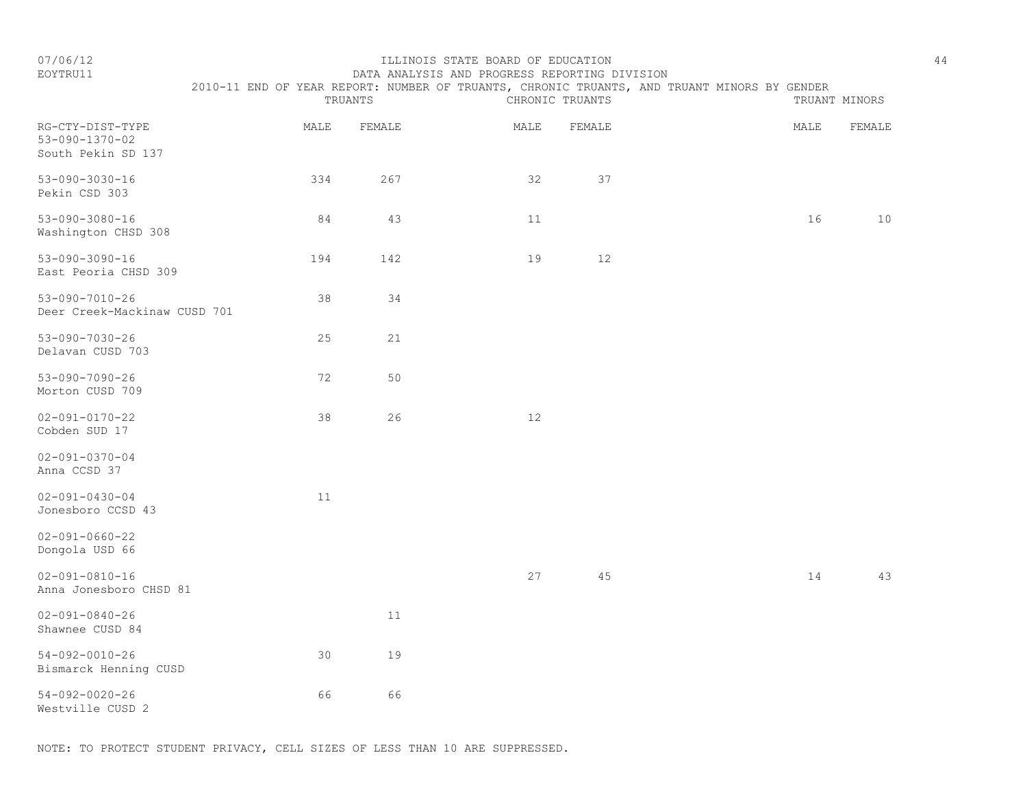EOYTRU11 DATA ANALYSIS AND PROGRESS REPORTING DIVISION 2010-11 END OF YEAR REPORT: NUMBER OF TRUANTS, CHRONIC TRUANTS, AND TRUANT MINORS BY GENDER<br>CHRONIC TRUANTS

|                                                                  |      | TRUANTS |      | CHRONIC TRUANTS |      | TRUANT MINORS |
|------------------------------------------------------------------|------|---------|------|-----------------|------|---------------|
| RG-CTY-DIST-TYPE<br>$53 - 090 - 1370 - 02$<br>South Pekin SD 137 | MALE | FEMALE  | MALE | FEMALE          | MALE | FEMALE        |
| $53 - 090 - 3030 - 16$<br>Pekin CSD 303                          | 334  | 267     | 32   | 37              |      |               |
| $53 - 090 - 3080 - 16$<br>Washington CHSD 308                    | 84   | 43      | 11   |                 | 16   | 10            |
| $53 - 090 - 3090 - 16$<br>East Peoria CHSD 309                   | 194  | 142     | 19   | $12$            |      |               |
| $53 - 090 - 7010 - 26$<br>Deer Creek-Mackinaw CUSD 701           | 38   | 34      |      |                 |      |               |
| $53 - 090 - 7030 - 26$<br>Delavan CUSD 703                       | 25   | 21      |      |                 |      |               |
| $53 - 090 - 7090 - 26$<br>Morton CUSD 709                        | 72   | 50      |      |                 |      |               |
| $02 - 091 - 0170 - 22$<br>Cobden SUD 17                          | 38   | 26      | 12   |                 |      |               |
| $02 - 091 - 0370 - 04$<br>Anna CCSD 37                           |      |         |      |                 |      |               |
| $02 - 091 - 0430 - 04$<br>Jonesboro CCSD 43                      | 11   |         |      |                 |      |               |
| $02 - 091 - 0660 - 22$<br>Dongola USD 66                         |      |         |      |                 |      |               |
| $02 - 091 - 0810 - 16$<br>Anna Jonesboro CHSD 81                 |      |         | 27   | 45              | 14   | 43            |
| $02 - 091 - 0840 - 26$<br>Shawnee CUSD 84                        |      | 11      |      |                 |      |               |
| $54 - 092 - 0010 - 26$<br>Bismarck Henning CUSD                  | 30   | 19      |      |                 |      |               |
| $54 - 092 - 0020 - 26$<br>Westville CUSD 2                       | 66   | 66      |      |                 |      |               |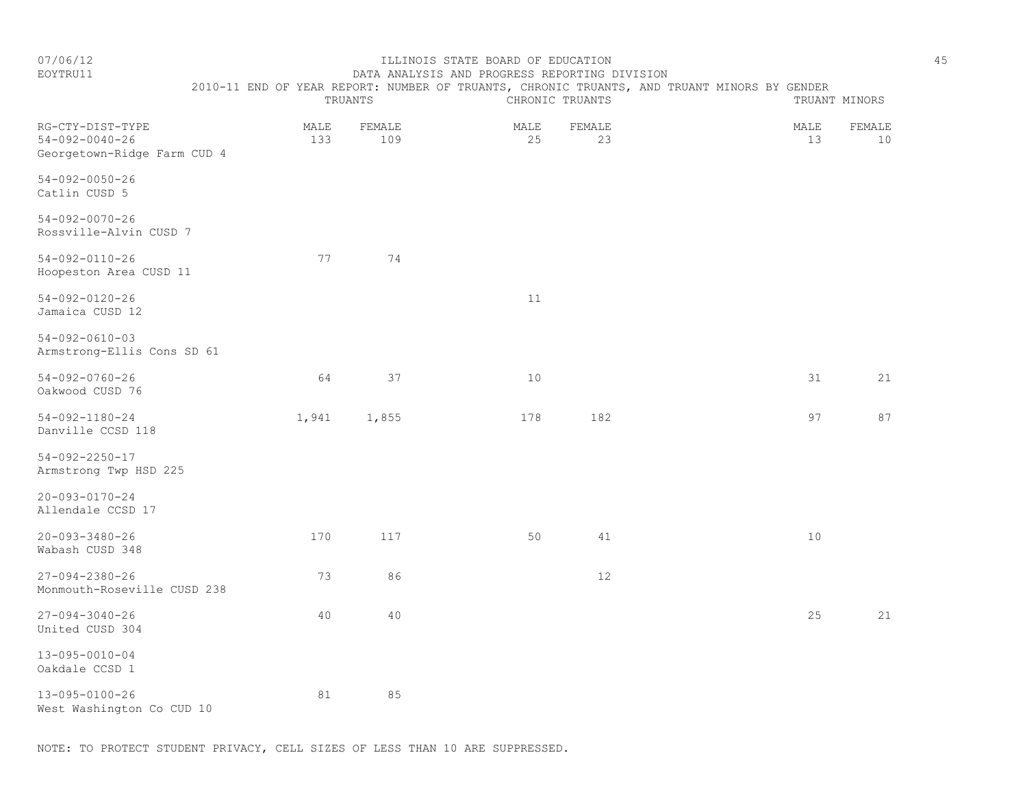#### EOYTRU11 DATA ANALYSIS AND PROGRESS REPORTING DIVISION 2010-11 END OF YEAR REPORT: NUMBER OF TRUANTS, CHRONIC TRUANTS, AND TRUANT MINORS BY GENDER

|                  |      | TRUANTS | CHRONIC TRUANTS |                    |      | TRUANT MINORS |
|------------------|------|---------|-----------------|--------------------|------|---------------|
| RG-CTY-DIST-TYPE | MALE | FEMALE  | MALE            | FEMALE             | MALE | FEMALE        |
| 54-092-0040-26   | ⊃ລ   | 109     |                 | $\sim$<br><u>.</u> |      | 10            |

| Georgetown-Ridge Farm CUD 4              |    |    |  |  |  |
|------------------------------------------|----|----|--|--|--|
| 54-092-0050-26<br>Catlin CUSD 5          |    |    |  |  |  |
| 54-092-0070-26<br>Rossville-Alvin CUSD 7 |    |    |  |  |  |
| 54-092-0110-26<br>Hoopeston Area CUSD 11 | 77 | 74 |  |  |  |

54-092-0120-26 11 Jamaica CUSD 12

54-092-0610-03 Armstrong-Ellis Cons SD 61

54-092-0760-26 64 37 10 31 21 Oakwood CUSD 76

54-092-1180-24 1,941 1,855 178 182 97 87 Danville CCSD 118

54-092-2250-17 Armstrong Twp HSD 225

20-093-0170-24

Allendale CCSD 17

20-093-3480-26 170 117 50 41 10 Wabash CUSD 348

27-094-2380-26 73 86 12 Monmouth-Roseville CUSD 238

27-094-3040-26 40 40 25 21 United CUSD 304

13-095-0010-04 Oakdale CCSD 1

13-095-0100-26 81 85 West Washington Co CUD 10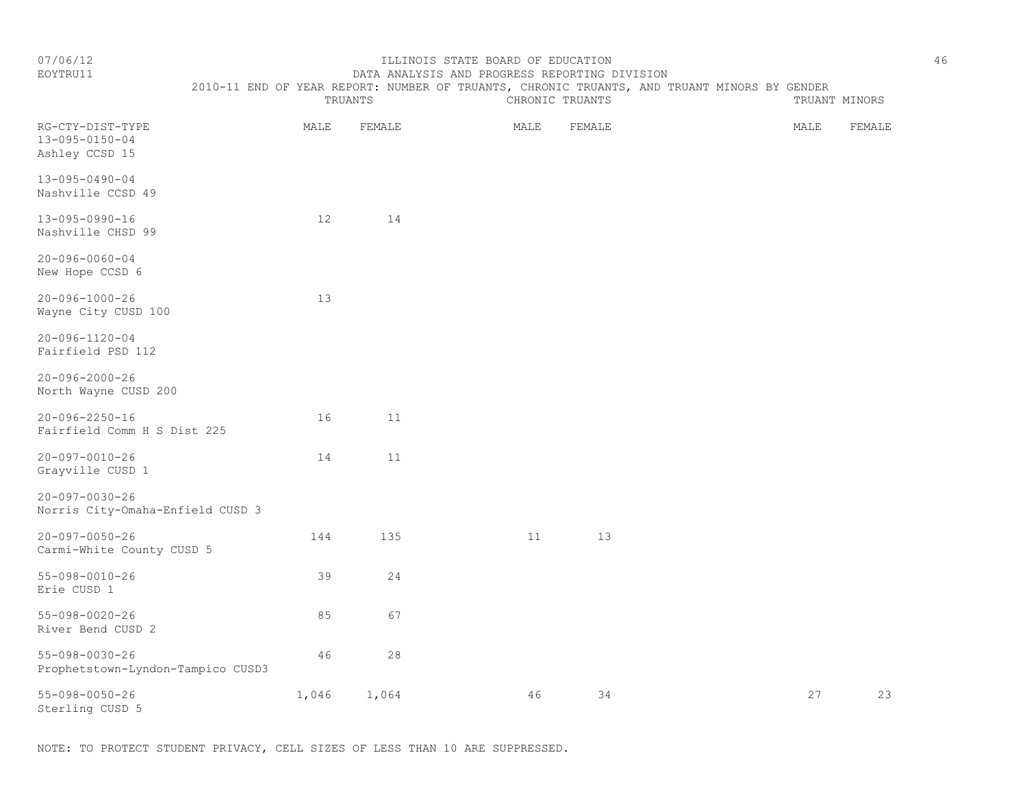TRUANTS CHRONIC TRUANTS TRUANTS TRUANT MINORS

### EOYTRU11 DATA ANALYSIS AND PROGRESS REPORTING DIVISION 2010-11 END OF YEAR REPORT: NUMBER OF TRUANTS, CHRONIC TRUANTS, AND TRUANT MINORS BY GENDER

| RG-CTY-DIST-TYPE<br>13-095-0150-04<br>Ashley CCSD 15        | MALE  | FEMALE | MALE | FEMALE | MALE | FEMALE |
|-------------------------------------------------------------|-------|--------|------|--------|------|--------|
| $13 - 095 - 0490 - 04$<br>Nashville CCSD 49                 |       |        |      |        |      |        |
| $13 - 095 - 0990 - 16$<br>Nashville CHSD 99                 | 12    | 14     |      |        |      |        |
| $20 - 096 - 0060 - 04$<br>New Hope CCSD 6                   |       |        |      |        |      |        |
| $20 - 096 - 1000 - 26$<br>Wayne City CUSD 100               | 13    |        |      |        |      |        |
| $20 - 096 - 1120 - 04$<br>Fairfield PSD 112                 |       |        |      |        |      |        |
| $20 - 096 - 2000 - 26$<br>North Wayne CUSD 200              |       |        |      |        |      |        |
| $20 - 096 - 2250 - 16$<br>Fairfield Comm H S Dist 225       | 16    | 11     |      |        |      |        |
| $20 - 097 - 0010 - 26$<br>Grayville CUSD 1                  | 14    | 11     |      |        |      |        |
| $20 - 097 - 0030 - 26$<br>Norris City-Omaha-Enfield CUSD 3  |       |        |      |        |      |        |
| $20 - 097 - 0050 - 26$<br>Carmi-White County CUSD 5         | 144   | 135    | 11   | 13     |      |        |
| $55 - 098 - 0010 - 26$<br>Erie CUSD 1                       | 39    | 24     |      |        |      |        |
| $55 - 098 - 0020 - 26$<br>River Bend CUSD 2                 | 85    | 67     |      |        |      |        |
| $55 - 098 - 0030 - 26$<br>Prophetstown-Lyndon-Tampico CUSD3 | 46    | $2\,8$ |      |        |      |        |
| $55 - 098 - 0050 - 26$<br>Sterling CUSD 5                   | 1,046 | 1,064  | 46   | 34     | 27   | 23     |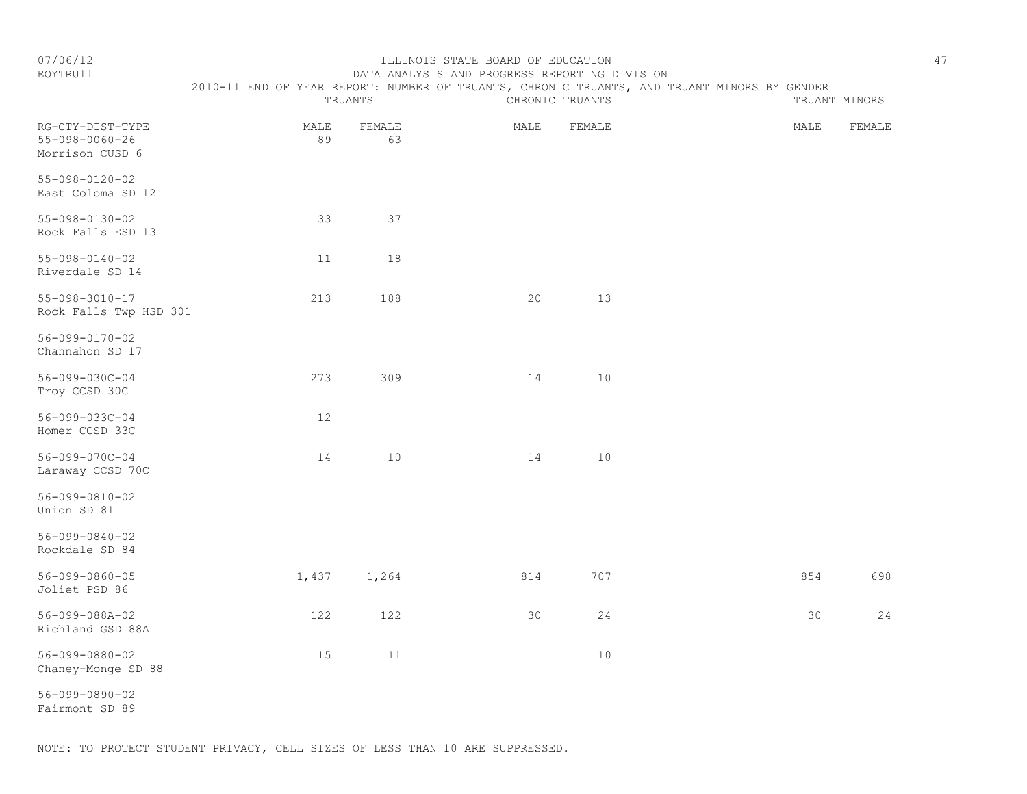TRUANTS CHRONIC TRUANTS TRUANTS TRUANT MINORS

#### EOYTRU11 DATA ANALYSIS AND PROGRESS REPORTING DIVISION 2010-11 END OF YEAR REPORT: NUMBER OF TRUANTS, CHRONIC TRUANTS, AND TRUANT MINORS BY GENDER

| RG-CTY-DIST-TYPE<br>$55 - 098 - 0060 - 26$<br>Morrison CUSD 6 | MALE<br>89 | FEMALE<br>63 | MALE | FEMALE | MALE | FEMALE |
|---------------------------------------------------------------|------------|--------------|------|--------|------|--------|
| 55-098-0120-02<br>East Coloma SD 12                           |            |              |      |        |      |        |
| 55-098-0130-02<br>Rock Falls ESD 13                           | 33         | 37           |      |        |      |        |
| 55-098-0140-02<br>Riverdale SD 14                             | 11         | 18           |      |        |      |        |
| 55-098-3010-17<br>Rock Falls Twp HSD 301                      | 213        | 188          | 20   | 13     |      |        |

56-099-0170-02

Channahon SD 17

Troy CCSD 30C 56-099-033C-04 12

56-099-070C-04 14 10 14 10 Laraway CCSD 70C

56-099-0810-02 Union SD 81

Homer CCSD 33C

56-099-0840-02

Rockdale SD 84

56-099-0860-05 1,437 1,264 814 707 854 698 Joliet PSD 86

56-099-088A-02 122 122 30 24 30 24 Richland GSD 88A

56-099-0880-02 15 11 10 Chaney-Monge SD 88

56-099-0890-02 Fairmont SD 89

56-099-030C-04 273 309 14 10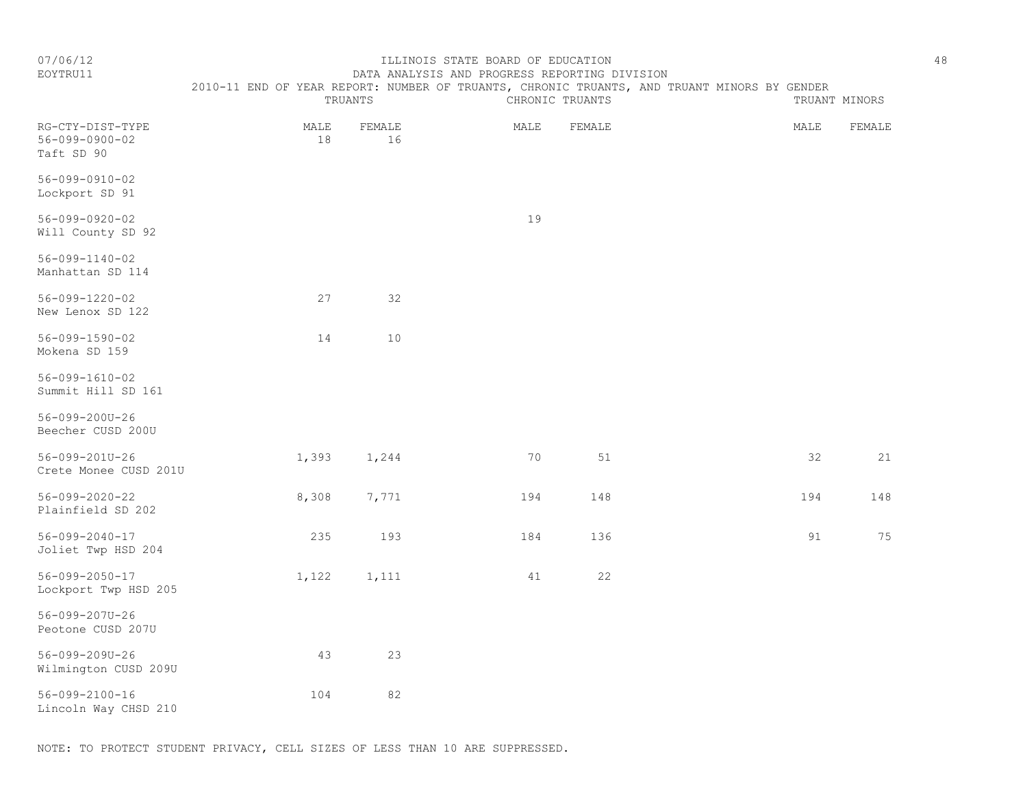### EOYTRU11 DATA ANALYSIS AND PROGRESS REPORTING DIVISION 2010-11 END OF YEAR REPORT: NUMBER OF TRUANTS, CHRONIC TRUANTS, AND TRUANT MINORS BY GENDER

|                                                          |            | TRUANTS      |      | CHRONIC TRUANTS |      | TRUANT MINORS |
|----------------------------------------------------------|------------|--------------|------|-----------------|------|---------------|
| RG-CTY-DIST-TYPE<br>$56 - 099 - 0900 - 02$<br>Taft SD 90 | MALE<br>18 | FEMALE<br>16 | MALE | FEMALE          | MALE | FEMALE        |
| $56 - 099 - 0910 - 02$<br>Lockport SD 91                 |            |              |      |                 |      |               |
| $56 - 099 - 0920 - 02$<br>Will County SD 92              |            |              | 19   |                 |      |               |
| $56 - 099 - 1140 - 02$<br>Manhattan SD 114               |            |              |      |                 |      |               |
| $56 - 099 - 1220 - 02$<br>New Lenox SD 122               | 27         | 32           |      |                 |      |               |
| 56-099-1590-02<br>Mokena SD 159                          | 14         | 10           |      |                 |      |               |
| $56 - 099 - 1610 - 02$<br>Summit Hill SD 161             |            |              |      |                 |      |               |
| 56-099-200U-26<br>Beecher CUSD 200U                      |            |              |      |                 |      |               |
| $56 - 099 - 201U - 26$<br>Crete Monee CUSD 201U          | 1,393      | 1,244        | 70   | 51              | 32   | 21            |
| $56 - 099 - 2020 - 22$<br>Plainfield SD 202              | 8,308      | 7,771        | 194  | 148             | 194  | 148           |
| $56 - 099 - 2040 - 17$<br>Joliet Twp HSD 204             | 235        | 193          | 184  | 136             | 91   | 75            |
| 56-099-2050-17<br>Lockport Twp HSD 205                   | 1,122      | 1,111        | 41   | 22              |      |               |
| 56-099-207U-26<br>Peotone CUSD 207U                      |            |              |      |                 |      |               |
| 56-099-209U-26<br>Wilmington CUSD 209U                   | 43         | 23           |      |                 |      |               |
| $56 - 099 - 2100 - 16$<br>Lincoln Way CHSD 210           | 104        | 82           |      |                 |      |               |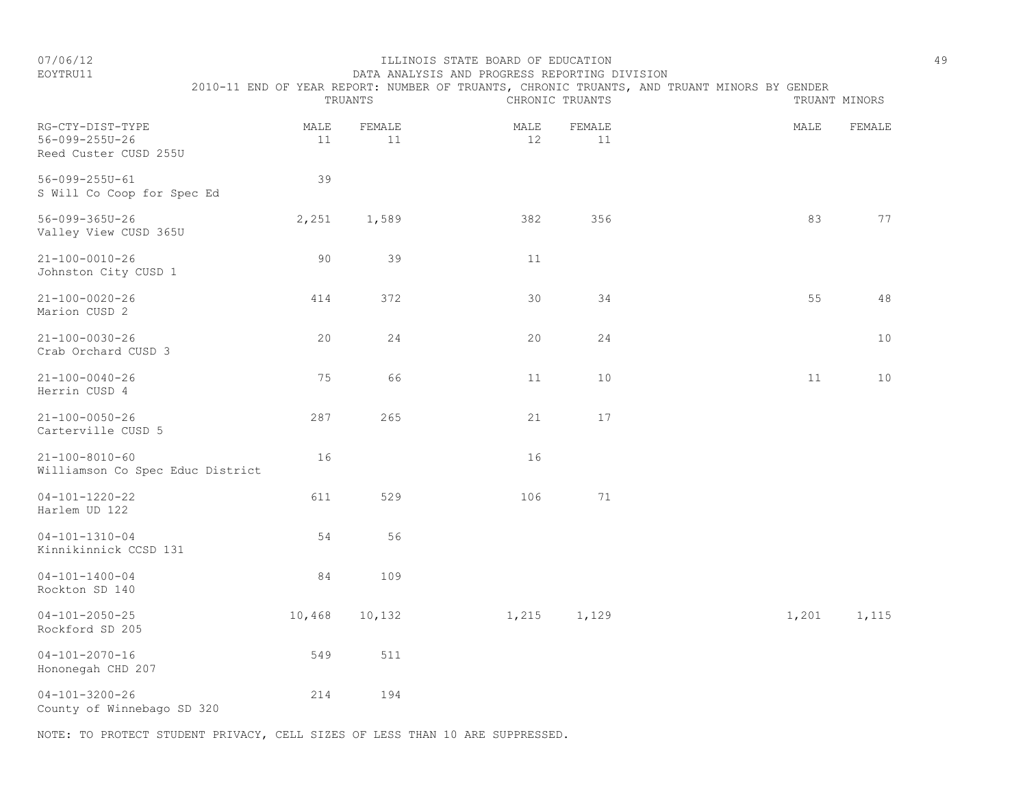EOYTRU11 DATA ANALYSIS AND PROGRESS REPORTING DIVISION 2010-11 END OF YEAR REPORT: NUMBER OF TRUANTS, CHRONIC TRUANTS, AND TRUANT MINORS BY GENDER

|                                                             |            | TRUANTS      |            | CHRONIC TRUANTS |       | TRUANT MINORS |
|-------------------------------------------------------------|------------|--------------|------------|-----------------|-------|---------------|
| RG-CTY-DIST-TYPE<br>56-099-255U-26<br>Reed Custer CUSD 255U | MALE<br>11 | FEMALE<br>11 | MALE<br>12 | FEMALE<br>11    | MALE  | FEMALE        |
| $56 - 099 - 255U - 61$<br>S Will Co Coop for Spec Ed        | 39         |              |            |                 |       |               |
| $56 - 099 - 365U - 26$<br>Valley View CUSD 365U             | 2,251      | 1,589        | 382        | 356             | 83    | 77            |
| $21 - 100 - 0010 - 26$<br>Johnston City CUSD 1              | 90         | 39           | 11         |                 |       |               |
| $21 - 100 - 0020 - 26$<br>Marion CUSD 2                     | 414        | 372          | 30         | 34              | 55    | 48            |
| $21 - 100 - 0030 - 26$<br>Crab Orchard CUSD 3               | 20         | 24           | 20         | 24              |       | 10            |
| $21 - 100 - 0040 - 26$<br>Herrin CUSD 4                     | 75         | 66           | 11         | $10$            | 11    | $10$          |
| $21 - 100 - 0050 - 26$<br>Carterville CUSD 5                | 287        | 265          | 21         | 17              |       |               |
| $21 - 100 - 8010 - 60$<br>Williamson Co Spec Educ District  | 16         |              | 16         |                 |       |               |
| $04 - 101 - 1220 - 22$<br>Harlem UD 122                     | 611        | 529          | 106        | 71              |       |               |
| $04 - 101 - 1310 - 04$<br>Kinnikinnick CCSD 131             | 54         | 56           |            |                 |       |               |
| $04 - 101 - 1400 - 04$<br>Rockton SD 140                    | 84         | 109          |            |                 |       |               |
| $04 - 101 - 2050 - 25$<br>Rockford SD 205                   | 10,468     | 10,132       | 1,215      | 1,129           | 1,201 | 1,115         |
| $04 - 101 - 2070 - 16$<br>Hononegah CHD 207                 | 549        | 511          |            |                 |       |               |
| $04 - 101 - 3200 - 26$<br>County of Winnebago SD 320        | 214        | 194          |            |                 |       |               |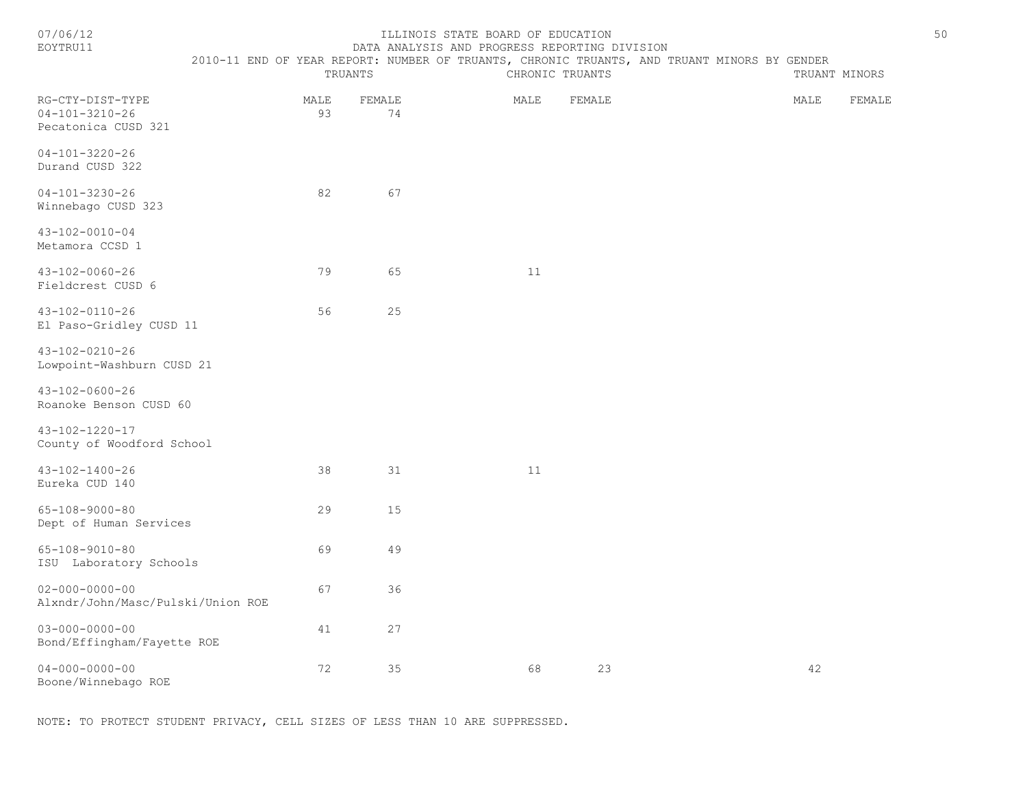| 07/06/1 |  |  |
|---------|--|--|
|         |  |  |

#### ILLINOIS STATE BOARD OF EDUCATION 50 EOYTRU11 DATA ANALYSIS AND PROGRESS REPORTING DIVISION

2010-11 END OF YEAR REPORT: NUMBER OF TRUANTS, CHRONIC TRUANTS, AND TRUANT MINORS BY GENDER

|                                                                   |            | TRUANTS      | CHRONIC TRUANTS | TRUANT MINORS |        |
|-------------------------------------------------------------------|------------|--------------|-----------------|---------------|--------|
| RG-CTY-DIST-TYPE<br>$04 - 101 - 3210 - 26$<br>Pecatonica CUSD 321 | MALE<br>93 | FEMALE<br>74 | MALE<br>FEMALE  | MALE          | FEMALE |
| $04 - 101 - 3220 - 26$<br>Durand CUSD 322                         |            |              |                 |               |        |
| $04 - 101 - 3230 - 26$<br>Winnebago CUSD 323                      | 82         | 67           |                 |               |        |
| $43 - 102 - 0010 - 04$<br>Metamora CCSD 1                         |            |              |                 |               |        |
| $43 - 102 - 0060 - 26$<br>Fieldcrest CUSD 6                       | 79         | 65           | 11              |               |        |
| 43-102-0110-26<br>El Paso-Gridley CUSD 11                         | 56         | 25           |                 |               |        |
| $43 - 102 - 0210 - 26$<br>Lowpoint-Washburn CUSD 21               |            |              |                 |               |        |
| 43-102-0600-26<br>Roanoke Benson CUSD 60                          |            |              |                 |               |        |
| $43 - 102 - 1220 - 17$<br>County of Woodford School               |            |              |                 |               |        |
| $43 - 102 - 1400 - 26$<br>Eureka CUD 140                          | 38         | 31           | 11              |               |        |
| $65 - 108 - 9000 - 80$<br>Dept of Human Services                  | 29         | 15           |                 |               |        |
| $65 - 108 - 9010 - 80$<br>ISU Laboratory Schools                  | 69         | 49           |                 |               |        |
| $02 - 000 - 0000 - 00$<br>Alxndr/John/Masc/Pulski/Union ROE       | 67         | 36           |                 |               |        |
| $03 - 000 - 0000 - 00$<br>Bond/Effingham/Fayette ROE              | 41         | 27           |                 |               |        |
| $04 - 000 - 0000 - 00$<br>Boone/Winnebago ROE                     | 72         | 35           | 68<br>23        | 42            |        |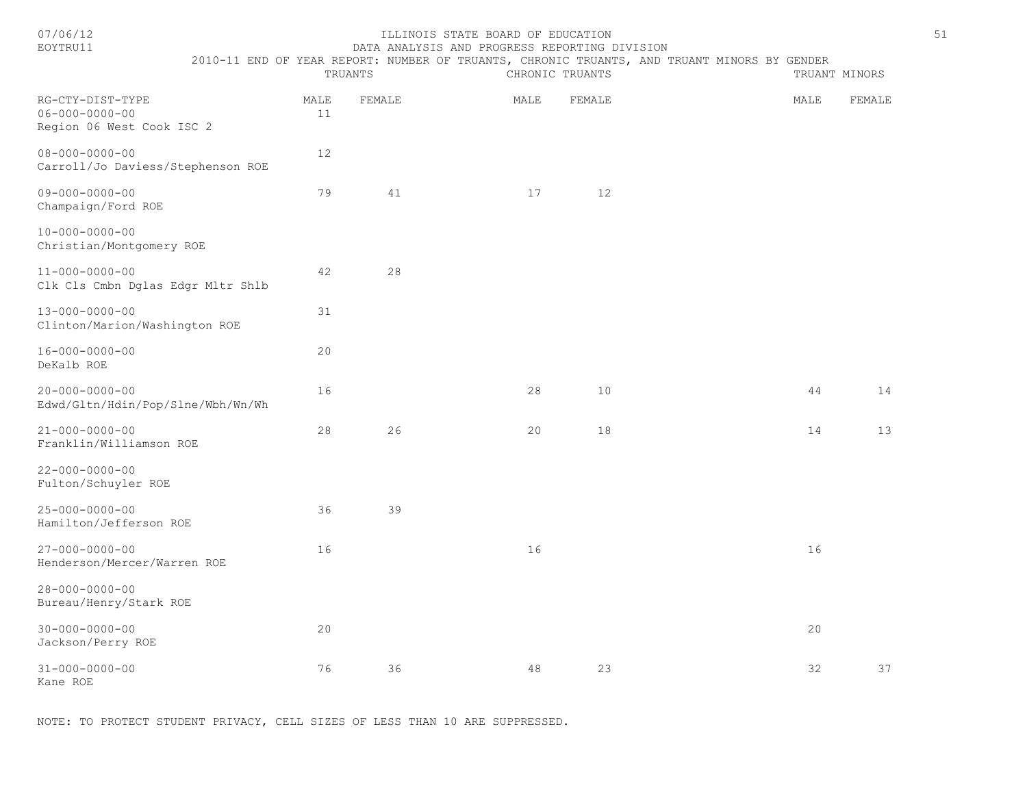#### 07/06/12 ILLINOIS STATE BOARD OF EDUCATION 51 DATA ANALYSIS AND PROGRESS REPORTING DIVISION

2010-11 END OF YEAR REPORT: NUMBER OF TRUANTS, CHRONIC TRUANTS, AND TRUANT MINORS BY GENDER

|                                                                         |            | TRUANTS |      | CHRONIC TRUANTS |        | TRUANT MINORS |
|-------------------------------------------------------------------------|------------|---------|------|-----------------|--------|---------------|
| RG-CTY-DIST-TYPE<br>$06 - 000 - 0000 - 00$<br>Region 06 West Cook ISC 2 | MALE<br>11 | FEMALE  | MALE | FEMALE          | MALE   | FEMALE        |
| $08 - 000 - 0000 - 00$<br>Carroll/Jo Daviess/Stephenson ROE             | $12$       |         |      |                 |        |               |
| $09 - 000 - 0000 - 00$<br>Champaign/Ford ROE                            | 79         | 41      | 17   | 12              |        |               |
| $10 - 000 - 0000 - 00$<br>Christian/Montgomery ROE                      |            |         |      |                 |        |               |
| $11 - 000 - 0000 - 00$<br>Clk Cls Cmbn Dglas Edgr Mltr Shlb             | 42         | 28      |      |                 |        |               |
| $13 - 000 - 0000 - 00$<br>Clinton/Marion/Washington ROE                 | 31         |         |      |                 |        |               |
| $16 - 000 - 0000 - 00$<br>DeKalb ROE                                    | 20         |         |      |                 |        |               |
| $20 - 000 - 0000 - 00$<br>Edwd/Gltn/Hdin/Pop/Slne/Wbh/Wn/Wh             | 16         |         | 28   | $10$            | $4\,4$ | 14            |
| $21 - 000 - 0000 - 00$<br>Franklin/Williamson ROE                       | $2\,8$     | 26      | 20   | 18              | 14     | 13            |
| $22 - 000 - 0000 - 00$<br>Fulton/Schuyler ROE                           |            |         |      |                 |        |               |
| $25 - 000 - 0000 - 00$<br>Hamilton/Jefferson ROE                        | 36         | 39      |      |                 |        |               |
| $27 - 000 - 0000 - 00$<br>Henderson/Mercer/Warren ROE                   | 16         |         | 16   |                 | 16     |               |
| $28 - 000 - 0000 - 00$<br>Bureau/Henry/Stark ROE                        |            |         |      |                 |        |               |
| $30 - 000 - 0000 - 00$<br>Jackson/Perry ROE                             | 20         |         |      |                 | 20     |               |
| $31 - 000 - 0000 - 00$<br>Kane ROE                                      | 76         | 36      | 48   | 23              | 32     | 37            |